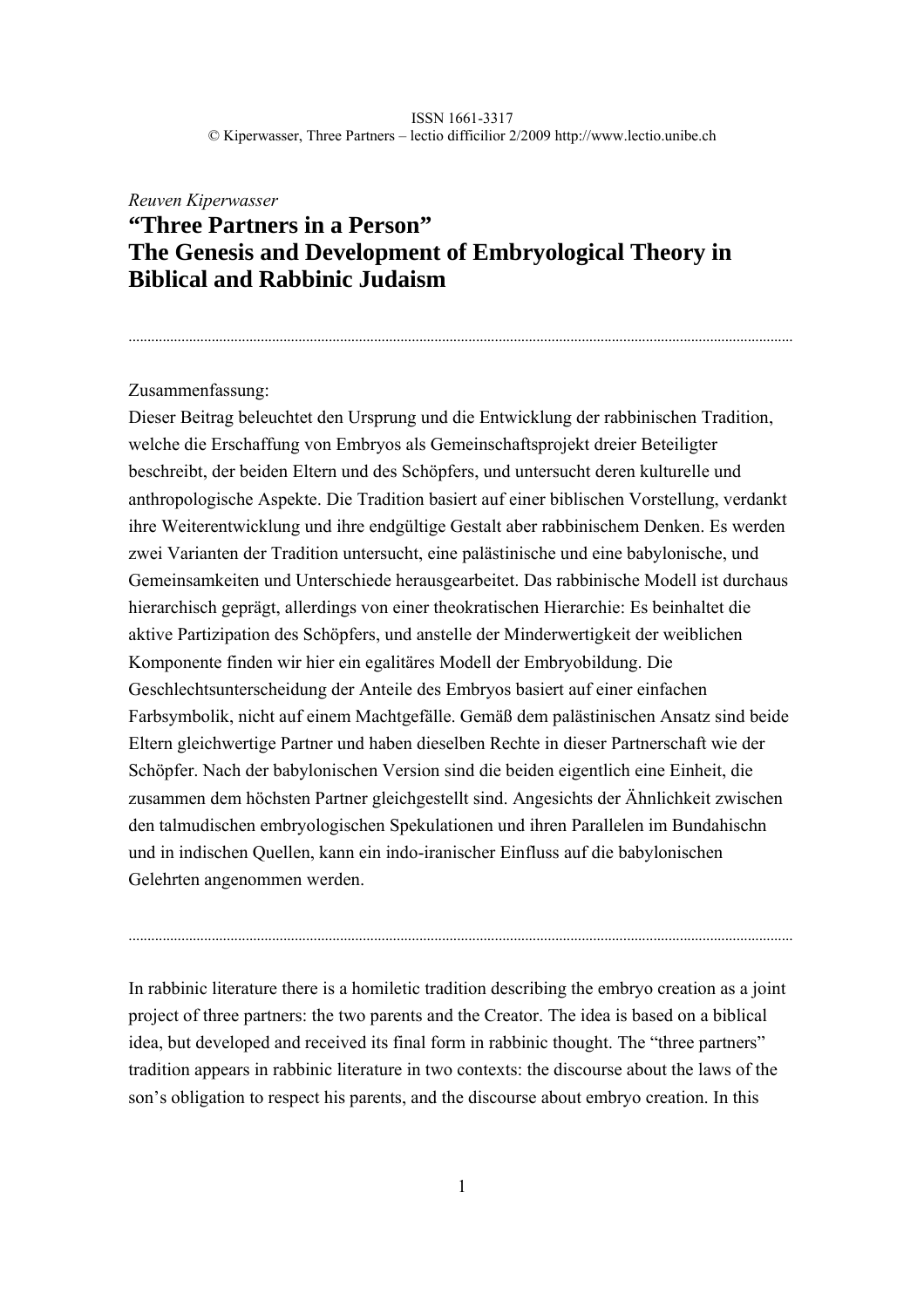................................................................................................................................................................................

# *Reuven Kiperwasser*  **"Three Partners in a Person" The Genesis and Development of Embryological Theory in Biblical and Rabbinic Judaism**

# Zusammenfassung:

Dieser Beitrag beleuchtet den Ursprung und die Entwicklung der rabbinischen Tradition, welche die Erschaffung von Embryos als Gemeinschaftsprojekt dreier Beteiligter beschreibt, der beiden Eltern und des Schöpfers, und untersucht deren kulturelle und anthropologische Aspekte. Die Tradition basiert auf einer biblischen Vorstellung, verdankt ihre Weiterentwicklung und ihre endgültige Gestalt aber rabbinischem Denken. Es werden zwei Varianten der Tradition untersucht, eine palästinische und eine babylonische, und Gemeinsamkeiten und Unterschiede herausgearbeitet. Das rabbinische Modell ist durchaus hierarchisch geprägt, allerdings von einer theokratischen Hierarchie: Es beinhaltet die aktive Partizipation des Schöpfers, und anstelle der Minderwertigkeit der weiblichen Komponente finden wir hier ein egalitäres Modell der Embryobildung. Die Geschlechtsunterscheidung der Anteile des Embryos basiert auf einer einfachen Farbsymbolik, nicht auf einem Machtgefälle. Gemäß dem palästinischen Ansatz sind beide Eltern gleichwertige Partner und haben dieselben Rechte in dieser Partnerschaft wie der Schöpfer. Nach der babylonischen Version sind die beiden eigentlich eine Einheit, die zusammen dem höchsten Partner gleichgestellt sind. Angesichts der Ähnlichkeit zwischen den talmudischen embryologischen Spekulationen und ihren Parallelen im Bundahischn und in indischen Quellen, kann ein indo-iranischer Einfluss auf die babylonischen Gelehrten angenommen werden.

In rabbinic literature there is a homiletic tradition describing the embryo creation as a joint project of three partners: the two parents and the Creator. The idea is based on a biblical idea, but developed and received its final form in rabbinic thought. The "three partners" tradition appears in rabbinic literature in two contexts: the discourse about the laws of the son's obligation to respect his parents, and the discourse about embryo creation. In this

................................................................................................................................................................................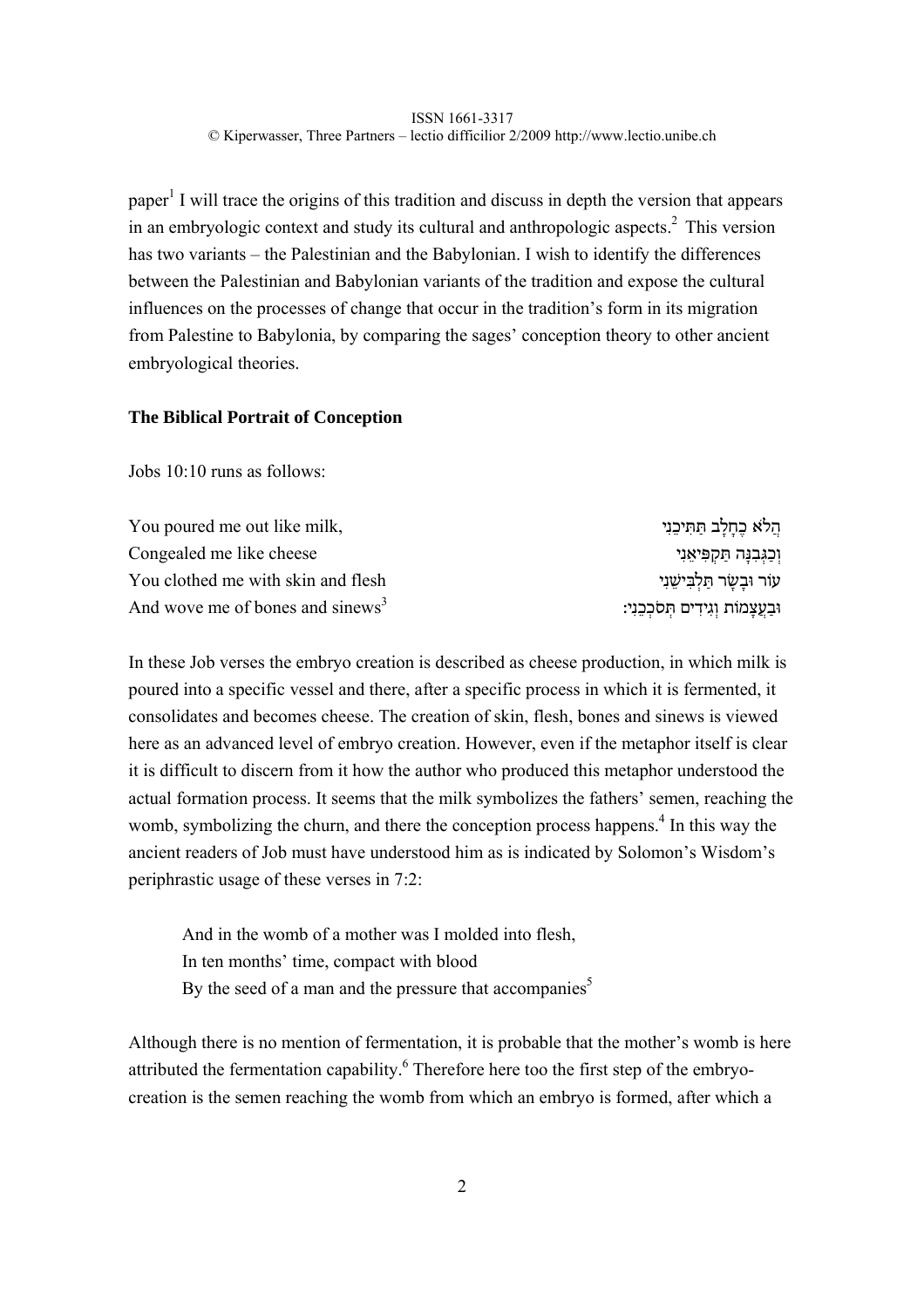paper<sup>1</sup> I will trace the origins of this tradition and discuss in depth the version that appears in an embryologic context and study its cultural and anthropologic aspects.<sup>2</sup> This version has two variants – the Palestinian and the Babylonian. I wish to identify the differences between the Palestinian and Babylonian variants of the tradition and expose the cultural influences on the processes of change that occur in the tradition's form in its migration from Palestine to Babylonia, by comparing the sages' conception theory to other ancient embryological theories.

# **The Biblical Portrait of Conception**

Jobs 10:10 runs as follows:

| You poured me out like milk,                 | הֲלֹא כֶחָלָב תַּתִּיכֵנִי           |
|----------------------------------------------|--------------------------------------|
| Congealed me like cheese                     | וְכַגְּבִנָּה תַקְפִּיאֵנִי          |
| You clothed me with skin and flesh           | עור וּבַשַׂר תַּלְבִּישֵׁנִי         |
| And wove me of bones and sinews <sup>3</sup> | וּבַעֲצָמוֹת וְגִידִים תְּסֹכְבֵנִי: |

In these Job verses the embryo creation is described as cheese production, in which milk is poured into a specific vessel and there, after a specific process in which it is fermented, it consolidates and becomes cheese. The creation of skin, flesh, bones and sinews is viewed here as an advanced level of embryo creation. However, even if the metaphor itself is clear it is difficult to discern from it how the author who produced this metaphor understood the actual formation process. It seems that the milk symbolizes the fathers' semen, reaching the womb, symbolizing the churn, and there the conception process happens.<sup>4</sup> In this way the ancient readers of Job must have understood him as is indicated by Solomon's Wisdom's periphrastic usage of these verses in 7:2:

And in the womb of a mother was I molded into flesh, In ten months' time, compact with blood By the seed of a man and the pressure that accompanies<sup>5</sup>

Although there is no mention of fermentation, it is probable that the mother's womb is here attributed the fermentation capability.<sup>6</sup> Therefore here too the first step of the embryocreation is the semen reaching the womb from which an embryo is formed, after which a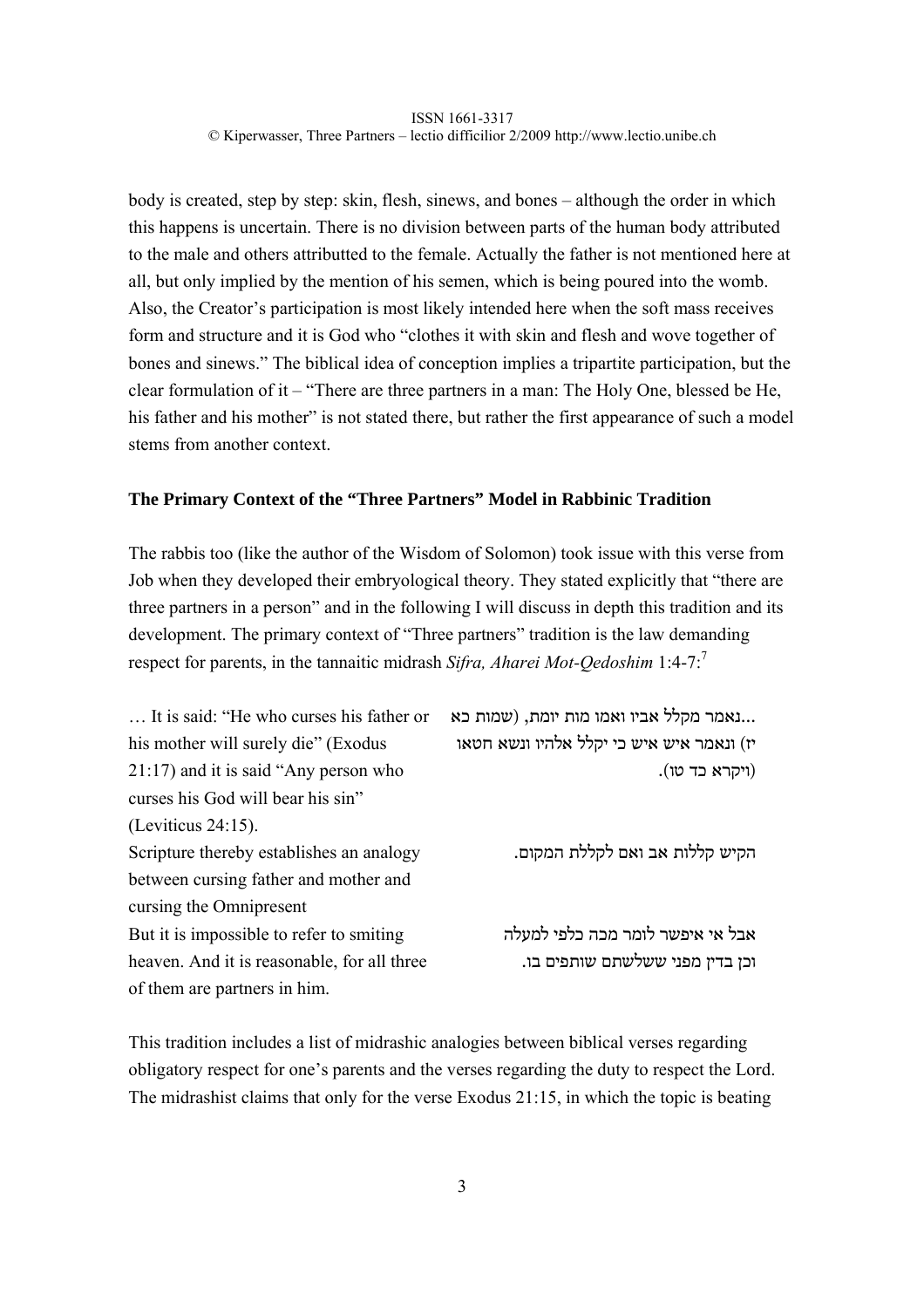body is created, step by step: skin, flesh, sinews, and bones – although the order in which this happens is uncertain. There is no division between parts of the human body attributed to the male and others attributted to the female. Actually the father is not mentioned here at all, but only implied by the mention of his semen, which is being poured into the womb. Also, the Creator's participation is most likely intended here when the soft mass receives form and structure and it is God who "clothes it with skin and flesh and wove together of bones and sinews." The biblical idea of conception implies a tripartite participation, but the clear formulation of it – "There are three partners in a man: The Holy One, blessed be He, his father and his mother" is not stated there, but rather the first appearance of such a model stems from another context.

# **The Primary Context of the "Three Partners" Model in Rabbinic Tradition**

The rabbis too (like the author of the Wisdom of Solomon) took issue with this verse from Job when they developed their embryological theory. They stated explicitly that "there are three partners in a person" and in the following I will discuss in depth this tradition and its development. The primary context of "Three partners" tradition is the law demanding respect for parents, in the tannaitic midrash *Sifra, Aharei Mot-Qedoshim* 1:4-7:7

| It is said: "He who curses his father or    | נאמר מקלל אביו ואמו מות יומת, (שמות כא    |
|---------------------------------------------|-------------------------------------------|
| his mother will surely die" (Exodus         | יז) ונאמר איש איש כי יקלל אלהיו ונשא חטאו |
| $21:17$ ) and it is said "Any person who    | (ויקרא כד טו).                            |
| curses his God will bear his sin"           |                                           |
| (Leviticus $24:15$ ).                       |                                           |
| Scripture thereby establishes an analogy    | הקיש קללות אב ואם לקללת המקום.            |
| between cursing father and mother and       |                                           |
| cursing the Omnipresent                     |                                           |
| But it is impossible to refer to smiting    | אבל אי איפשר לומר מכה כלפי למעלה          |
| heaven. And it is reasonable, for all three | וכן בדין מפני ששלשתם שותפים בו.           |
| of them are partners in him.                |                                           |

This tradition includes a list of midrashic analogies between biblical verses regarding obligatory respect for one's parents and the verses regarding the duty to respect the Lord. The midrashist claims that only for the verse Exodus 21:15, in which the topic is beating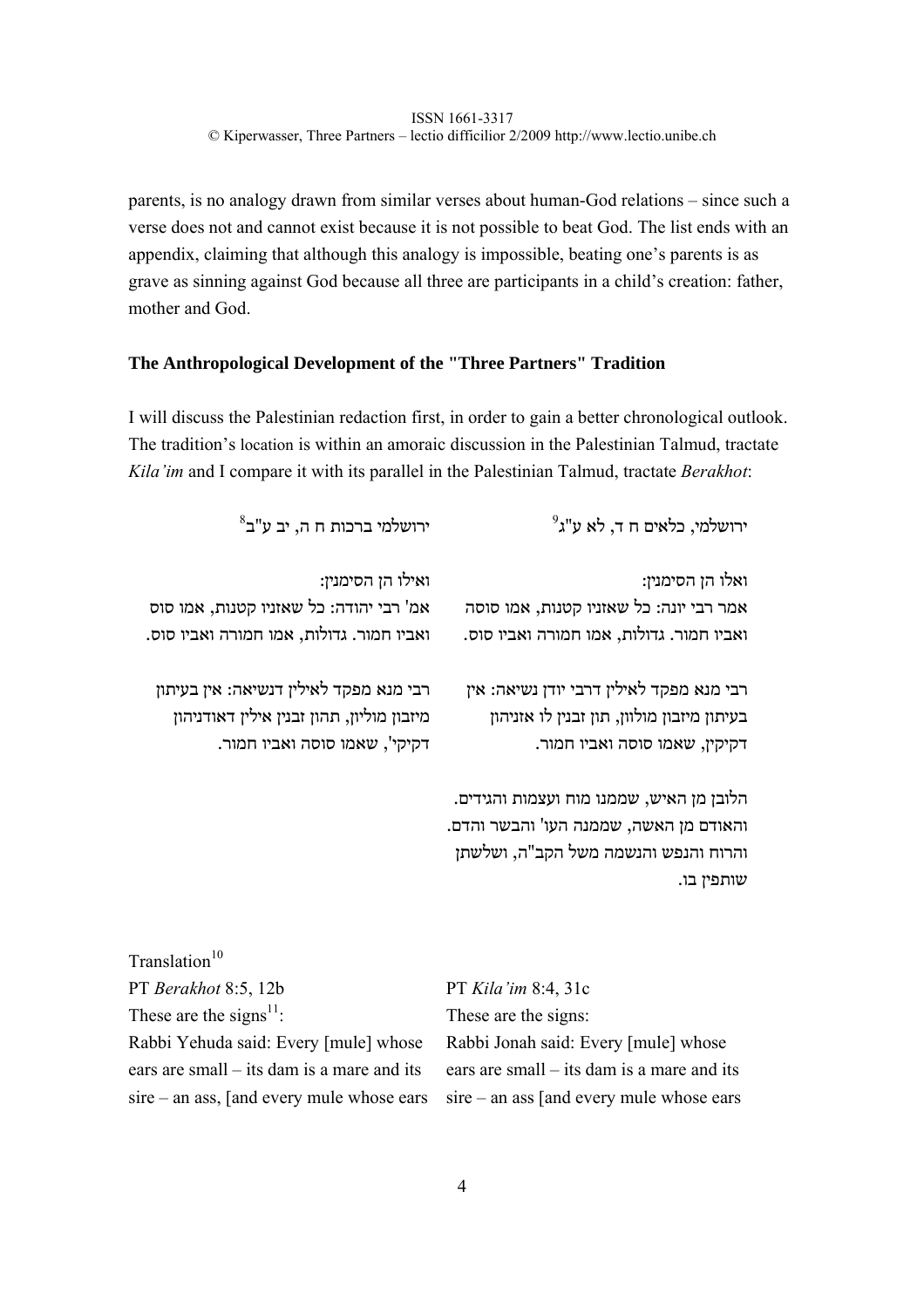parents, is no analogy drawn from similar verses about human-God relations – since such a verse does not and cannot exist because it is not possible to beat God. The list ends with an appendix, claiming that although this analogy is impossible, beating one's parents is as grave as sinning against God because all three are participants in a child's creation: father, mother and God.

# **The Anthropological Development of the "Three Partners" Tradition**

I will discuss the Palestinian redaction first, in order to gain a better chronological outlook. The tradition's location is within an amoraic discussion in the Palestinian Talmud, tractate *Kila'im* and I compare it with its parallel in the Palestinian Talmud, tractate *Berakhot*:

| $^8$ ירושלמי ברכות ח ה, יב ע"ב                                                                                           | $^9$ ירושלמי, כלאים ח $\tau,$ לא ע"ג                                                                                                     |
|--------------------------------------------------------------------------------------------------------------------------|------------------------------------------------------------------------------------------------------------------------------------------|
| ואילו הן הסימנין:<br>אמ' רבי יהודה: כל שאזניו קטנות, אמו סוס<br>ואביו חמור. גדולות, אמו חמורה ואביו סוס.                 | ואלו הן הסימנין:<br>אמר רבי יונה: כל שאזניו קטנות, אמו סוסה<br>ואביו חמור. גדולות, אמו חמורה ואביו סוס.                                  |
| רבי מנא מפקד לאילין דנשיאה: אין בעיתון<br>מיזבון מוליון, תהון זבנין אילין דאודניהון<br>דקיקי', שאמו סוסה ואביו חמור.     | רבי מנא מפקד לאילין דרבי יודן נשיאה: אין<br>בעיתון מיזבון מולוון, תון זבנין לו אזניהון<br>דקיקין, שאמו סוסה ואביו חמור.                  |
|                                                                                                                          | הלובן מן האיש, שממנו מוח ועצמות והגידים.<br>והאודם מן האשה, שממנה העו' והבשר והדם.<br>והרוח והנפש והנשמה משל הקב"ה, ושלשתן<br>שותפין בו. |
| Translation $10$<br>PT Berakhot 8:5, 12b<br>These are the signs <sup>11</sup> :<br>Rabbi Yehuda said: Every [mule] whose | PT Kila'im 8:4, 31c<br>These are the signs:<br>Rabbi Jonah said: Every [mule] whose                                                      |

ears are small – its dam is a mare and its sire – an ass, [and every mule whose ears

ears are small – its dam is a mare and its sire – an ass [and every mule whose ears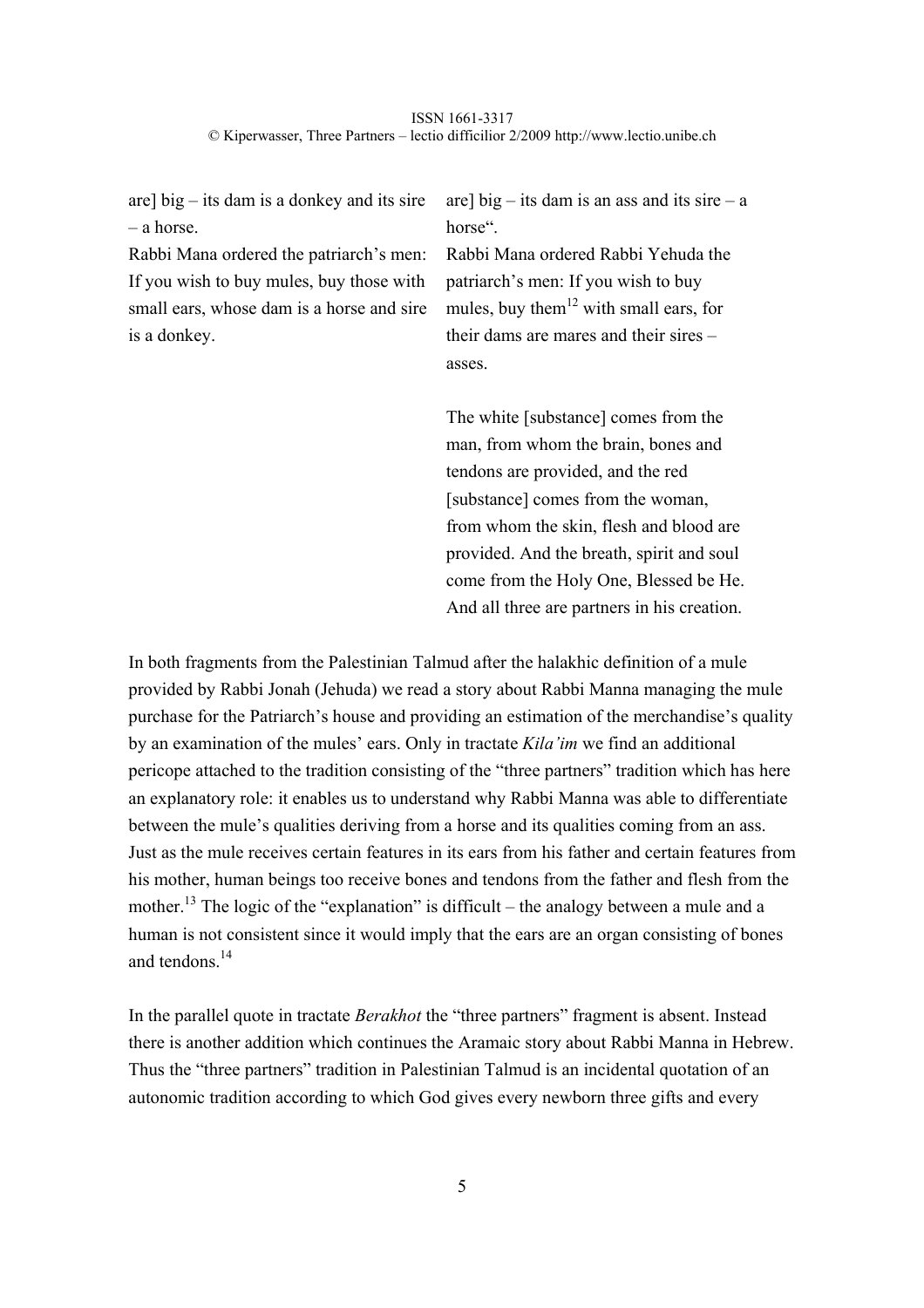are] big – its dam is a donkey and its sire – a horse.

Rabbi Mana ordered the patriarch's men: If you wish to buy mules, buy those with small ears, whose dam is a horse and sire is a donkey.

are] big – its dam is an ass and its sire – a horse".

Rabbi Mana ordered Rabbi Yehuda the patriarch's men: If you wish to buy mules, buy them<sup>12</sup> with small ears, for their dams are mares and their sires – asses.

The white [substance] comes from the man, from whom the brain, bones and tendons are provided, and the red [substance] comes from the woman, from whom the skin, flesh and blood are provided. And the breath, spirit and soul come from the Holy One, Blessed be He. And all three are partners in his creation.

In both fragments from the Palestinian Talmud after the halakhic definition of a mule provided by Rabbi Jonah (Jehuda) we read a story about Rabbi Manna managing the mule purchase for the Patriarch's house and providing an estimation of the merchandise's quality by an examination of the mules' ears. Only in tractate *Kila'im* we find an additional pericope attached to the tradition consisting of the "three partners" tradition which has here an explanatory role: it enables us to understand why Rabbi Manna was able to differentiate between the mule's qualities deriving from a horse and its qualities coming from an ass. Just as the mule receives certain features in its ears from his father and certain features from his mother, human beings too receive bones and tendons from the father and flesh from the mother.<sup>13</sup> The logic of the "explanation" is difficult – the analogy between a mule and a human is not consistent since it would imply that the ears are an organ consisting of bones and tendons.14

In the parallel quote in tractate *Berakhot* the "three partners" fragment is absent. Instead there is another addition which continues the Aramaic story about Rabbi Manna in Hebrew. Thus the "three partners" tradition in Palestinian Talmud is an incidental quotation of an autonomic tradition according to which God gives every newborn three gifts and every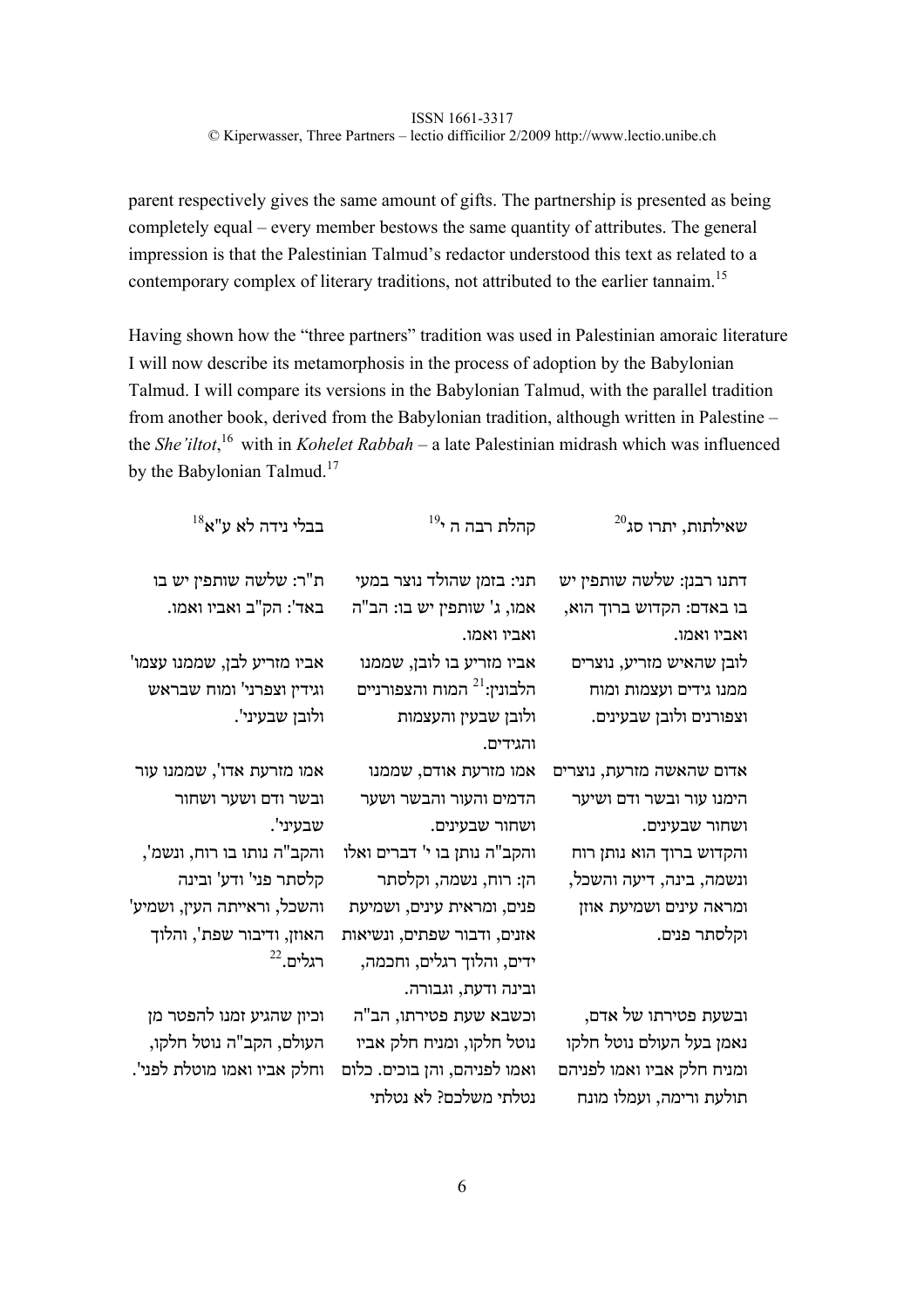parent respectively gives the same amount of gifts. The partnership is presented as being completely equal – every member bestows the same quantity of attributes. The general impression is that the Palestinian Talmud's redactor understood this text as related to a contemporary complex of literary traditions, not attributed to the earlier tannaim.<sup>15</sup>

Having shown how the "three partners" tradition was used in Palestinian amoraic literature I will now describe its metamorphosis in the process of adoption by the Babylonian Talmud. I will compare its versions in the Babylonian Talmud, with the parallel tradition from another book, derived from the Babylonian tradition, although written in Palestine – the *She'iltot*, 16 with in *Kohelet Rabbah* – a late Palestinian midrash which was influenced by the Babylonian Talmud.<sup>17</sup>

| $^{20}$ עאילתות, יתרו סג                                                                                  | קהלת רבה ה <sup>19</sup>                                                                                     | $^{18}$ בבלי נידה לא ע"א                                                            |
|-----------------------------------------------------------------------------------------------------------|--------------------------------------------------------------------------------------------------------------|-------------------------------------------------------------------------------------|
| דתנו רבנן: שלשה שותפין יש                                                                                 | תני: בזמן שהולד נוצר במעי                                                                                    | ת"ר: שלשה שותפין יש בו                                                              |
| בו באדם: הקדוש ברוך הוא,                                                                                  | אמו, ג' שותפין יש בו: הב"ה                                                                                   | באד': הק"ב ואביו ואמו.                                                              |
| ואביו ואמו.                                                                                               | ואביו ואמו.                                                                                                  |                                                                                     |
| לובן שהאיש מזריע, נוצרים                                                                                  | אביו מזריע בו לובן, שממנו                                                                                    | אביו מזריע לבן, שממנו עצמו'                                                         |
| ממנו גידים ועצמות ומוח                                                                                    | הלבונין: <sup>21</sup> המוח והצפורניים                                                                       | וגידין וצפרני' ומוח שבראש                                                           |
| וצפורנים ולובן שבעינים.                                                                                   | ולובן שבעין והעצמות                                                                                          | ולובן שבעיני'.                                                                      |
|                                                                                                           | והגידים.                                                                                                     |                                                                                     |
| אדום שהאשה מזרעת, נוצרים                                                                                  | אמו מזרעת אודם, שממנו                                                                                        | אמו מזרעת אדו', שממנו עור                                                           |
| הימנו עור ובשר ודם ושיער                                                                                  | הדמים והעור והבשר ושער                                                                                       | ובשר ודם ושער ושחור                                                                 |
| ושחור שבעינים.                                                                                            | ושחור שבעינים.                                                                                               | שבעיני'.                                                                            |
| והקדוש ברוך הוא נותן רוח                                                                                  | והקב"ה נותן בו י' דברים ואלו                                                                                 | והקב"ה נותו בו רוח, ונשמ',                                                          |
| ונשמה, בינה, דיעה והשכל,                                                                                  | הן: רוח, נשמה, וקלסתר                                                                                        | קלסתר פני' ודע' ובינה                                                               |
| ומראה עינים ושמיעת אוזן                                                                                   | פנים, ומראית עינים, ושמיעת                                                                                   | והשכל, וראייתה העין, ושמיע'                                                         |
| וקלסתר פנים.                                                                                              | אזנים, ודבור שפתים, ונשיאות                                                                                  | האוזן, ודיבור שפת', והלוך                                                           |
|                                                                                                           | ידים, והלוך רגלים, וחכמה,<br>ובינה ודעת, וגבורה.                                                             | $^{22}$ רגלים.                                                                      |
| ובשעת פטירתו של אדם,<br>נאמן בעל העולם נוטל חלקו<br>ומניח חלק אביו ואמו לפניהם<br>תולעת ורימה, ועמלו מונח | וכשבא שעת פטירתו, הב"ה<br>נוטל חלקו, ומניח חלק אביו<br>ואמו לפניהם, והן בוכים. כלום<br>נטלתי משלכם? לא נטלתי | וכיון שהגיע זמנו להפטר מן<br>העולם, הקב"ה נוטל חלקו,<br>וחלק אביו ואמו מוטלת לפני'. |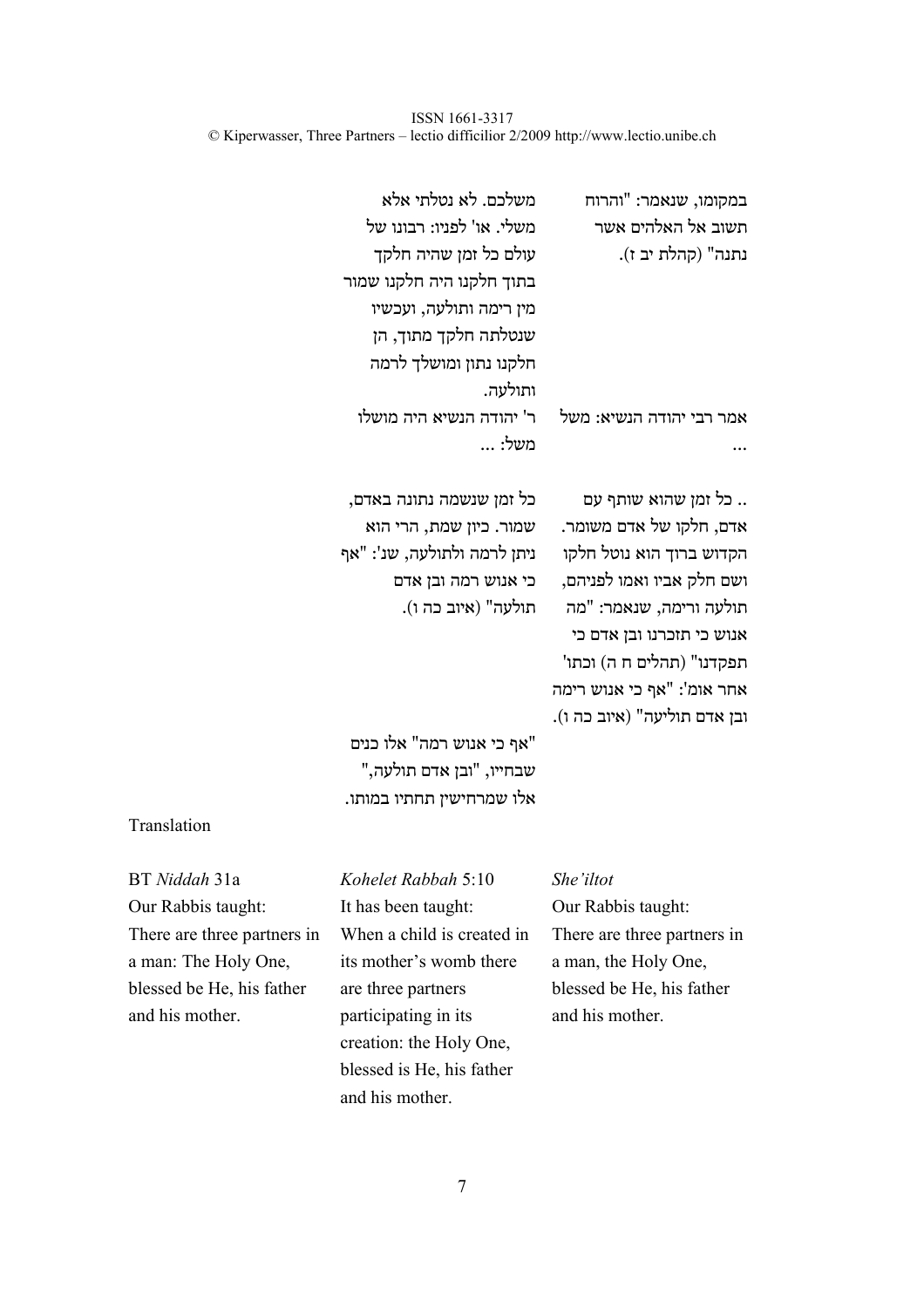| במקומו, שנאמר: "והרוח<br>תשוב אל האלהים אשר<br>נתנה" (קהלת יב ז).                                                                                                                                                                                          | משלכם. לא נטלתי אלא<br>משלי. או' לפניו: רבונו של<br>עולם כל זמן שהיה חלקך<br>בתוך חלקנו היה חלקנו שמור<br>מין רימה ותולעה, ועכשיו |
|------------------------------------------------------------------------------------------------------------------------------------------------------------------------------------------------------------------------------------------------------------|-----------------------------------------------------------------------------------------------------------------------------------|
|                                                                                                                                                                                                                                                            | שנטלתה חלקך מתוך, הן<br>חלקנו נתון ומושלך לרמה<br>ותולעה.                                                                         |
| אמר רבי יהודה הנשיא: משל                                                                                                                                                                                                                                   | ר' יהודה הנשיא היה מושלו<br>משל:                                                                                                  |
| כל זמן שהוא שותף עם<br>אדם, חלקו של אדם משומר.<br>הקדוש ברוך הוא נוטל חלקו<br>ושם חלק אביו ואמו לפניהם,<br>תולעה ורימה, שנאמר: "מה<br>אנוש כי תזכרנו ובן אדם כי<br>תפקדנו" (תהלים ח ה) וכתו'<br>אחר אומ': "אף כי אנוש רימה<br>ובן אדם תוליעה" (איוב כה ו). | כל זמן שנשמה נתונה באדם,<br>שמור. כיון שמת, הרי הוא<br>ניתן לרמה ולתולעה, שנ': "אף<br>כי אנוש רמה ובן אדם<br>תולעה" (איוב כה ו).  |
|                                                                                                                                                                                                                                                            | "אף כי אנוש רמה" אלו כנים<br>שבחייו, "ובן אדם תולעה,"                                                                             |

# Translation

| BT Niddah 31a               |
|-----------------------------|
| Our Rabbis taught:          |
| There are three partners in |
| a man: The Holy One,        |
| blessed be He, his father   |
| and his mother.             |

# BT *Niddah* 31a *Kohelet Rabbah* 5:10 *She'iltot*  Our Rabbis taught: It has been taught: Our Rabbis taught: When a child is created in its mother's womb there are three partners participating in its creation: the Holy One, blessed is He, his father and his mother.

אלו שמרחישין תחתיו במותו.

There are three partners in a man, the Holy One, blessed be He, his father and his mother.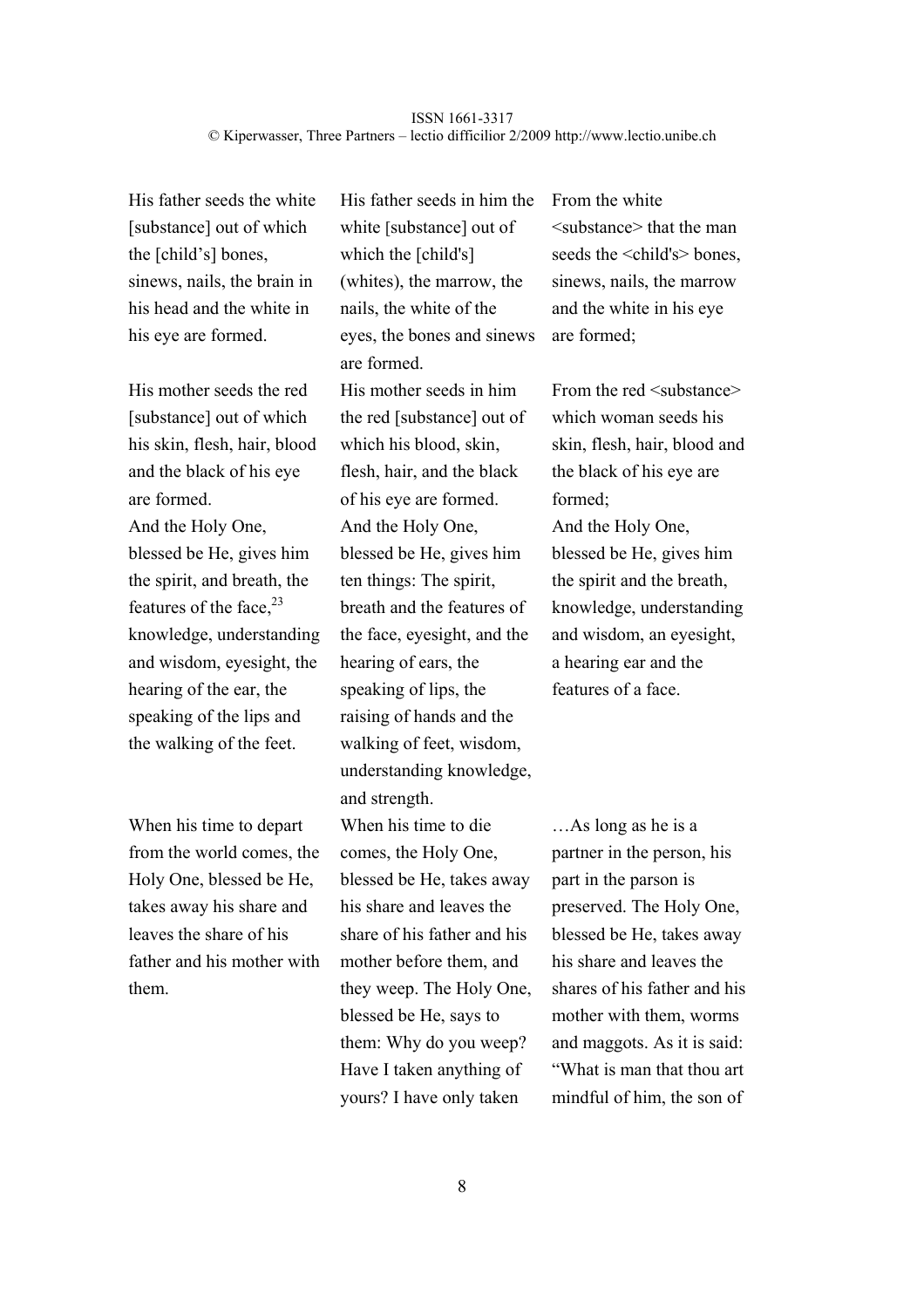His father seeds the white [substance] out of which the [child's] bones, sinews, nails, the brain in his head and the white in his eye are formed.

His mother seeds the red [substance] out of which his skin, flesh, hair, blood and the black of his eye are formed. And the Holy One, blessed be He, gives him the spirit, and breath, the features of the face. $^{23}$ knowledge, understanding and wisdom, eyesight, the hearing of the ear, the speaking of the lips and the walking of the feet.

When his time to depart from the world comes, the Holy One, blessed be He, takes away his share and leaves the share of his father and his mother with them.

His father seeds in him the white [substance] out of which the [child's] (whites), the marrow, the nails, the white of the eyes, the bones and sinews are formed. His mother seeds in him the red [substance] out of which his blood, skin, flesh, hair, and the black of his eye are formed. And the Holy One, blessed be He, gives him ten things: The spirit, breath and the features of the face, eyesight, and the hearing of ears, the speaking of lips, the raising of hands and the walking of feet, wisdom, understanding knowledge, and strength. When his time to die comes, the Holy One, blessed be He, takes away his share and leaves the share of his father and his mother before them, and they weep. The Holy One, blessed be He, says to them: Why do you weep? Have I taken anything of yours? I have only taken

From the white <substance> that the man seeds the <child's> bones. sinews, nails, the marrow and the white in his eye are formed;

From the red  $\leq$ substance $\geq$ which woman seeds his skin, flesh, hair, blood and the black of his eye are formed; And the Holy One, blessed be He, gives him the spirit and the breath, knowledge, understanding and wisdom, an eyesight, a hearing ear and the features of a face.

…As long as he is a partner in the person, his part in the parson is preserved. The Holy One, blessed be He, takes away his share and leaves the shares of his father and his mother with them, worms and maggots. As it is said: "What is man that thou art mindful of him, the son of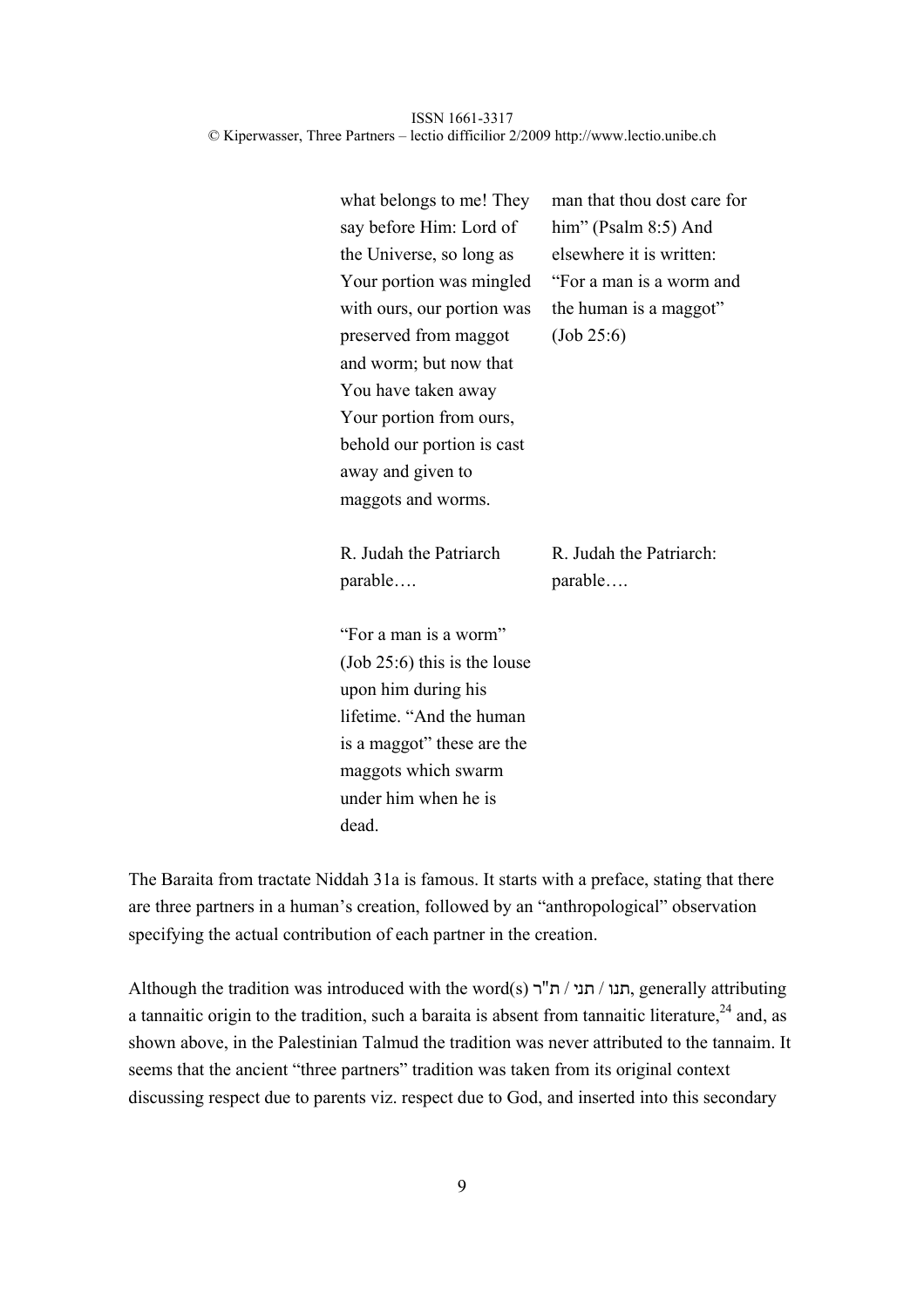| what belongs to me! They       | man that thou dost care for |
|--------------------------------|-----------------------------|
| say before Him: Lord of        | him" (Psalm 8:5) And        |
| the Universe, so long as       | elsewhere it is written:    |
| Your portion was mingled       | "For a man is a worm and    |
| with ours, our portion was     | the human is a maggot"      |
| preserved from maggot          | (Job 25:6)                  |
| and worm; but now that         |                             |
| You have taken away            |                             |
| Your portion from ours,        |                             |
| behold our portion is cast     |                             |
| away and given to              |                             |
| maggots and worms.             |                             |
| R. Judah the Patriarch         | R. Judah the Patriarch:     |
| parable                        | parable                     |
| "For a man is a worm"          |                             |
| $(Job 25:6)$ this is the louse |                             |
| upon him during his            |                             |
| lifetime. "And the human"      |                             |
| is a maggot" these are the     |                             |
| maggots which swarm            |                             |
| under him when he is           |                             |
| dead.                          |                             |

The Baraita from tractate Niddah 31a is famous. It starts with a preface, stating that there are three partners in a human's creation, followed by an "anthropological" observation specifying the actual contribution of each partner in the creation.

Although the tradition was introduced with the word(s) תנו / תנו, generally attributing a tannaitic origin to the tradition, such a baraita is absent from tannaitic literature,<sup>24</sup> and, as shown above, in the Palestinian Talmud the tradition was never attributed to the tannaim. It seems that the ancient "three partners" tradition was taken from its original context discussing respect due to parents viz. respect due to God, and inserted into this secondary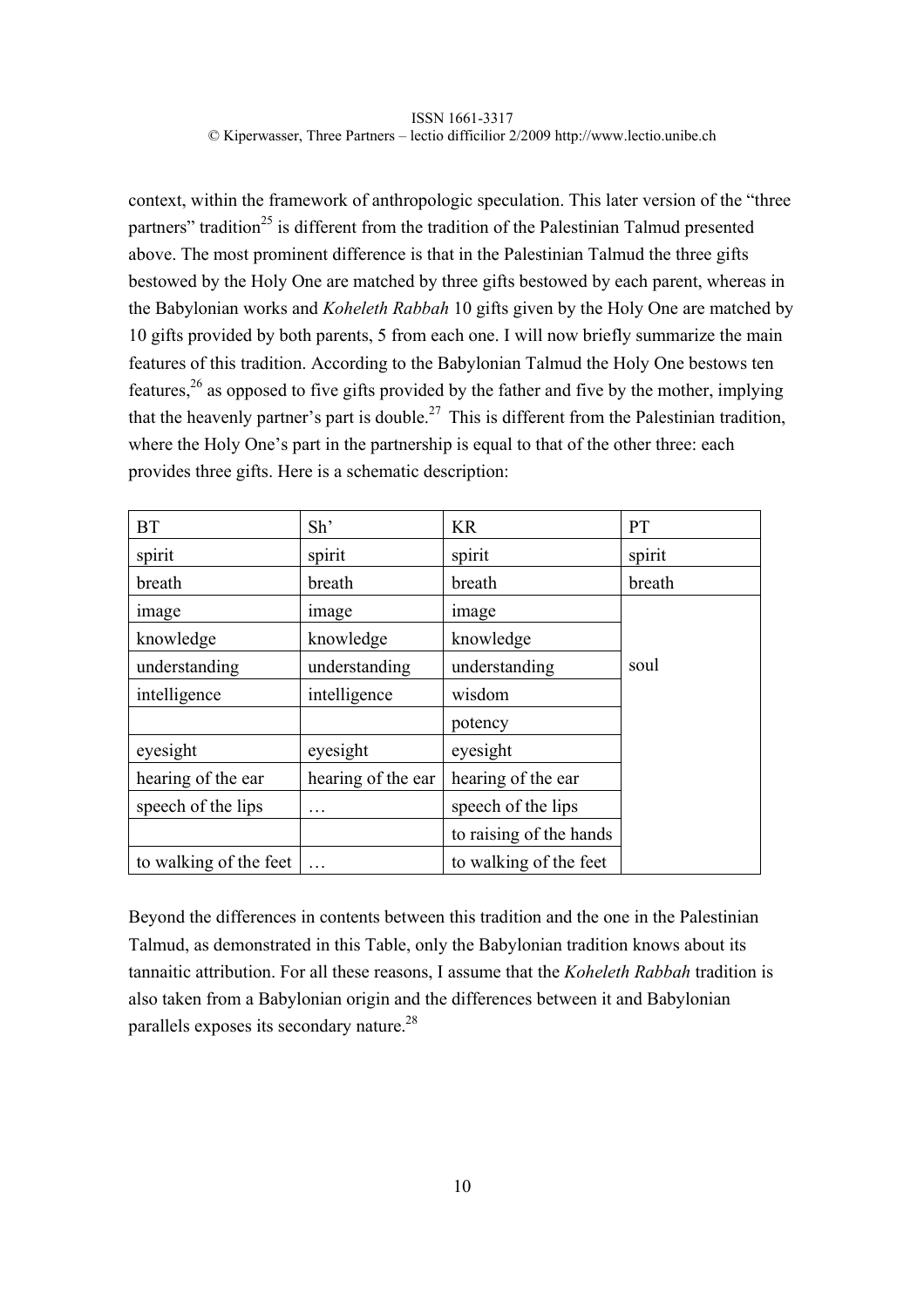context, within the framework of anthropologic speculation. This later version of the "three partners" tradition<sup>25</sup> is different from the tradition of the Palestinian Talmud presented above. The most prominent difference is that in the Palestinian Talmud the three gifts bestowed by the Holy One are matched by three gifts bestowed by each parent, whereas in the Babylonian works and *Koheleth Rabbah* 10 gifts given by the Holy One are matched by 10 gifts provided by both parents, 5 from each one. I will now briefly summarize the main features of this tradition. According to the Babylonian Talmud the Holy One bestows ten features,  $2<sup>6</sup>$  as opposed to five gifts provided by the father and five by the mother, implying that the heavenly partner's part is double.<sup>27</sup> This is different from the Palestinian tradition, where the Holy One's part in the partnership is equal to that of the other three: each provides three gifts. Here is a schematic description:

| <b>BT</b>              | Sh'                | KR                      | PT     |
|------------------------|--------------------|-------------------------|--------|
| spirit                 | spirit             | spirit                  | spirit |
| breath                 | breath             | breath                  | breath |
| image                  | image              | image                   |        |
| knowledge              | knowledge          | knowledge               |        |
| understanding          | understanding      | understanding           | soul   |
| intelligence           | intelligence       | wisdom                  |        |
|                        |                    | potency                 |        |
| eyesight               | eyesight           | eyesight                |        |
| hearing of the ear     | hearing of the ear | hearing of the ear      |        |
| speech of the lips     | .                  | speech of the lips      |        |
|                        |                    | to raising of the hands |        |
| to walking of the feet |                    | to walking of the feet  |        |

Beyond the differences in contents between this tradition and the one in the Palestinian Talmud, as demonstrated in this Table, only the Babylonian tradition knows about its tannaitic attribution. For all these reasons, I assume that the *Koheleth Rabbah* tradition is also taken from a Babylonian origin and the differences between it and Babylonian parallels exposes its secondary nature.28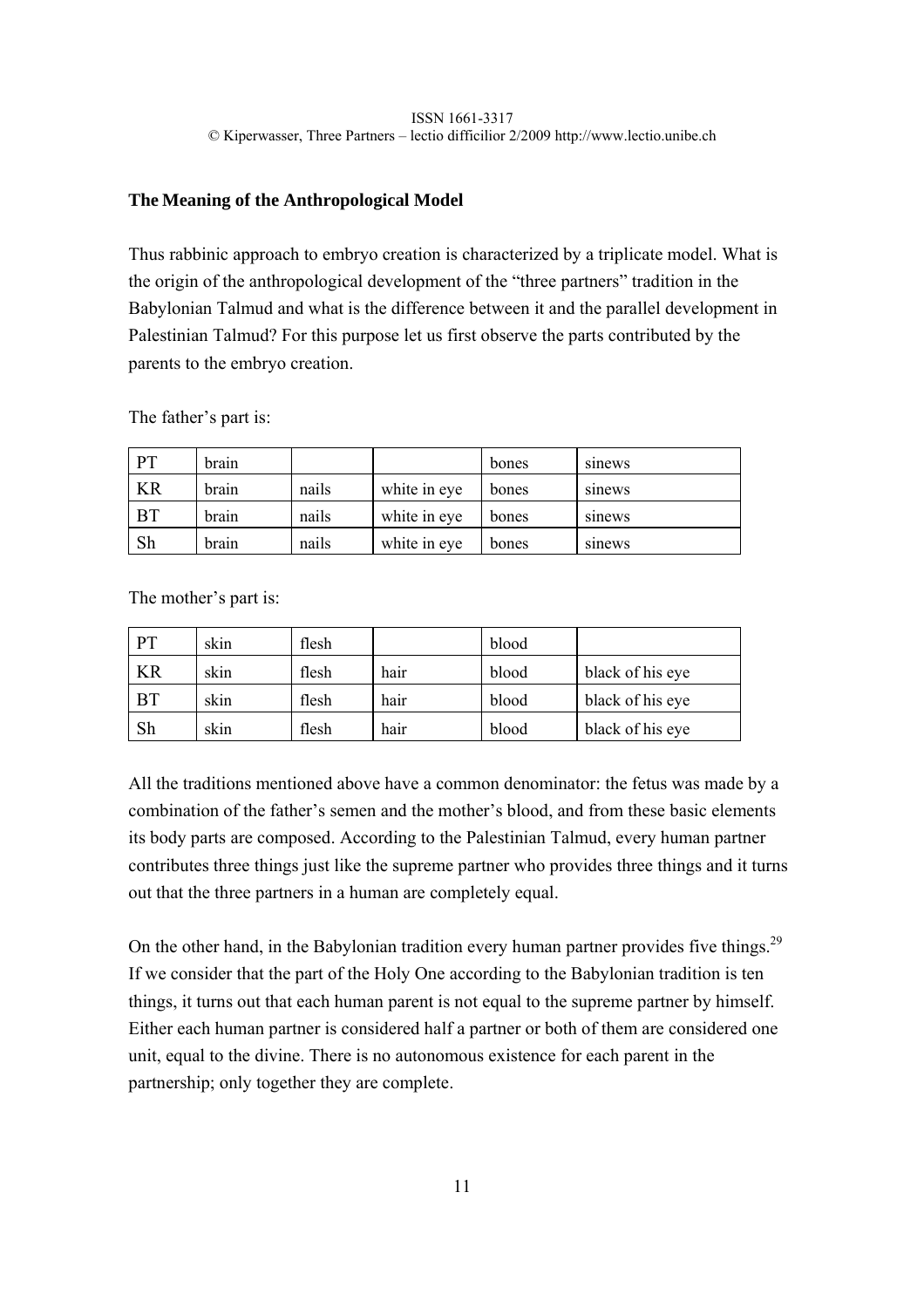# **The Meaning of the Anthropological Model**

Thus rabbinic approach to embryo creation is characterized by a triplicate model. What is the origin of the anthropological development of the "three partners" tradition in the Babylonian Talmud and what is the difference between it and the parallel development in Palestinian Talmud? For this purpose let us first observe the parts contributed by the parents to the embryo creation.

The father's part is:

| <b>PT</b> | brain |       |              | bones | sinews |
|-----------|-------|-------|--------------|-------|--------|
| <b>KR</b> | brain | nails | white in eye | bones | sinews |
| <b>BT</b> | brain | nails | white in eye | bones | sinews |
| Sh        | brain | nails | white in eye | bones | sinews |

The mother's part is:

| <b>PT</b> | skin | flesh |      | blood |                  |
|-----------|------|-------|------|-------|------------------|
| <b>KR</b> | skin | flesh | hair | blood | black of his eye |
| <b>BT</b> | skin | flesh | hair | blood | black of his eye |
| Sh        | skin | flesh | hair | blood | black of his eye |

All the traditions mentioned above have a common denominator: the fetus was made by a combination of the father's semen and the mother's blood, and from these basic elements its body parts are composed. According to the Palestinian Talmud, every human partner contributes three things just like the supreme partner who provides three things and it turns out that the three partners in a human are completely equal.

On the other hand, in the Babylonian tradition every human partner provides five things.<sup>29</sup> If we consider that the part of the Holy One according to the Babylonian tradition is ten things, it turns out that each human parent is not equal to the supreme partner by himself. Either each human partner is considered half a partner or both of them are considered one unit, equal to the divine. There is no autonomous existence for each parent in the partnership; only together they are complete.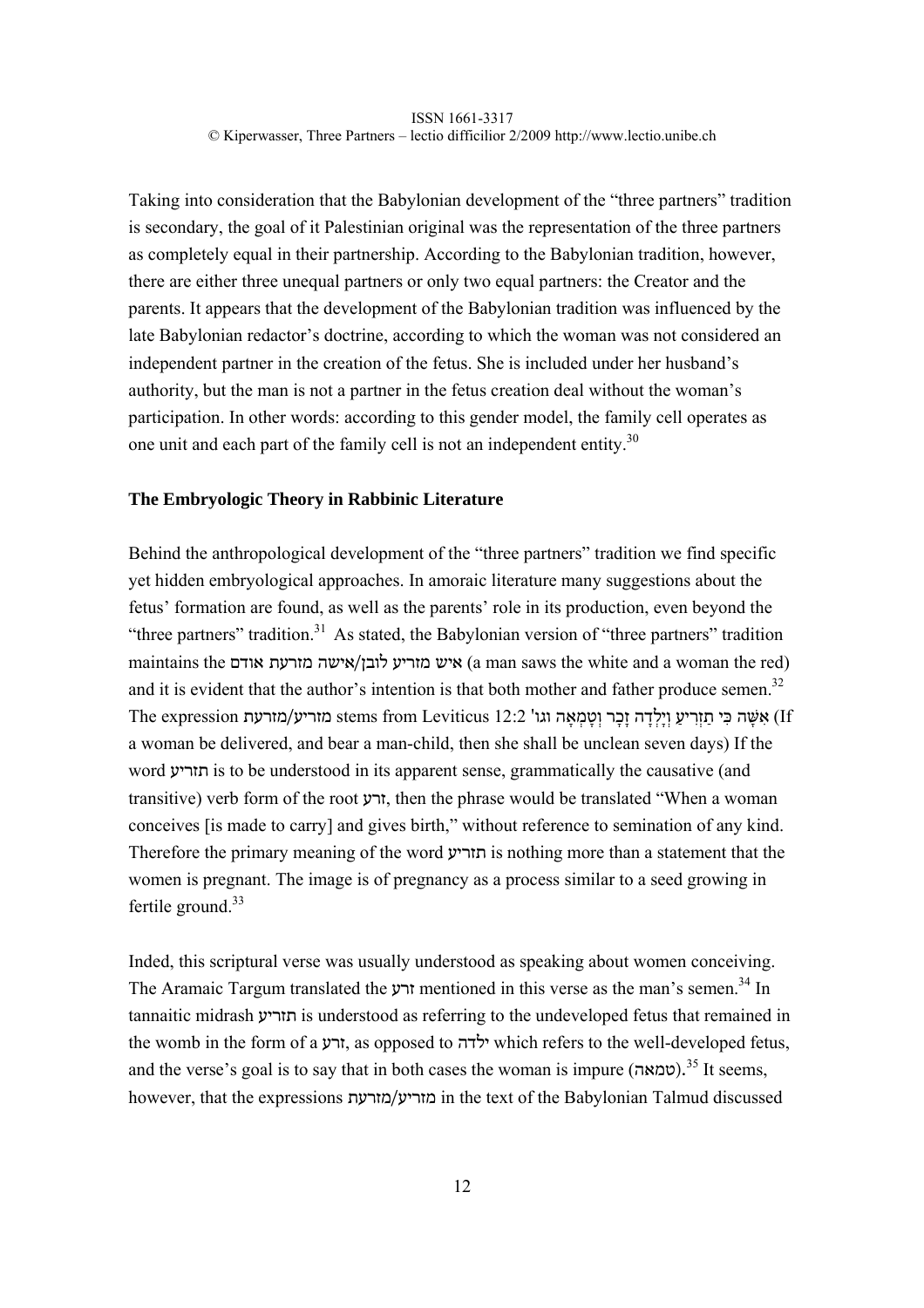Taking into consideration that the Babylonian development of the "three partners" tradition is secondary, the goal of it Palestinian original was the representation of the three partners as completely equal in their partnership. According to the Babylonian tradition, however, there are either three unequal partners or only two equal partners: the Creator and the parents. It appears that the development of the Babylonian tradition was influenced by the late Babylonian redactor's doctrine, according to which the woman was not considered an independent partner in the creation of the fetus. She is included under her husband's authority, but the man is not a partner in the fetus creation deal without the woman's participation. In other words: according to this gender model, the family cell operates as one unit and each part of the family cell is not an independent entity.<sup>30</sup>

# **The Embryologic Theory in Rabbinic Literature**

Behind the anthropological development of the "three partners" tradition we find specific yet hidden embryological approaches. In amoraic literature many suggestions about the fetus' formation are found, as well as the parents' role in its production, even beyond the "three partners" tradition.<sup>31</sup> As stated, the Babylonian version of "three partners" tradition maintains the אודם מזרעת מזרעת לובן/אישה מזרעת (a man saws the white and a woman the red) and it is evident that the author's intention is that both mother and father produce semen.<sup>32</sup> The expression מזריע/מזרעת stems from Leviticus <br/>12:2 מוֹרִיע וַיַלְדה זָכר וְטמַאה וגו' (If a woman be delivered, and bear a man-child, then she shall be unclean seven days) If the word תזריע is to be understood in its apparent sense, grammatically the causative (and transitive) verb form of the root זרע, then the phrase would be translated "When a woman conceives [is made to carry] and gives birth," without reference to semination of any kind. Therefore the primary meaning of the word תזריע is nothing more than a statement that the women is pregnant. The image is of pregnancy as a process similar to a seed growing in fertile ground. $33$ 

Inded, this scriptural verse was usually understood as speaking about women conceiving. The Aramaic Targum translated the זרע mentioned in this verse as the man's semen.34 In tannaitic midrash תזריע is understood as referring to the undeveloped fetus that remained in the womb in the form of a זרע, as opposed to ילדה which refers to the well-developed fetus, and the verse's goal is to say that in both cases the woman is impure ( $\alpha$ כמאה).<sup>35</sup> It seems, however, that the expressions מזרעת/מזריע in the text of the Babylonian Talmud discussed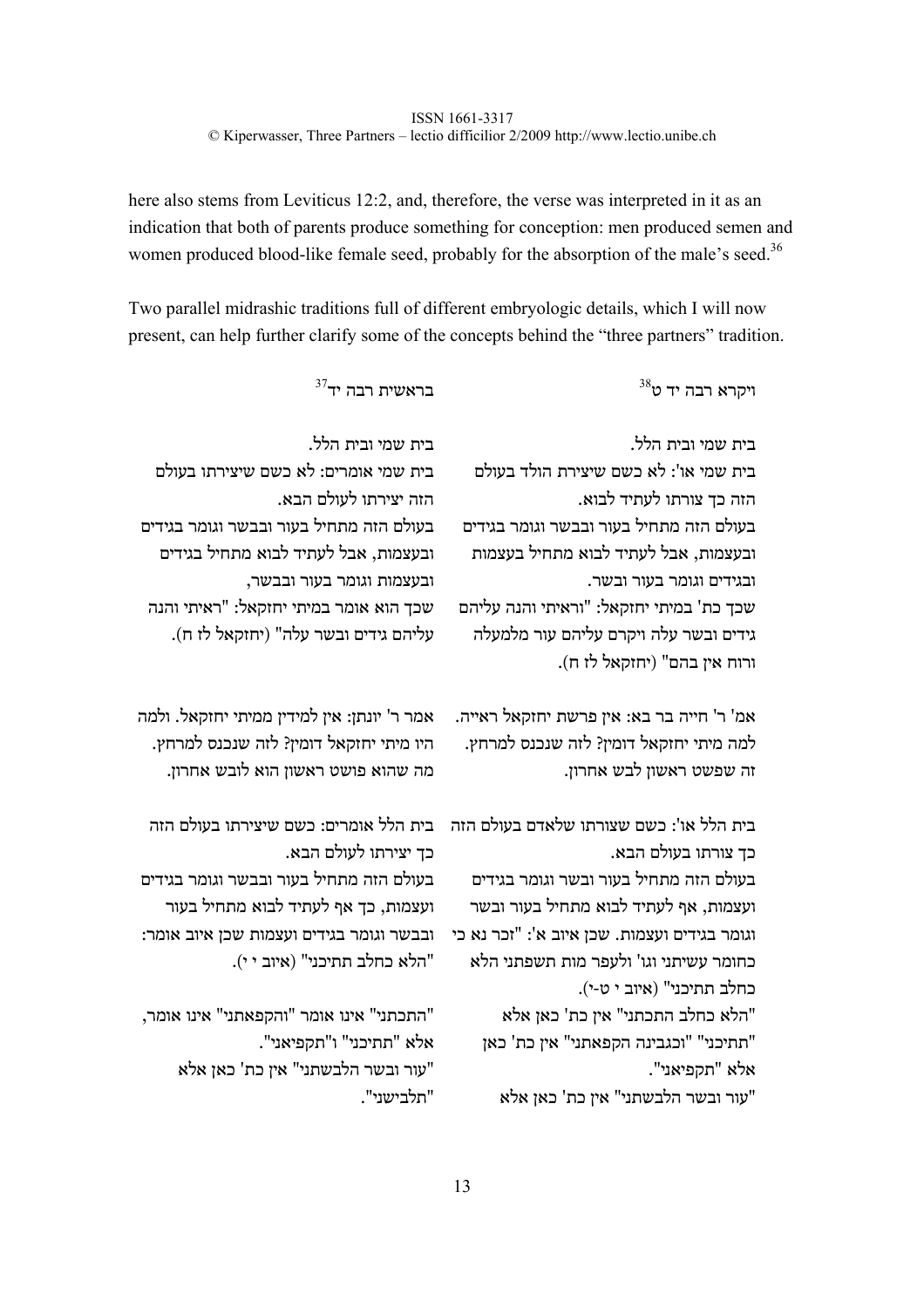here also stems from Leviticus 12:2, and, therefore, the verse was interpreted in it as an indication that both of parents produce something for conception: men produced semen and women produced blood-like female seed, probably for the absorption of the male's seed.<sup>36</sup>

Two parallel midrashic traditions full of different embryologic details, which I will now present, can help further clarify some of the concepts behind the "three partners" tradition.

| $^{38}$ יד יד יד ט                           | $^{37}$ בראשית רבה בר                       |
|----------------------------------------------|---------------------------------------------|
| בית שמי ובית הלל.                            | בית שמי ובית הלל.                           |
| בית שמי או': לא כשם שיצירת הולד בעולם        | בית שמי אומרים: לא כשם שיצירתו בעולם        |
| הזה כך צורתו לעתיד לבוא.                     | הזה יצירתו לעולם הבא.                       |
| בעולם הזה מתחיל בעור ובבשר וגומר בגידים      | בעולם הזה מתחיל בעור ובבשר וגומר בגידים     |
| ובעצמות, אבל לעתיד לבוא מתחיל בעצמות         | ובעצמות, אבל לעתיד לבוא מתחיל בגידים        |
| ובגידים וגומר בעור ובשר.                     | ובעצמות וגומר בעור ובבשר,                   |
| שכך כת' במיתי יחזקאל: "וראיתי והנה עליהם     | שכך הוא אומר במיתי יחזקאל: "ראיתי והנה      |
| גידים ובשר עלה ויקרם עליהם עור מלמעלה        | עליהם גידים ובשר עלה" (יחזקאל לז ח).        |
| ורוח אין בהם" (יחזקאל לז ח).                 |                                             |
| אמ' ר' חייה בר בא: אין פרשת יחזקאל ראייה.    | אמר ר' יונתן: אין למידין ממיתי יחזקאל. ולמה |
| למה מיתי יחזקאל דומין? לזה שנכנס למרחץ.      | היו מיתי יחזקאל דומין? לזה שנכנס למרחץ.     |
| זה שפשט ראשון לבש אחרון.                     | מה שהוא פושט ראשון הוא לובש אחרון.          |
| בית הלל או': כשם שצורתו שלאדם בעולם הזה      | בית הלל אומרים: כשם שיצירתו בעולם הזה       |
| כך צורתו בעולם הבא.                          | כך יצירתו לעולם הבא.                        |
| בעולם הזה מתחיל בעור ובשר וגומר בגידים       | בעולם הזה מתחיל בעור ובבשר וגומר בגידים     |
| ועצמות, אף לעתיד לבוא מתחיל בעור ובשר        | ועצמות, כך אף לעתיד לבוא מתחיל בעור         |
| וגומר בגידים ועצמות. שכן איוב א': "זכר נא כי | ובבשר וגומר בגידים ועצמות שכן איוב אומר:    |
| כחומר עשיתני וגו' ולעפר מות תשפתני הלא       | "הלא כחלב תתיכני" (איוב י י).               |
| כחלב תתיכני" (איוב י ט-י).                   |                                             |
| הלא כחלב התכתני" אין כת' כאן אלא"            | "התכתני" אינו אומר "והקפאתני" אינו אומר,    |
| "תתיכני" "וכגבינה הקפאתני" אין כת' כאן       | אלא "תתיכני" ו"תקפיאני".                    |
| אלא "תקפיאני".                               | עור ובשר הלבשתני" אין כת' כאן אלא"          |
| עור ובשר הלבשתני" אין כת' כאן אלא            | "תלבישני".                                  |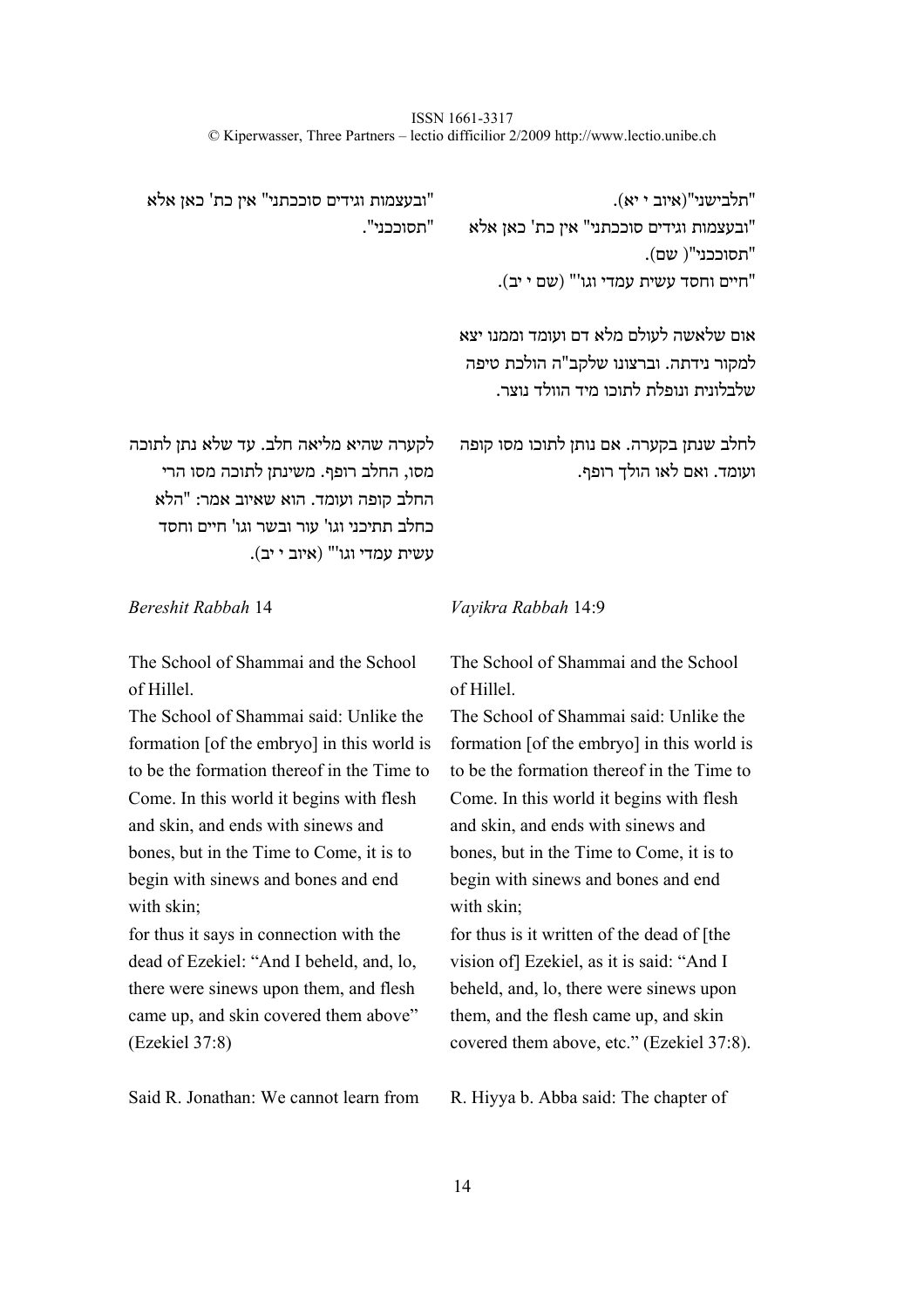> "תלבישני"(איוב י יא). "ובעצמות וגידים סוככתני" אין כת' כאן אלא "תסוככני"( שם). "חיים וחסד עשית עמדי וגו'" (שם י יב).

"ובעצמות וגידים סוככתני" אין כת' כאן אלא "תסוככני".

> אום שלאשה לעולם מלא דם ועומד וממנו יצא למקור נידתה. וברצונו שלקב"ה הולכת טיפה שלבלונית ונופלת לתוכו מיד הוולד נוצר.

> > ועומד. ואם לאו הולך רופף.

לקערה שהיא מליאה חלב. עד שלא נתן לתוכה מסו, החלב רופף. משינתן לתוכה מסו הרי החלב קופה ועומד. הוא שאיוב אמר: "הלא כחלב תתיכני וגו' עור ובשר וגו' חיים וחסד עשית עמדי וגו'" (איוב י יב). לחלב שנתן בקערה. אם נותן לתוכו מסו קופה

*Bereshit Rabbah* 14 *Vayikra Rabbah* 14:9

The School of Shammai and the School of Hillel.

The School of Shammai said: Unlike the formation [of the embryo] in this world is to be the formation thereof in the Time to Come. In this world it begins with flesh and skin, and ends with sinews and bones, but in the Time to Come, it is to begin with sinews and bones and end with skin;

for thus it says in connection with the dead of Ezekiel: "And I beheld, and, lo, there were sinews upon them, and flesh came up, and skin covered them above" (Ezekiel 37:8)

Said R. Jonathan: We cannot learn from R. Hiyya b. Abba said: The chapter of

The School of Shammai and the School of Hillel.

The School of Shammai said: Unlike the formation [of the embryo] in this world is to be the formation thereof in the Time to Come. In this world it begins with flesh and skin, and ends with sinews and bones, but in the Time to Come, it is to begin with sinews and bones and end with skin;

for thus is it written of the dead of [the vision of] Ezekiel, as it is said: "And I beheld, and, lo, there were sinews upon them, and the flesh came up, and skin covered them above, etc." (Ezekiel 37:8).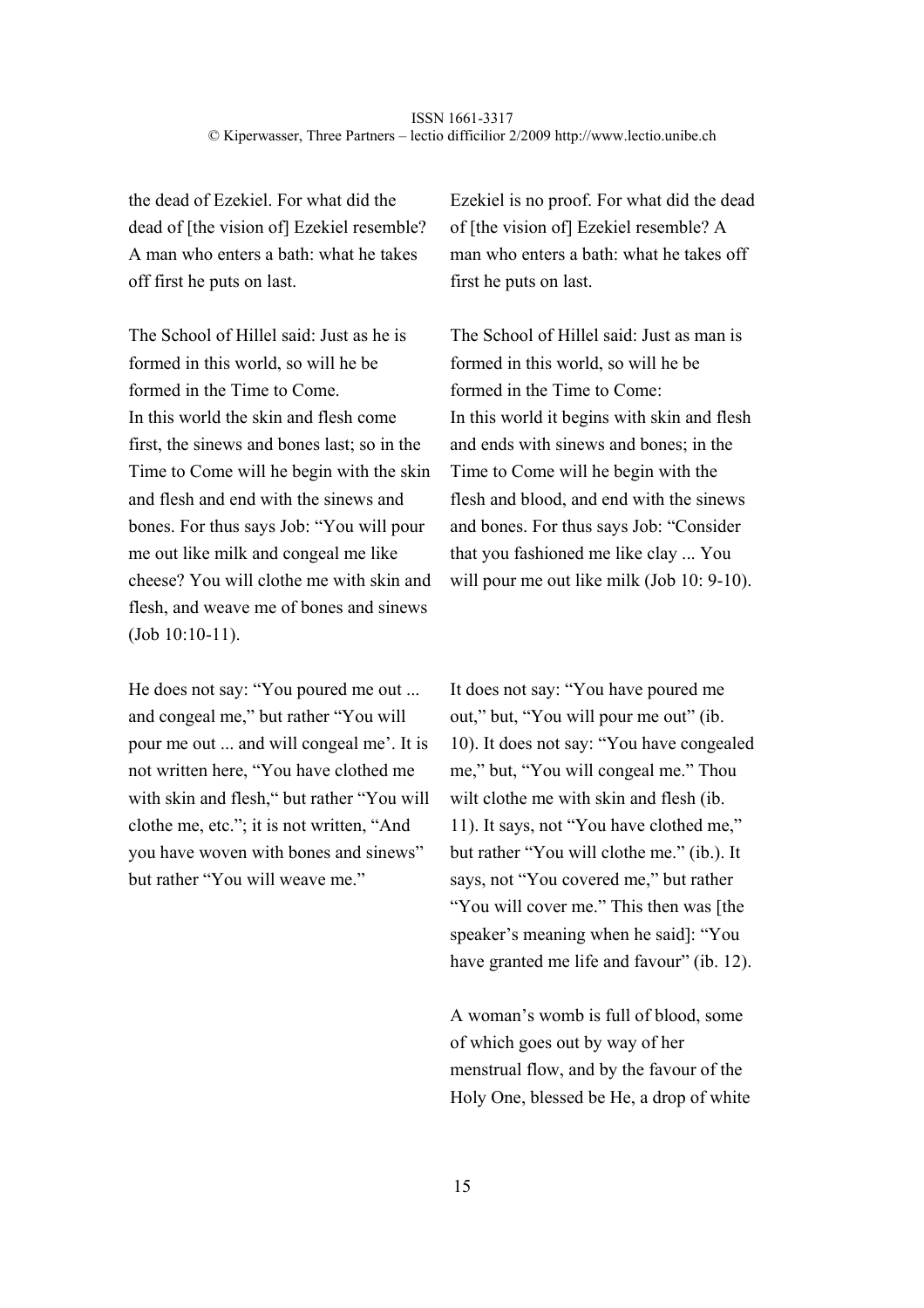the dead of Ezekiel. For what did the dead of [the vision of] Ezekiel resemble? A man who enters a bath: what he takes off first he puts on last.

The School of Hillel said: Just as he is formed in this world, so will he be formed in the Time to Come. In this world the skin and flesh come first, the sinews and bones last; so in the Time to Come will he begin with the skin and flesh and end with the sinews and bones. For thus says Job: "You will pour me out like milk and congeal me like cheese? You will clothe me with skin and flesh, and weave me of bones and sinews (Job 10:10-11).

He does not say: "You poured me out ... and congeal me," but rather "You will pour me out ... and will congeal me'. It is not written here, "You have clothed me with skin and flesh," but rather "You will clothe me, etc."; it is not written, "And you have woven with bones and sinews" but rather "You will weave me."

Ezekiel is no proof. For what did the dead of [the vision of] Ezekiel resemble? A man who enters a bath: what he takes off first he puts on last.

The School of Hillel said: Just as man is formed in this world, so will he be formed in the Time to Come: In this world it begins with skin and flesh and ends with sinews and bones; in the Time to Come will he begin with the flesh and blood, and end with the sinews and bones. For thus says Job: "Consider that you fashioned me like clay ... You will pour me out like milk (Job 10: 9-10).

It does not say: "You have poured me out," but, "You will pour me out" (ib. 10). It does not say: "You have congealed me," but, "You will congeal me." Thou wilt clothe me with skin and flesh *(ib.*) 11). It says, not "You have clothed me," but rather "You will clothe me." (ib.). It says, not "You covered me," but rather "You will cover me." This then was [the speaker's meaning when he said]: "You have granted me life and favour" (ib. 12).

A woman's womb is full of blood, some of which goes out by way of her menstrual flow, and by the favour of the Holy One, blessed be He, a drop of white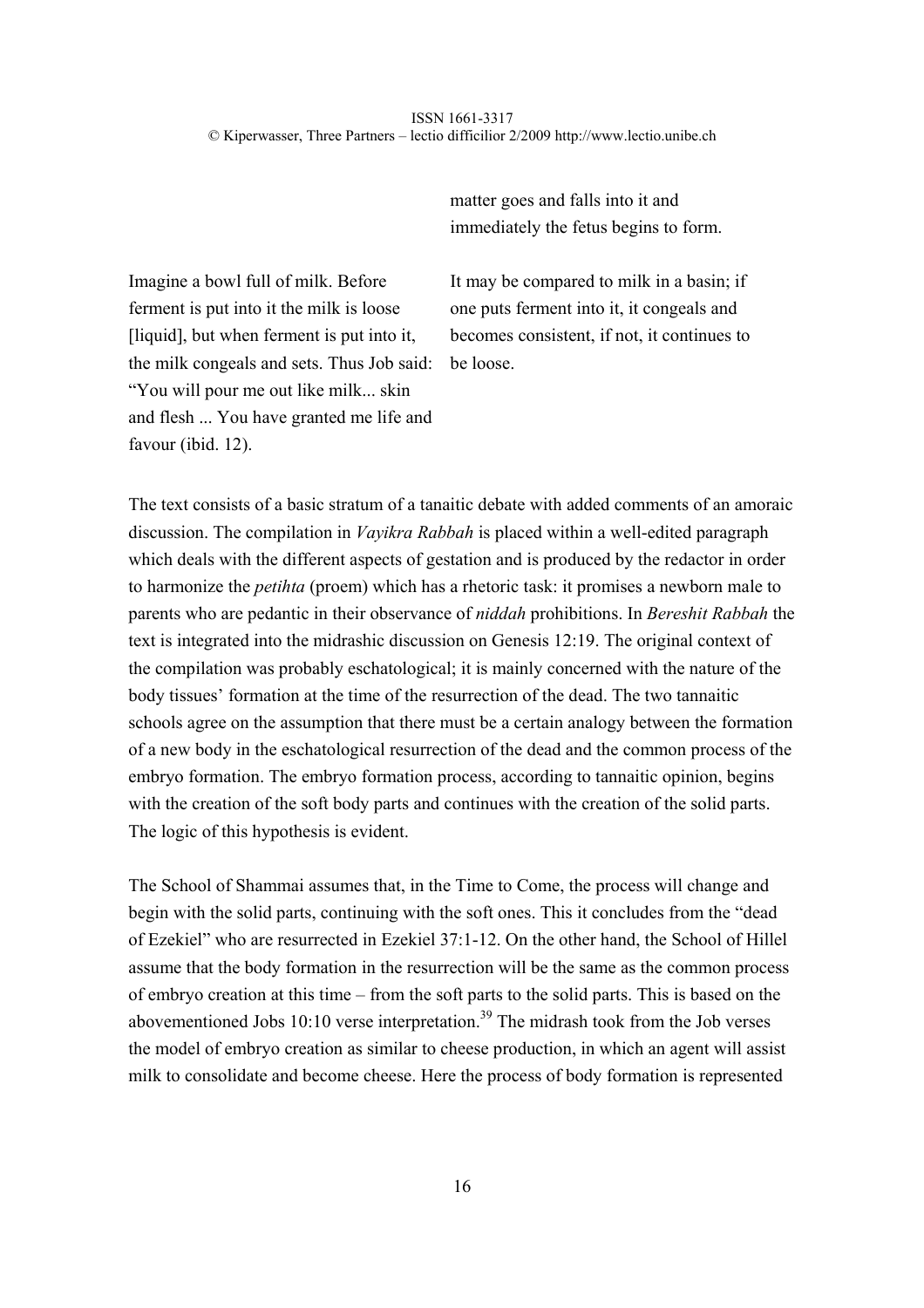matter goes and falls into it and immediately the fetus begins to form.

Imagine a bowl full of milk. Before ferment is put into it the milk is loose [liquid], but when ferment is put into it, the milk congeals and sets. Thus Job said: "You will pour me out like milk... skin and flesh ... You have granted me life and favour (ibid. 12).

It may be compared to milk in a basin; if one puts ferment into it, it congeals and becomes consistent, if not, it continues to be loose.

The text consists of a basic stratum of a tanaitic debate with added comments of an amoraic discussion. The compilation in *Vayikra Rabbah* is placed within a well-edited paragraph which deals with the different aspects of gestation and is produced by the redactor in order to harmonize the *petihta* (proem) which has a rhetoric task: it promises a newborn male to parents who are pedantic in their observance of *niddah* prohibitions. In *Bereshit Rabbah* the text is integrated into the midrashic discussion on Genesis 12:19. The original context of the compilation was probably eschatological; it is mainly concerned with the nature of the body tissues' formation at the time of the resurrection of the dead. The two tannaitic schools agree on the assumption that there must be a certain analogy between the formation of a new body in the eschatological resurrection of the dead and the common process of the embryo formation. The embryo formation process, according to tannaitic opinion, begins with the creation of the soft body parts and continues with the creation of the solid parts. The logic of this hypothesis is evident.

The School of Shammai assumes that, in the Time to Come, the process will change and begin with the solid parts, continuing with the soft ones. This it concludes from the "dead of Ezekiel" who are resurrected in Ezekiel 37:1-12. On the other hand, the School of Hillel assume that the body formation in the resurrection will be the same as the common process of embryo creation at this time – from the soft parts to the solid parts. This is based on the abovementioned Jobs 10:10 verse interpretation.<sup>39</sup> The midrash took from the Job verses the model of embryo creation as similar to cheese production, in which an agent will assist milk to consolidate and become cheese. Here the process of body formation is represented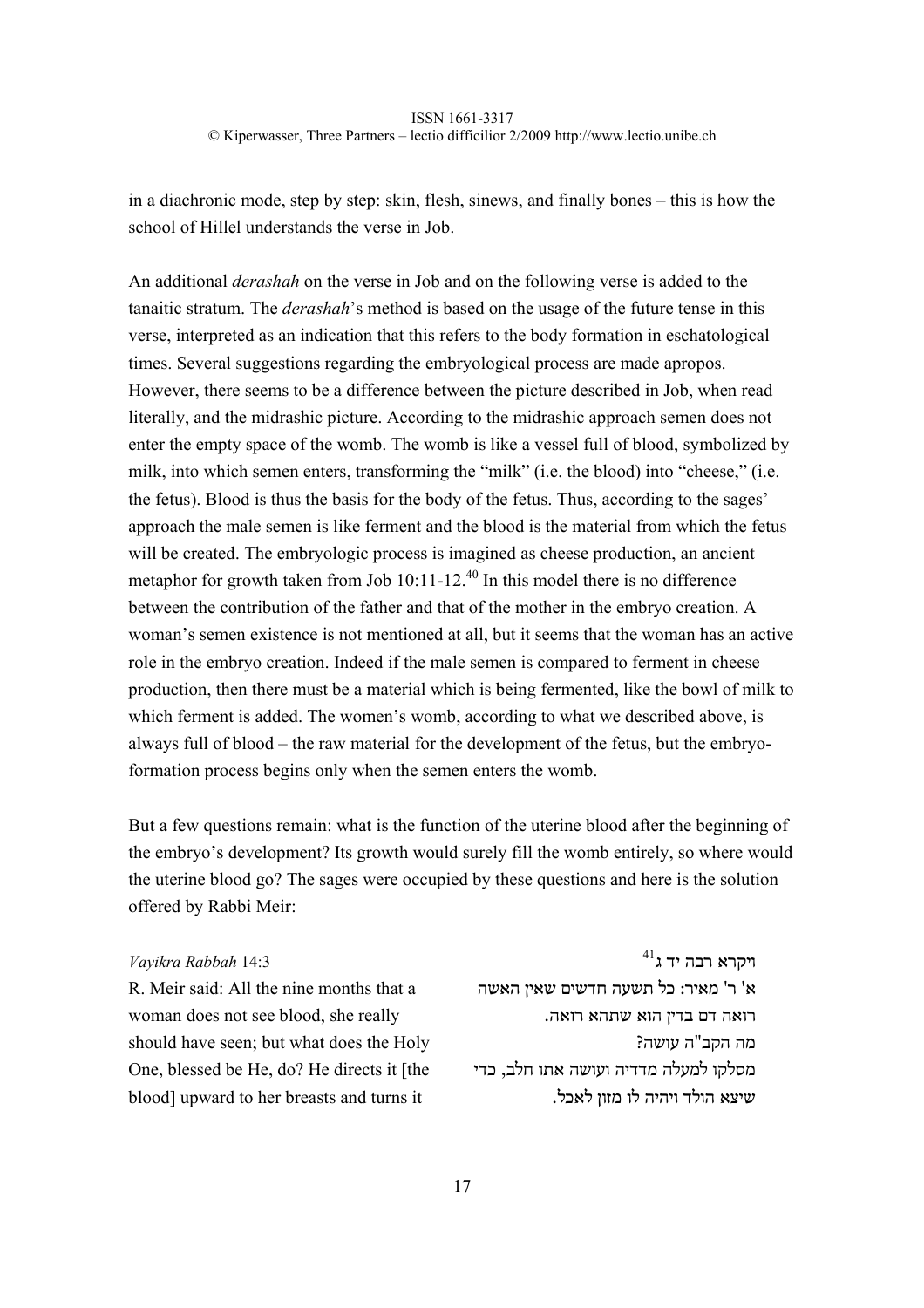in a diachronic mode, step by step: skin, flesh, sinews, and finally bones – this is how the school of Hillel understands the verse in Job.

An additional *derashah* on the verse in Job and on the following verse is added to the tanaitic stratum. The *derashah*'s method is based on the usage of the future tense in this verse, interpreted as an indication that this refers to the body formation in eschatological times. Several suggestions regarding the embryological process are made apropos. However, there seems to be a difference between the picture described in Job, when read literally, and the midrashic picture. According to the midrashic approach semen does not enter the empty space of the womb. The womb is like a vessel full of blood, symbolized by milk, into which semen enters, transforming the "milk" (i.e. the blood) into "cheese," (i.e. the fetus). Blood is thus the basis for the body of the fetus. Thus, according to the sages' approach the male semen is like ferment and the blood is the material from which the fetus will be created. The embryologic process is imagined as cheese production, an ancient metaphor for growth taken from Job  $10:11-12^{40}$  In this model there is no difference between the contribution of the father and that of the mother in the embryo creation. A woman's semen existence is not mentioned at all, but it seems that the woman has an active role in the embryo creation. Indeed if the male semen is compared to ferment in cheese production, then there must be a material which is being fermented, like the bowl of milk to which ferment is added. The women's womb, according to what we described above, is always full of blood – the raw material for the development of the fetus, but the embryoformation process begins only when the semen enters the womb.

But a few questions remain: what is the function of the uterine blood after the beginning of the embryo's development? Its growth would surely fill the womb entirely, so where would the uterine blood go? The sages were occupied by these questions and here is the solution offered by Rabbi Meir:

# ויקרא רבה יד ג 14:3 *Rabbah Vayikra*

R. Meir said: All the nine months that a woman does not see blood, she really should have seen; but what does the Holy One, blessed be He, do? He directs it [the blood] upward to her breasts and turns it

 $^{41}\!$ ייקרא רבה יד א' ר' מאיר: כל תשעה חדשים שאין האשה רואה דם בדין הוא שתהא רואה. מה הקב"ה עושה? מסלקו למעלה מדדיה ועושה אתו חלב, כדי שיצא הולד ויהיה לו מזון לאכל.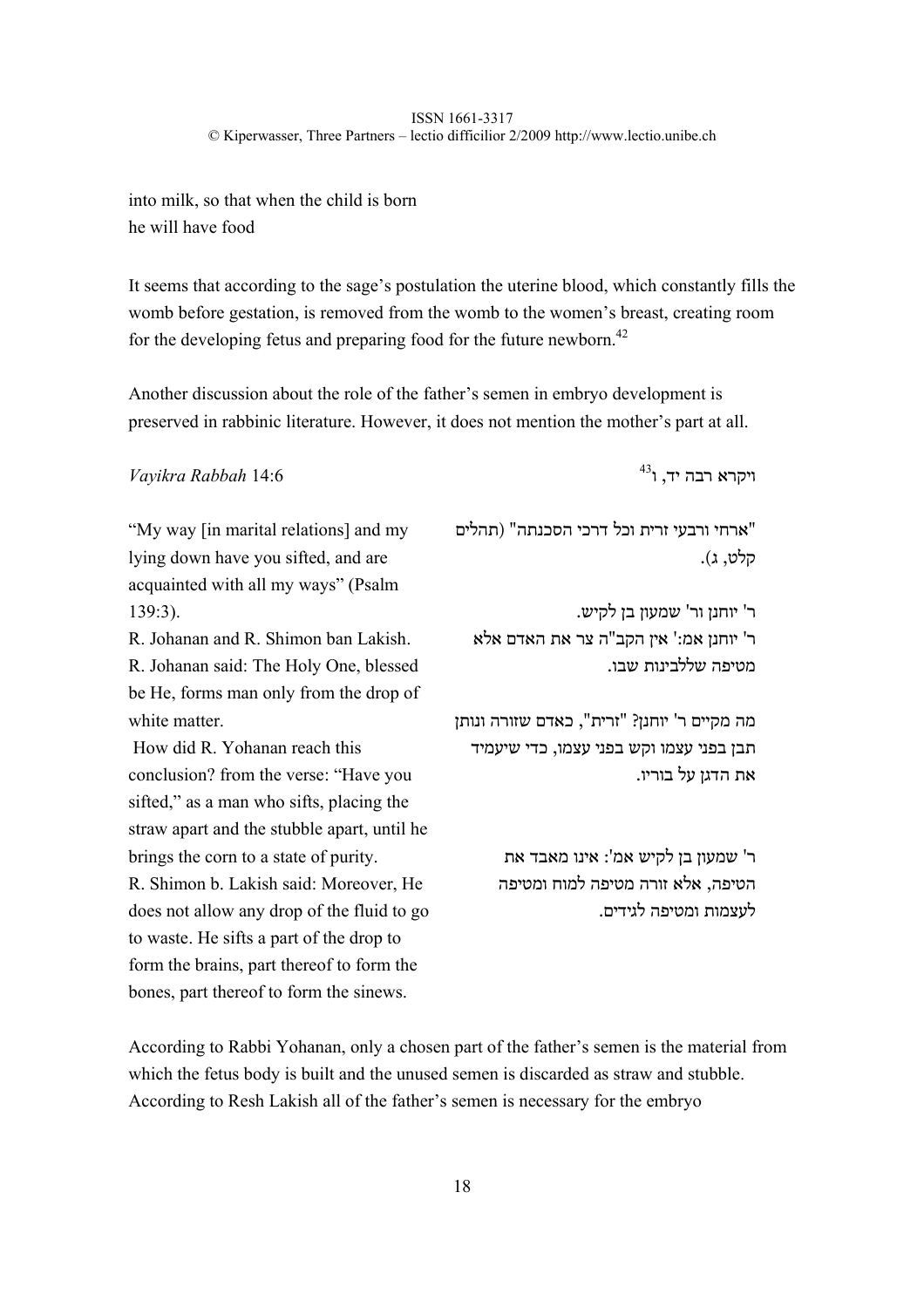into milk, so that when the child is born he will have food

It seems that according to the sage's postulation the uterine blood, which constantly fills the womb before gestation, is removed from the womb to the women's breast, creating room for the developing fetus and preparing food for the future newborn.<sup>42</sup>

Another discussion about the role of the father's semen in embryo development is preserved in rabbinic literature. However, it does not mention the mother's part at all.

ויקרא רבה יד, ו 14:6 *Rabbah Vayikra*

"My way [in marital relations] and my lying down have you sifted, and are acquainted with all my ways" (Psalm 139:3).

R. Johanan and R. Shimon ban Lakish. R. Johanan said: The Holy One, blessed be He, forms man only from the drop of white matter

 How did R. Yohanan reach this conclusion? from the verse: "Have you sifted," as a man who sifts, placing the straw apart and the stubble apart, until he brings the corn to a state of purity. R. Shimon b. Lakish said: Moreover, He does not allow any drop of the fluid to go to waste. He sifts a part of the drop to form the brains, part thereof to form the

bones, part thereof to form the sinews.

 $^{43}$ יקרא רבה יד, ו

"ארחי ורבעי זרית וכל דרכי הסכנתה" (תהלים קלט, ג).

ר' יוחנן ור' שמעון בן לקיש. ר' יוחנן אמ:' אין הקב"ה צר את האדם אלא מטיפה שללבינות שבו.

מה מקיים ר' יוחנן? "זרית", כאדם שזורה ונותן תבן בפני עצמו וקש בפני עצמו, כדי שיעמיד את הדגן על בוריו.

> ר' שמעון בן לקיש אמ': אינו מאבד את הטיפה, אלא זורה מטיפה למוח ומטיפה לעצמות ומטיפה לגידים.

According to Rabbi Yohanan, only a chosen part of the father's semen is the material from which the fetus body is built and the unused semen is discarded as straw and stubble. According to Resh Lakish all of the father's semen is necessary for the embryo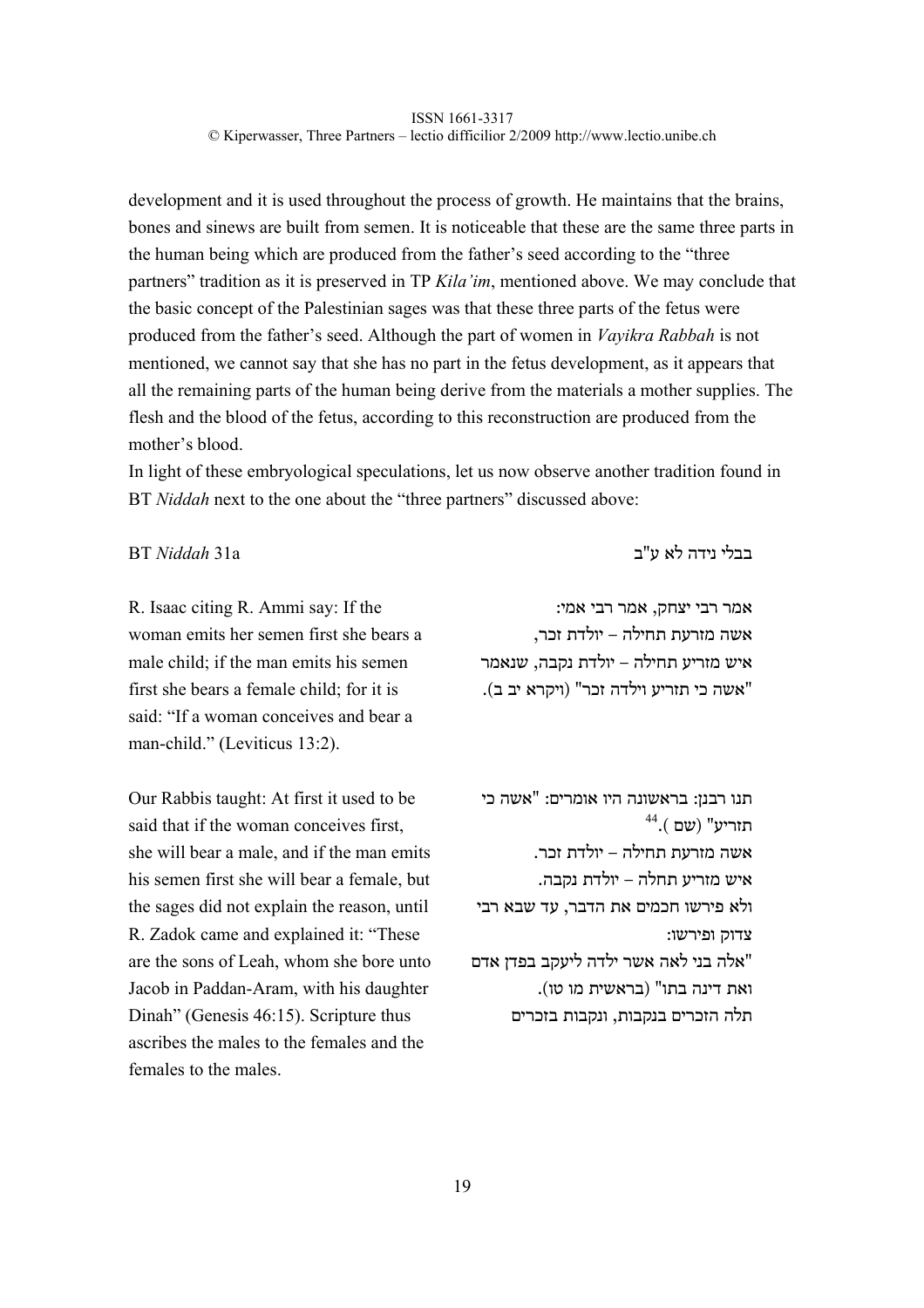development and it is used throughout the process of growth. He maintains that the brains, bones and sinews are built from semen. It is noticeable that these are the same three parts in the human being which are produced from the father's seed according to the "three partners" tradition as it is preserved in TP *Kila'im*, mentioned above. We may conclude that the basic concept of the Palestinian sages was that these three parts of the fetus were produced from the father's seed. Although the part of women in *Vayikra Rabbah* is not mentioned, we cannot say that she has no part in the fetus development, as it appears that all the remaining parts of the human being derive from the materials a mother supplies. The flesh and the blood of the fetus, according to this reconstruction are produced from the mother's blood.

In light of these embryological speculations, let us now observe another tradition found in BT *Niddah* next to the one about the "three partners" discussed above:

R. Isaac citing R. Ammi say: If the woman emits her semen first she bears a male child; if the man emits his semen first she bears a female child; for it is said: "If a woman conceives and bear a man-child." (Leviticus 13:2).

Our Rabbis taught: At first it used to be said that if the woman conceives first, she will bear a male, and if the man emits his semen first she will bear a female, but the sages did not explain the reason, until R. Zadok came and explained it: "These are the sons of Leah, whom she bore unto Jacob in Paddan-Aram, with his daughter Dinah" (Genesis 46:15). Scripture thus ascribes the males to the females and the females to the males.

בבלי נידה לא ע"ב a31 *Niddah* BT

אמר רבי יצחק, אמר רבי אמי: אשה מזרעת תחילה – יולדת זכר, איש מזריע תחילה – יולדת נקבה, שנאמר "אשה כי תזריע וילדה זכר" (ויקרא יב ב).

תנו רבנן: בראשונה היו אומרים: "אשה כי 44 תזריע" (שם ). אשה מזרעת תחילה – יולדת זכר. איש מזריע תחלה – יולדת נקבה. ולא פירשו חכמים את הדבר, עד שבא רבי צדוק ופירשו: "אלה בני לאה אשר ילדה ליעקב בפדן אדם ואת דינה בתו" (בראשית מו טו). תלה הזכרים בנקבות, ונקבות בזכרים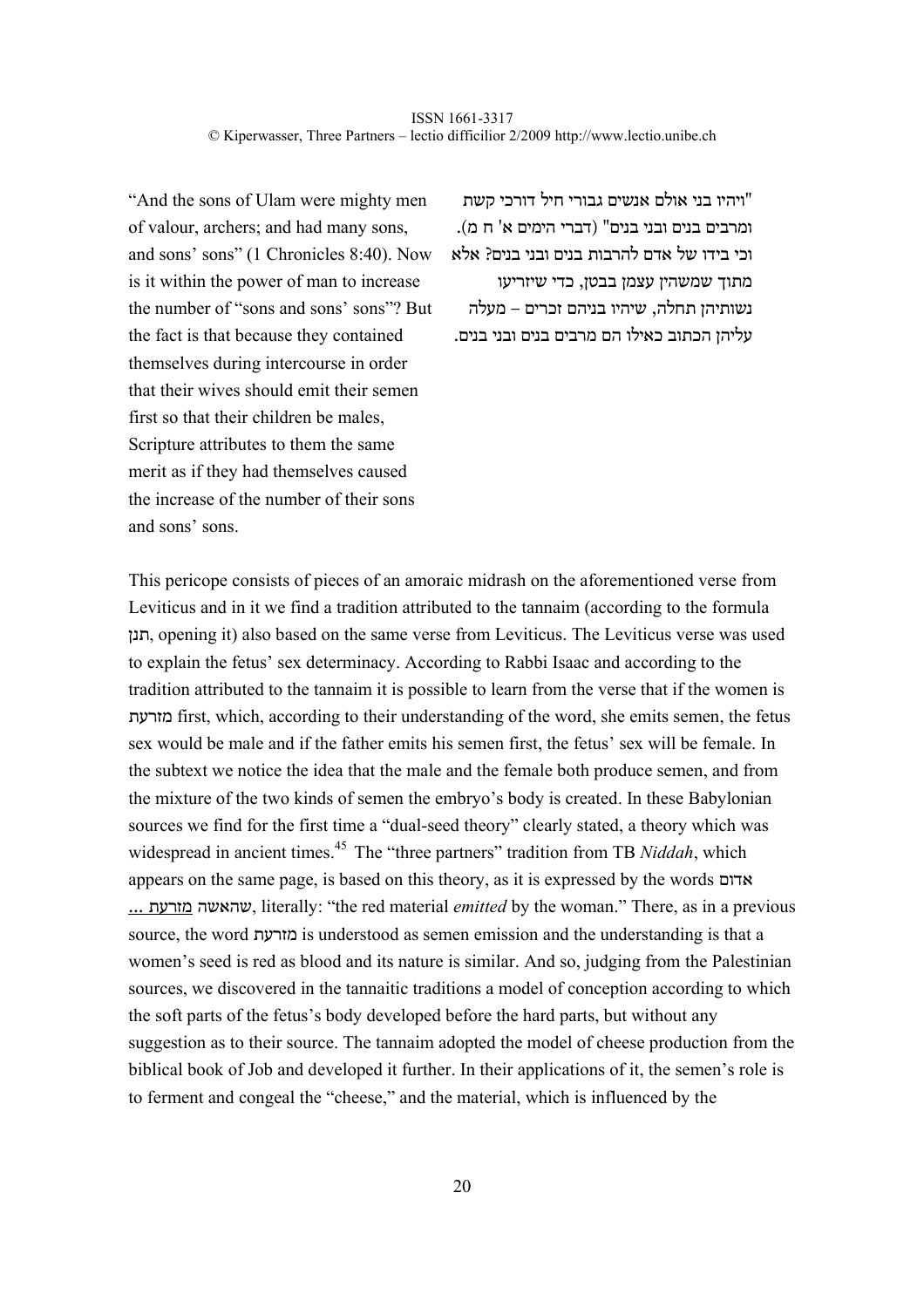"And the sons of Ulam were mighty men of valour, archers; and had many sons, and sons' sons" (1 Chronicles 8:40). Now is it within the power of man to increase the number of "sons and sons' sons"? But the fact is that because they contained themselves during intercourse in order that their wives should emit their semen first so that their children be males, Scripture attributes to them the same merit as if they had themselves caused the increase of the number of their sons and sons' sons.

"ויהיו בני אולם אנשים גבורי חיל דורכי קשת ומרבים בנים ובני בנים" (דברי הימים א' ח מ). וכי בידו של אדם להרבות בנים ובני בנים? אלא מתוך שמשהין עצמן בבטן, כדי שיזריעו נשותיהן תחלה, שיהיו בניהם זכרים – מעלה עליהן הכתוב כאילו הם מרבים בנים ובני בנים.

This pericope consists of pieces of an amoraic midrash on the aforementioned verse from Leviticus and in it we find a tradition attributed to the tannaim (according to the formula תנן, opening it) also based on the same verse from Leviticus. The Leviticus verse was used to explain the fetus' sex determinacy. According to Rabbi Isaac and according to the tradition attributed to the tannaim it is possible to learn from the verse that if the women is מזרעת first, which, according to their understanding of the word, she emits semen, the fetus sex would be male and if the father emits his semen first, the fetus' sex will be female. In the subtext we notice the idea that the male and the female both produce semen, and from the mixture of the two kinds of semen the embryo's body is created. In these Babylonian sources we find for the first time a "dual-seed theory" clearly stated, a theory which was widespread in ancient times.<sup>45</sup> The "three partners" tradition from TB *Niddah*, which appears on the same page, is based on this theory, as it is expressed by the words אדום ... מזרעת שהאשה, literally: "the red material *emitted* by the woman." There, as in a previous source, the word מזרעת is understood as semen emission and the understanding is that a women's seed is red as blood and its nature is similar. And so, judging from the Palestinian sources, we discovered in the tannaitic traditions a model of conception according to which the soft parts of the fetus's body developed before the hard parts, but without any suggestion as to their source. The tannaim adopted the model of cheese production from the biblical book of Job and developed it further. In their applications of it, the semen's role is to ferment and congeal the "cheese," and the material, which is influenced by the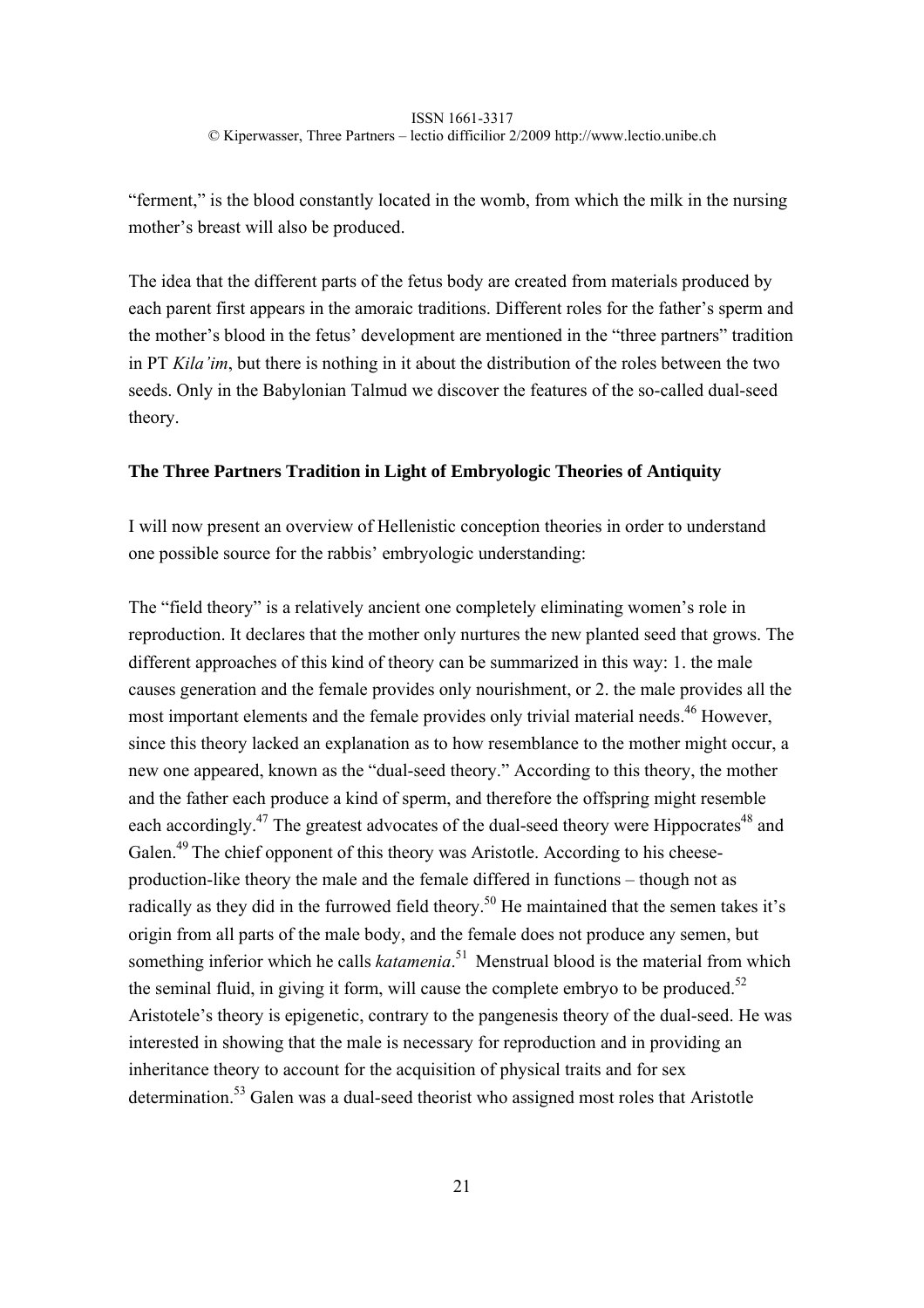"ferment," is the blood constantly located in the womb, from which the milk in the nursing mother's breast will also be produced.

The idea that the different parts of the fetus body are created from materials produced by each parent first appears in the amoraic traditions. Different roles for the father's sperm and the mother's blood in the fetus' development are mentioned in the "three partners" tradition in PT *Kila'im*, but there is nothing in it about the distribution of the roles between the two seeds. Only in the Babylonian Talmud we discover the features of the so-called dual-seed theory.

# **The Three Partners Tradition in Light of Embryologic Theories of Antiquity**

I will now present an overview of Hellenistic conception theories in order to understand one possible source for the rabbis' embryologic understanding:

The "field theory" is a relatively ancient one completely eliminating women's role in reproduction. It declares that the mother only nurtures the new planted seed that grows. The different approaches of this kind of theory can be summarized in this way: 1. the male causes generation and the female provides only nourishment, or 2. the male provides all the most important elements and the female provides only trivial material needs.<sup>46</sup> However, since this theory lacked an explanation as to how resemblance to the mother might occur, a new one appeared, known as the "dual-seed theory." According to this theory, the mother and the father each produce a kind of sperm, and therefore the offspring might resemble each accordingly.<sup>47</sup> The greatest advocates of the dual-seed theory were Hippocrates<sup>48</sup> and Galen.<sup>49</sup> The chief opponent of this theory was Aristotle. According to his cheeseproduction-like theory the male and the female differed in functions – though not as radically as they did in the furrowed field theory.<sup>50</sup> He maintained that the semen takes it's origin from all parts of the male body, and the female does not produce any semen, but something inferior which he calls *katamenia*.<sup>51</sup> Menstrual blood is the material from which the seminal fluid, in giving it form, will cause the complete embryo to be produced.<sup>52</sup> Aristotele's theory is epigenetic, contrary to the pangenesis theory of the dual-seed. He was interested in showing that the male is necessary for reproduction and in providing an inheritance theory to account for the acquisition of physical traits and for sex determination.<sup>53</sup> Galen was a dual-seed theorist who assigned most roles that Aristotle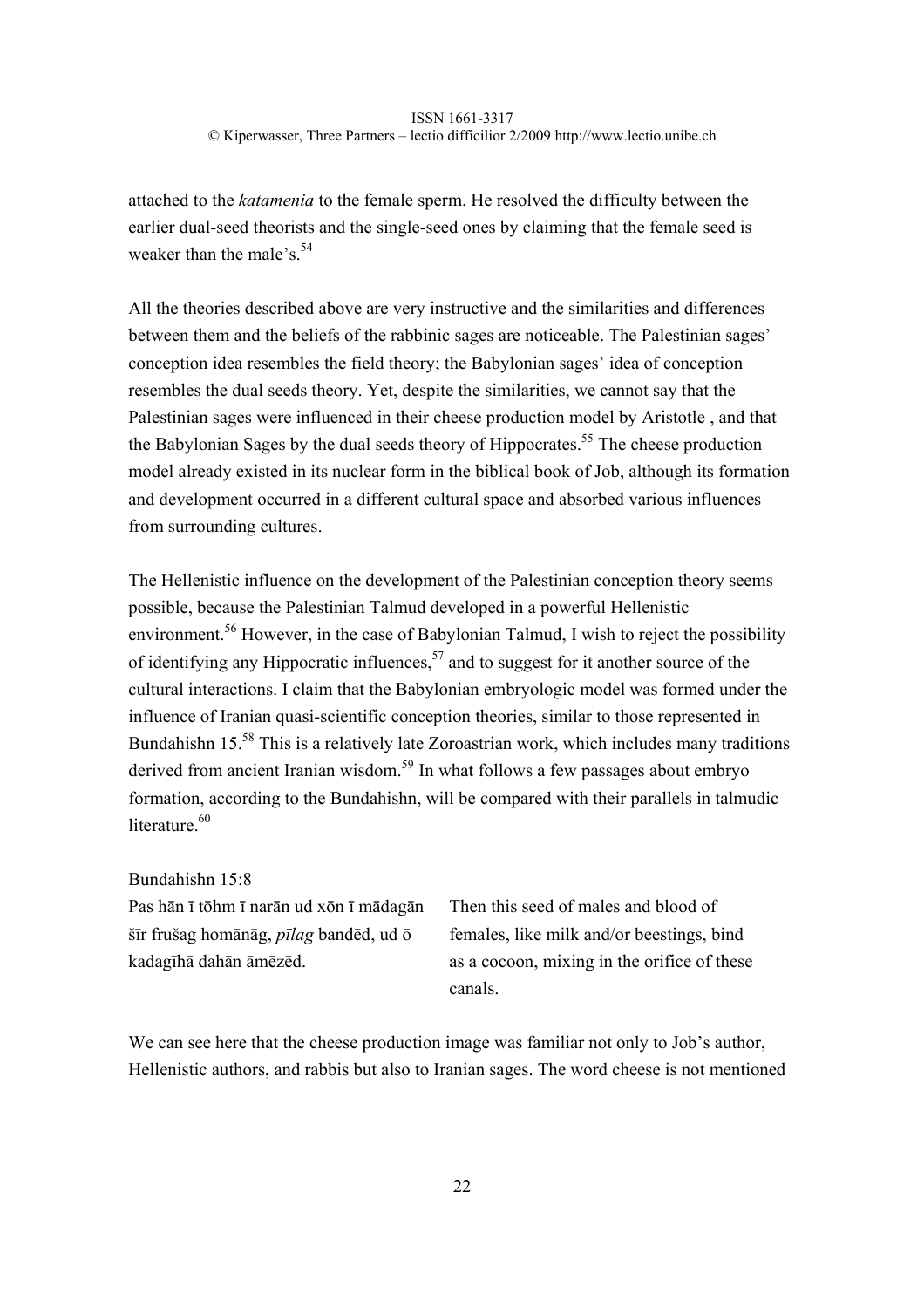attached to the *katamenia* to the female sperm. He resolved the difficulty between the earlier dual-seed theorists and the single-seed ones by claiming that the female seed is weaker than the male's  $54$ 

All the theories described above are very instructive and the similarities and differences between them and the beliefs of the rabbinic sages are noticeable. The Palestinian sages' conception idea resembles the field theory; the Babylonian sages' idea of conception resembles the dual seeds theory. Yet, despite the similarities, we cannot say that the Palestinian sages were influenced in their cheese production model by Aristotle , and that the Babylonian Sages by the dual seeds theory of Hippocrates.<sup>55</sup> The cheese production model already existed in its nuclear form in the biblical book of Job, although its formation and development occurred in a different cultural space and absorbed various influences from surrounding cultures.

The Hellenistic influence on the development of the Palestinian conception theory seems possible, because the Palestinian Talmud developed in a powerful Hellenistic environment.<sup>56</sup> However, in the case of Babylonian Talmud, I wish to reject the possibility of identifying any Hippocratic influences,  $57$  and to suggest for it another source of the cultural interactions. I claim that the Babylonian embryologic model was formed under the influence of Iranian quasi-scientific conception theories, similar to those represented in Bundahishn 15<sup>.58</sup> This is a relatively late Zoroastrian work, which includes many traditions derived from ancient Iranian wisdom.<sup>59</sup> In what follows a few passages about embryo formation, according to the Bundahishn, will be compared with their parallels in talmudic literature.<sup>60</sup>

Bundahishn 15:8

Pas hān ī tōhm ī narān ud xōn ī mādagān šīr frušag homānāg, *pīlag* bandēd, ud ō kadagīhā dahān āmēzēd.

Then this seed of males and blood of females, like milk and/or beestings, bind as a cocoon, mixing in the orifice of these canals.

We can see here that the cheese production image was familiar not only to Job's author, Hellenistic authors, and rabbis but also to Iranian sages. The word cheese is not mentioned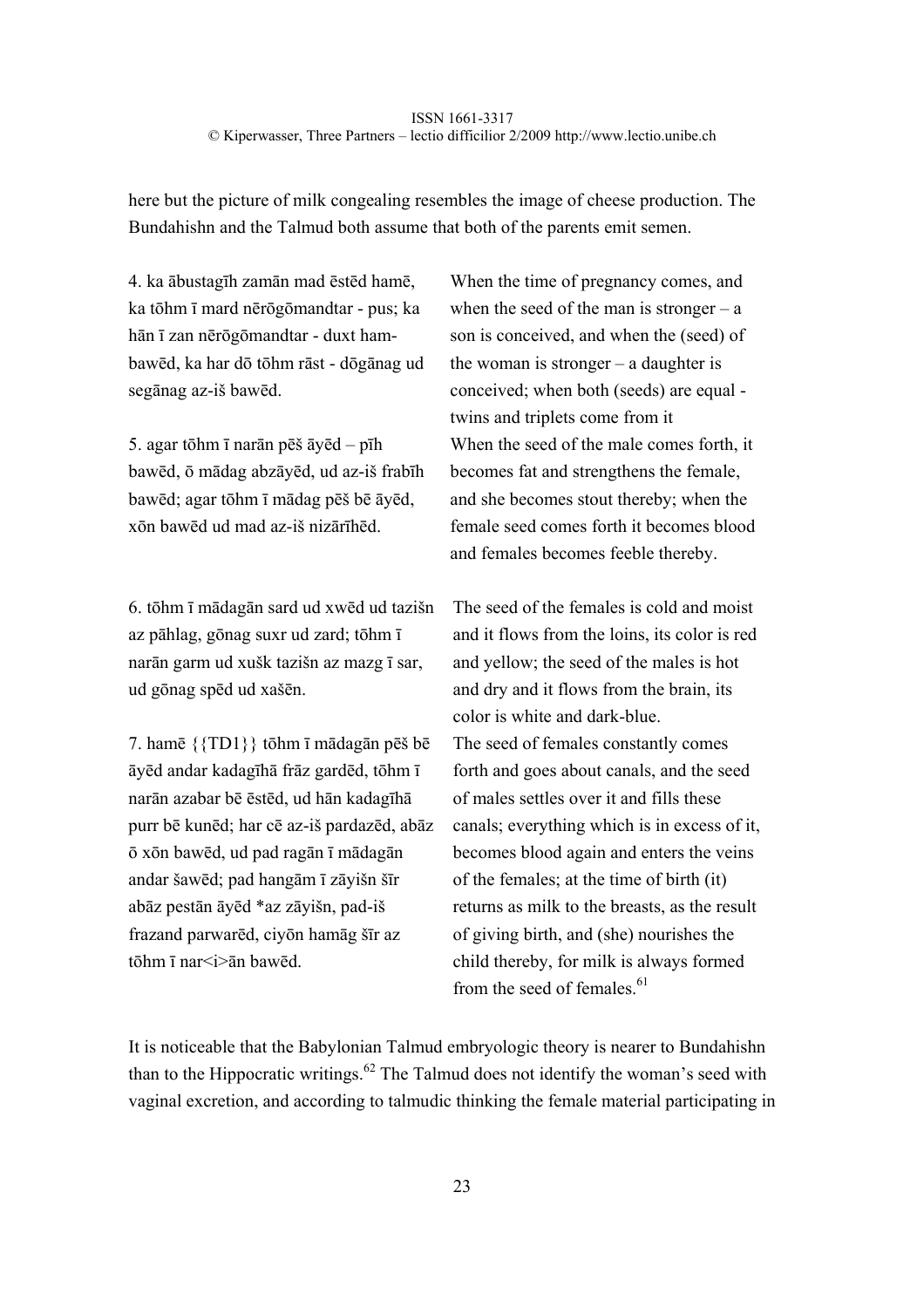here but the picture of milk congealing resembles the image of cheese production. The Bundahishn and the Talmud both assume that both of the parents emit semen.

4. ka ābustagīh zamān mad ēstēd hamē, ka tōhm ī mard nērōgōmandtar - pus; ka hān ī zan nērōgōmandtar - duxt hambawēd, ka har dō tōhm rāst - dōgānag ud segānag az-iš bawēd.

5. agar tōhm ī narān pēš āyēd – pīh bawēd, ō mādag abzāyēd, ud az-iš frabīh bawēd; agar tōhm ī mādag pēš bē āyēd, xōn bawēd ud mad az-iš nizārīhēd.

6. tōhm ī mādagān sard ud xwēd ud tazišn az pāhlag, gōnag suxr ud zard; tōhm ī narān garm ud xušk tazišn az mazg ī sar, ud gōnag spēd ud xašēn.

7. hamē {{TD1}} tōhm ī mādagān pēš bē āyēd andar kadagīhā frāz gardēd, tōhm ī narān azabar bē ēstēd, ud hān kadagīhā purr bē kunēd; har cē az-iš pardazēd, abāz ō xōn bawēd, ud pad ragān ī mādagān andar šawēd; pad hangām ī zāyišn šīr abāz pestān āyēd \*az zāyišn, pad-iš frazand parwarēd, ciyōn hamāg šīr az tōhm ī nar<i>ān bawēd.

When the time of pregnancy comes, and when the seed of the man is stronger –  $a$ son is conceived, and when the (seed) of the woman is stronger  $-$  a daughter is conceived; when both (seeds) are equal twins and triplets come from it When the seed of the male comes forth, it becomes fat and strengthens the female, and she becomes stout thereby; when the female seed comes forth it becomes blood and females becomes feeble thereby.

The seed of the females is cold and moist and it flows from the loins, its color is red and yellow; the seed of the males is hot and dry and it flows from the brain, its color is white and dark-blue. The seed of females constantly comes forth and goes about canals, and the seed of males settles over it and fills these canals; everything which is in excess of it, becomes blood again and enters the veins of the females; at the time of birth (it) returns as milk to the breasts, as the result of giving birth, and (she) nourishes the child thereby, for milk is always formed from the seed of females. $61$ 

It is noticeable that the Babylonian Talmud embryologic theory is nearer to Bundahishn than to the Hippocratic writings.<sup>62</sup> The Talmud does not identify the woman's seed with vaginal excretion, and according to talmudic thinking the female material participating in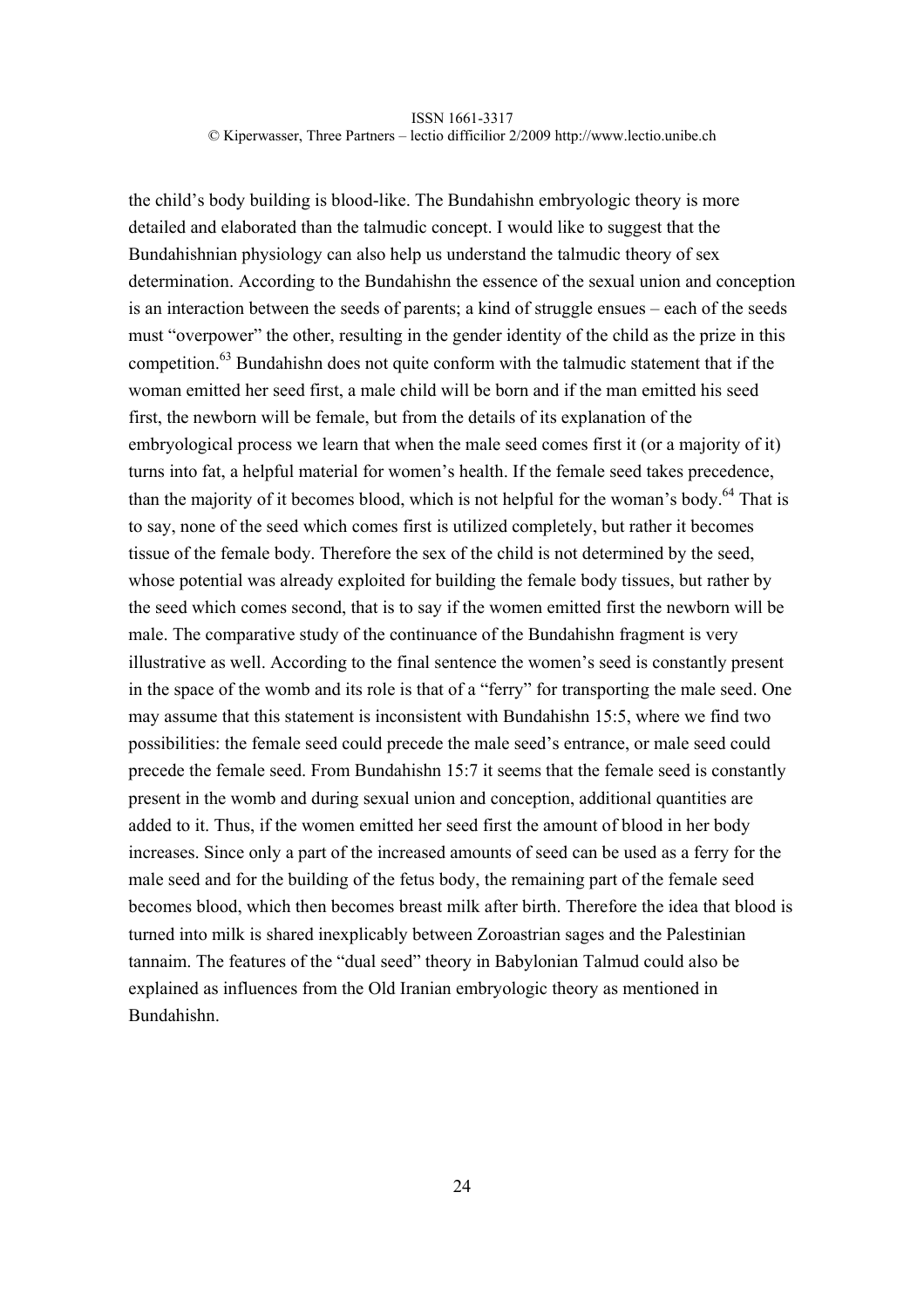the child's body building is blood-like. The Bundahishn embryologic theory is more detailed and elaborated than the talmudic concept. I would like to suggest that the Bundahishnian physiology can also help us understand the talmudic theory of sex determination. According to the Bundahishn the essence of the sexual union and conception is an interaction between the seeds of parents; a kind of struggle ensues – each of the seeds must "overpower" the other, resulting in the gender identity of the child as the prize in this competition. $63$  Bundahishn does not quite conform with the talmudic statement that if the woman emitted her seed first, a male child will be born and if the man emitted his seed first, the newborn will be female, but from the details of its explanation of the embryological process we learn that when the male seed comes first it (or a majority of it) turns into fat, a helpful material for women's health. If the female seed takes precedence, than the majority of it becomes blood, which is not helpful for the woman's body.<sup>64</sup> That is to say, none of the seed which comes first is utilized completely, but rather it becomes tissue of the female body. Therefore the sex of the child is not determined by the seed, whose potential was already exploited for building the female body tissues, but rather by the seed which comes second, that is to say if the women emitted first the newborn will be male. The comparative study of the continuance of the Bundahishn fragment is very illustrative as well. According to the final sentence the women's seed is constantly present in the space of the womb and its role is that of a "ferry" for transporting the male seed. One may assume that this statement is inconsistent with Bundahishn 15:5, where we find two possibilities: the female seed could precede the male seed's entrance, or male seed could precede the female seed. From Bundahishn 15:7 it seems that the female seed is constantly present in the womb and during sexual union and conception, additional quantities are added to it. Thus, if the women emitted her seed first the amount of blood in her body increases. Since only a part of the increased amounts of seed can be used as a ferry for the male seed and for the building of the fetus body, the remaining part of the female seed becomes blood, which then becomes breast milk after birth. Therefore the idea that blood is turned into milk is shared inexplicably between Zoroastrian sages and the Palestinian tannaim. The features of the "dual seed" theory in Babylonian Talmud could also be explained as influences from the Old Iranian embryologic theory as mentioned in Bundahishn.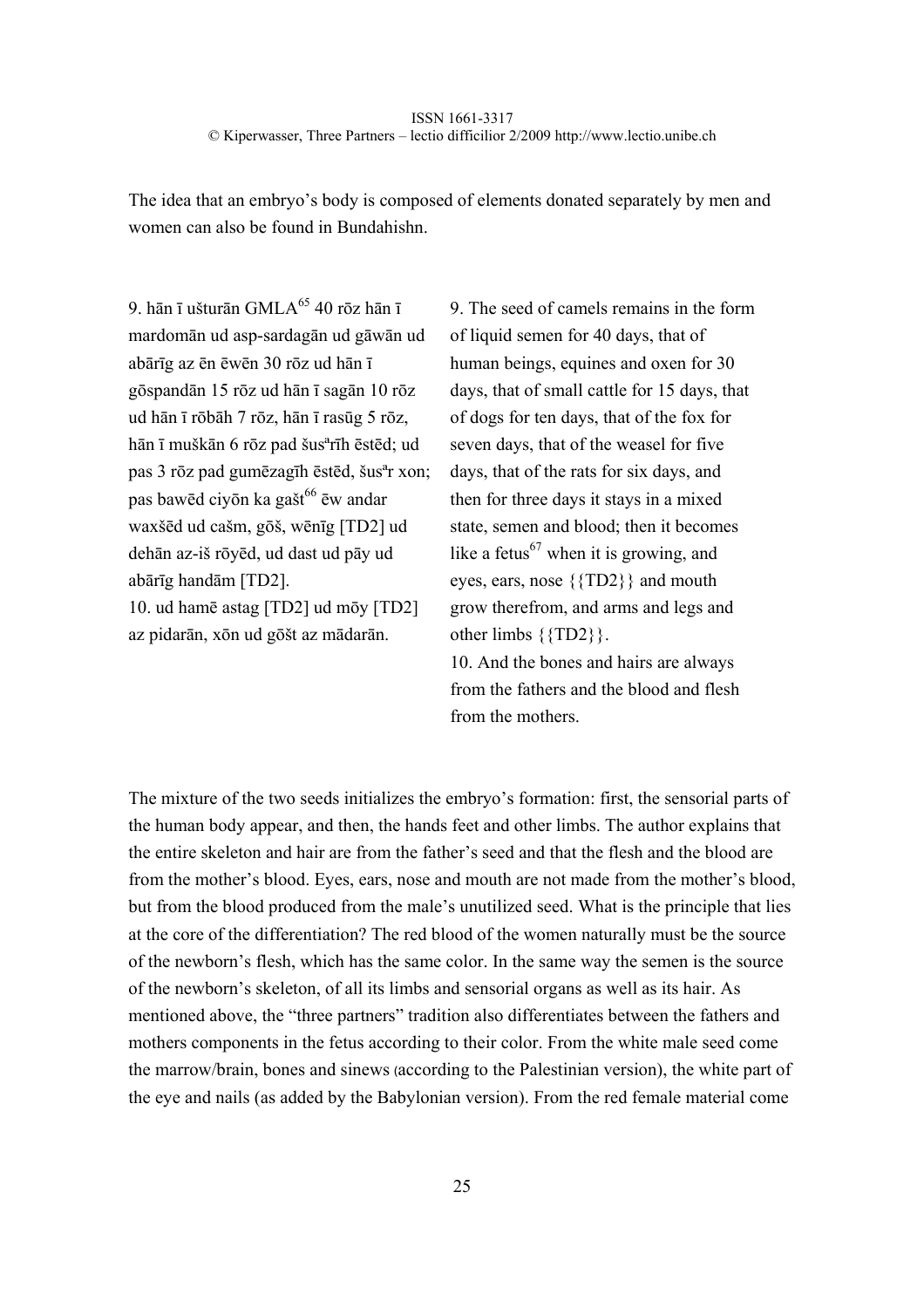The idea that an embryo's body is composed of elements donated separately by men and women can also be found in Bundahishn.

9. hān ī ušturān GMLA<sup>65</sup> 40 rōz hān ī mardomān ud asp-sardagān ud gāwān ud abārīg az ēn ēwēn 30 rōz ud hān ī gōspandān 15 rōz ud hān ī sagān 10 rōz ud hān ī rōbāh 7 rōz, hān ī rasūg 5 rōz, hān ī muškān 6 rōz pad šusªrīh ēstēd; ud pas 3 rōz pad gumēzagīh ēstēd, šusªr xon; pas bawēd ciyōn ka gašt<sup>66</sup> ēw andar waxšēd ud cašm, gōš, wēnīg [TD2] ud dehān az-iš rōyēd, ud dast ud pāy ud abārīg handām [TD2].

10. ud hamē astag [TD2] ud mōy [TD2] az pidarān, xōn ud gōšt az mādarān.

9. The seed of camels remains in the form of liquid semen for 40 days, that of human beings, equines and oxen for 30 days, that of small cattle for 15 days, that of dogs for ten days, that of the fox for seven days, that of the weasel for five days, that of the rats for six days, and then for three days it stays in a mixed state, semen and blood; then it becomes like a fetus<sup>67</sup> when it is growing, and eyes, ears, nose {{TD2}} and mouth grow therefrom, and arms and legs and other limbs {{TD2}}.

10. And the bones and hairs are always from the fathers and the blood and flesh from the mothers.

The mixture of the two seeds initializes the embryo's formation: first, the sensorial parts of the human body appear, and then, the hands feet and other limbs. The author explains that the entire skeleton and hair are from the father's seed and that the flesh and the blood are from the mother's blood. Eyes, ears, nose and mouth are not made from the mother's blood, but from the blood produced from the male's unutilized seed. What is the principle that lies at the core of the differentiation? The red blood of the women naturally must be the source of the newborn's flesh, which has the same color. In the same way the semen is the source of the newborn's skeleton, of all its limbs and sensorial organs as well as its hair. As mentioned above, the "three partners" tradition also differentiates between the fathers and mothers components in the fetus according to their color. From the white male seed come the marrow/brain, bones and sinews (according to the Palestinian version), the white part of the eye and nails (as added by the Babylonian version). From the red female material come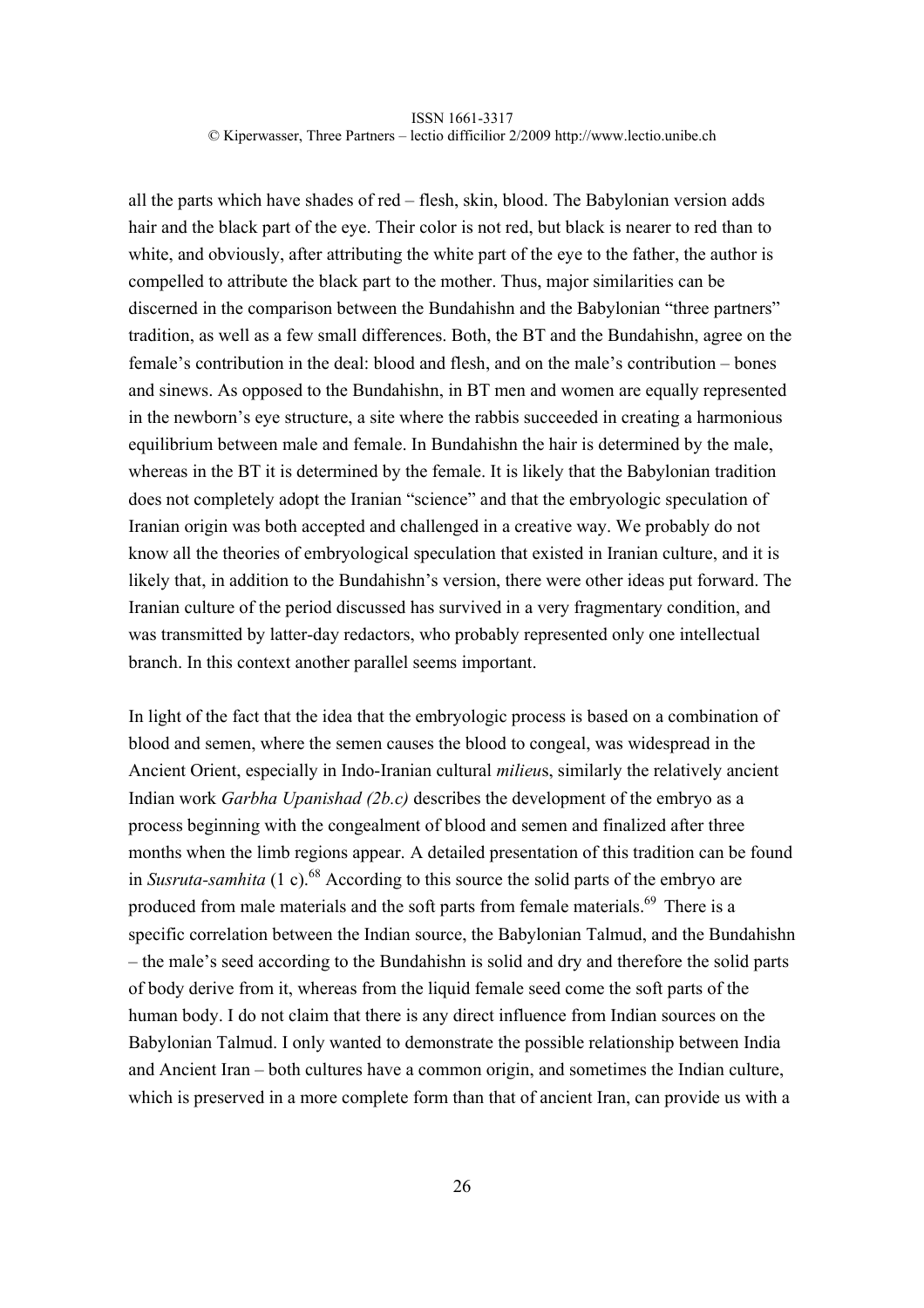all the parts which have shades of red – flesh, skin, blood. The Babylonian version adds hair and the black part of the eye. Their color is not red, but black is nearer to red than to white, and obviously, after attributing the white part of the eye to the father, the author is compelled to attribute the black part to the mother. Thus, major similarities can be discerned in the comparison between the Bundahishn and the Babylonian "three partners" tradition, as well as a few small differences. Both, the BT and the Bundahishn, agree on the female's contribution in the deal: blood and flesh, and on the male's contribution – bones and sinews. As opposed to the Bundahishn, in BT men and women are equally represented in the newborn's eye structure, a site where the rabbis succeeded in creating a harmonious equilibrium between male and female. In Bundahishn the hair is determined by the male, whereas in the BT it is determined by the female. It is likely that the Babylonian tradition does not completely adopt the Iranian "science" and that the embryologic speculation of Iranian origin was both accepted and challenged in a creative way. We probably do not know all the theories of embryological speculation that existed in Iranian culture, and it is likely that, in addition to the Bundahishn's version, there were other ideas put forward. The Iranian culture of the period discussed has survived in a very fragmentary condition, and was transmitted by latter-day redactors, who probably represented only one intellectual branch. In this context another parallel seems important.

In light of the fact that the idea that the embryologic process is based on a combination of blood and semen, where the semen causes the blood to congeal, was widespread in the Ancient Orient, especially in Indo-Iranian cultural *milieu*s, similarly the relatively ancient Indian work *Garbha Upanishad (2b.c)* describes the development of the embryo as a process beginning with the congealment of blood and semen and finalized after three months when the limb regions appear. A detailed presentation of this tradition can be found in *Susruta-samhita* (1 c).<sup>68</sup> According to this source the solid parts of the embryo are produced from male materials and the soft parts from female materials.<sup>69</sup> There is a specific correlation between the Indian source, the Babylonian Talmud, and the Bundahishn – the male's seed according to the Bundahishn is solid and dry and therefore the solid parts of body derive from it, whereas from the liquid female seed come the soft parts of the human body. I do not claim that there is any direct influence from Indian sources on the Babylonian Talmud. I only wanted to demonstrate the possible relationship between India and Ancient Iran – both cultures have a common origin, and sometimes the Indian culture, which is preserved in a more complete form than that of ancient Iran, can provide us with a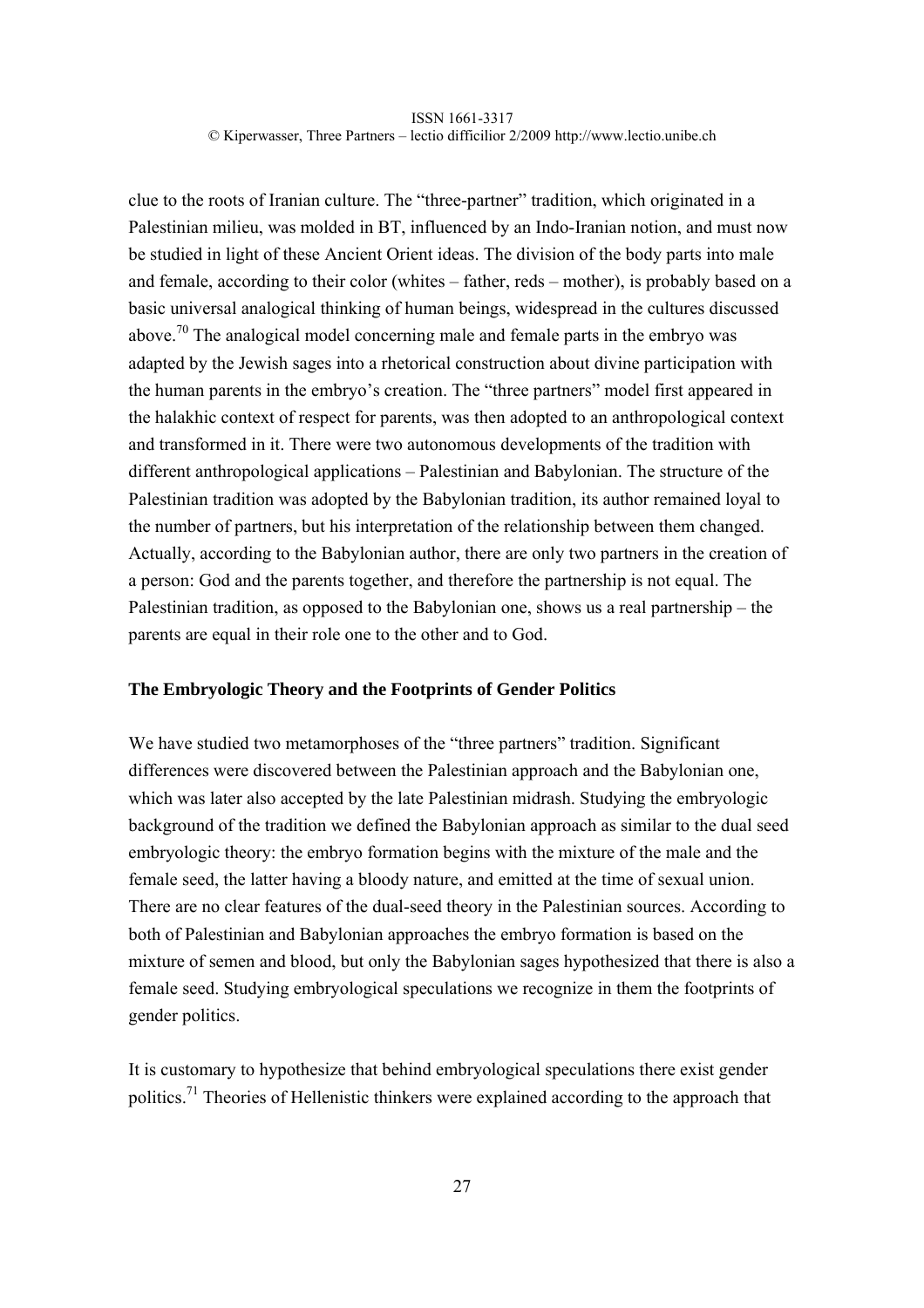clue to the roots of Iranian culture. The "three-partner" tradition, which originated in a Palestinian milieu, was molded in BT, influenced by an Indo-Iranian notion, and must now be studied in light of these Ancient Orient ideas. The division of the body parts into male and female, according to their color (whites – father, reds – mother), is probably based on a basic universal analogical thinking of human beings, widespread in the cultures discussed above.<sup>70</sup> The analogical model concerning male and female parts in the embryo was adapted by the Jewish sages into a rhetorical construction about divine participation with the human parents in the embryo's creation. The "three partners" model first appeared in the halakhic context of respect for parents, was then adopted to an anthropological context and transformed in it. There were two autonomous developments of the tradition with different anthropological applications – Palestinian and Babylonian. The structure of the Palestinian tradition was adopted by the Babylonian tradition, its author remained loyal to the number of partners, but his interpretation of the relationship between them changed. Actually, according to the Babylonian author, there are only two partners in the creation of a person: God and the parents together, and therefore the partnership is not equal. The Palestinian tradition, as opposed to the Babylonian one, shows us a real partnership – the parents are equal in their role one to the other and to God.

# **The Embryologic Theory and the Footprints of Gender Politics**

We have studied two metamorphoses of the "three partners" tradition. Significant differences were discovered between the Palestinian approach and the Babylonian one, which was later also accepted by the late Palestinian midrash. Studying the embryologic background of the tradition we defined the Babylonian approach as similar to the dual seed embryologic theory: the embryo formation begins with the mixture of the male and the female seed, the latter having a bloody nature, and emitted at the time of sexual union. There are no clear features of the dual-seed theory in the Palestinian sources. According to both of Palestinian and Babylonian approaches the embryo formation is based on the mixture of semen and blood, but only the Babylonian sages hypothesized that there is also a female seed. Studying embryological speculations we recognize in them the footprints of gender politics.

It is customary to hypothesize that behind embryological speculations there exist gender politics.71 Theories of Hellenistic thinkers were explained according to the approach that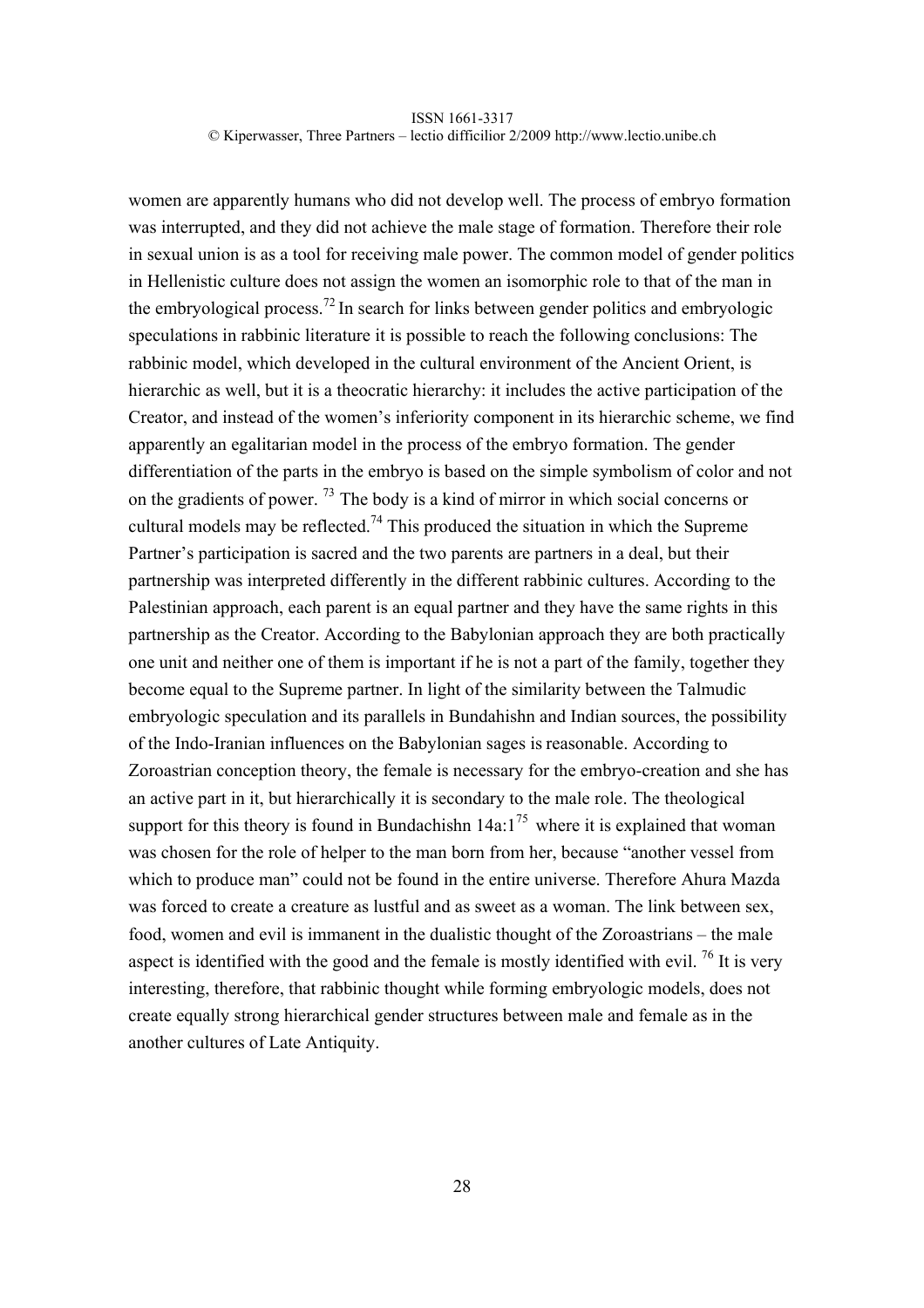women are apparently humans who did not develop well. The process of embryo formation was interrupted, and they did not achieve the male stage of formation. Therefore their role in sexual union is as a tool for receiving male power. The common model of gender politics in Hellenistic culture does not assign the women an isomorphic role to that of the man in the embryological process.<sup>72</sup> In search for links between gender politics and embryologic speculations in rabbinic literature it is possible to reach the following conclusions: The rabbinic model, which developed in the cultural environment of the Ancient Orient, is hierarchic as well, but it is a theocratic hierarchy: it includes the active participation of the Creator, and instead of the women's inferiority component in its hierarchic scheme, we find apparently an egalitarian model in the process of the embryo formation. The gender differentiation of the parts in the embryo is based on the simple symbolism of color and not on the gradients of power.<sup>73</sup> The body is a kind of mirror in which social concerns or cultural models may be reflected.<sup>74</sup> This produced the situation in which the Supreme Partner's participation is sacred and the two parents are partners in a deal, but their partnership was interpreted differently in the different rabbinic cultures. According to the Palestinian approach, each parent is an equal partner and they have the same rights in this partnership as the Creator. According to the Babylonian approach they are both practically one unit and neither one of them is important if he is not a part of the family, together they become equal to the Supreme partner. In light of the similarity between the Talmudic embryologic speculation and its parallels in Bundahishn and Indian sources, the possibility of the Indo-Iranian influences on the Babylonian sages is reasonable. According to Zoroastrian conception theory, the female is necessary for the embryo-creation and she has an active part in it, but hierarchically it is secondary to the male role. The theological support for this theory is found in Bundachishn  $14a:1^{75}$  where it is explained that woman was chosen for the role of helper to the man born from her, because "another vessel from which to produce man" could not be found in the entire universe. Therefore Ahura Mazda was forced to create a creature as lustful and as sweet as a woman. The link between sex, food, women and evil is immanent in the dualistic thought of the Zoroastrians – the male aspect is identified with the good and the female is mostly identified with evil. <sup>76</sup> It is very interesting, therefore, that rabbinic thought while forming embryologic models, does not create equally strong hierarchical gender structures between male and female as in the another cultures of Late Antiquity.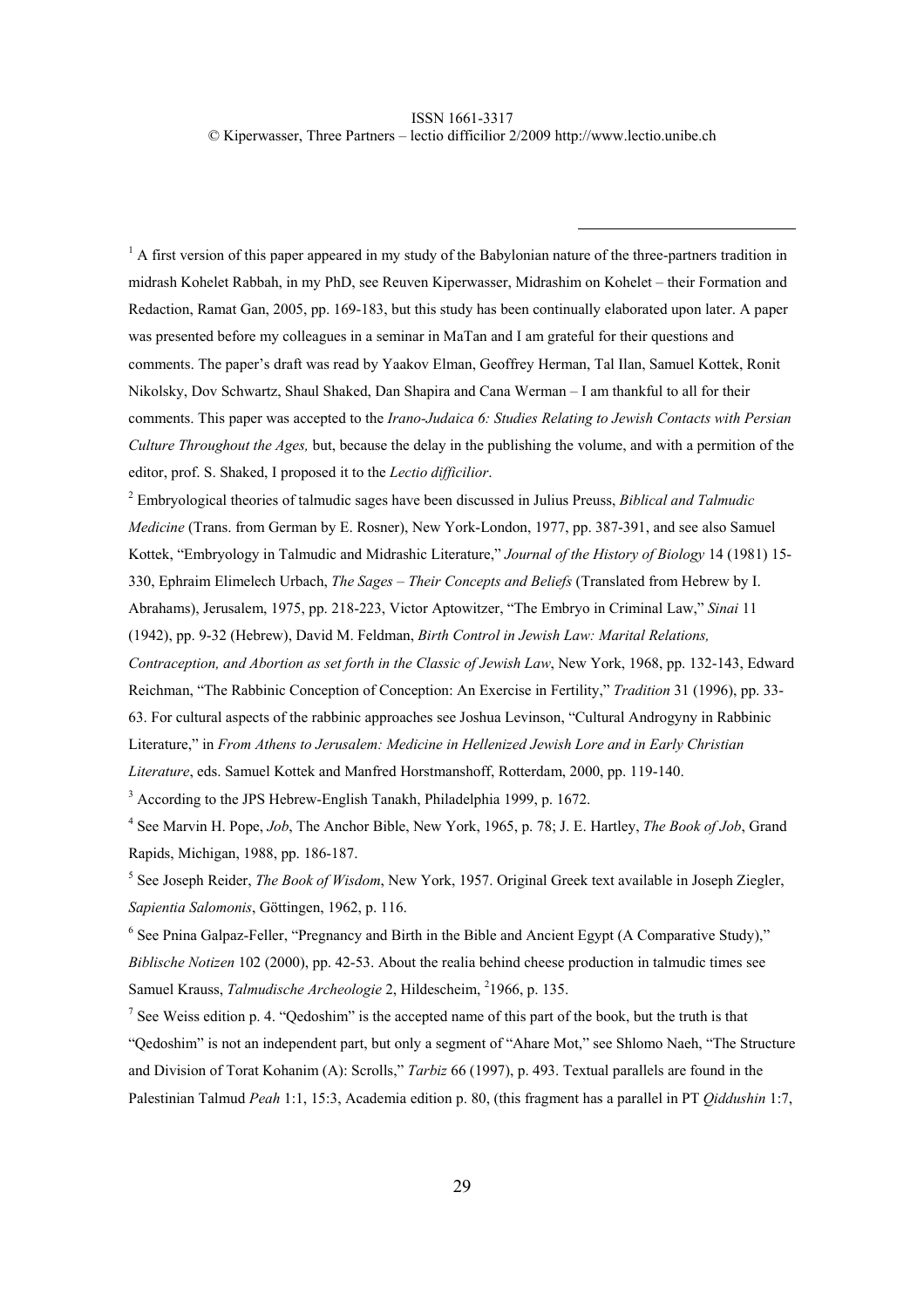$<sup>1</sup>$  A first version of this paper appeared in my study of the Babylonian nature of the three-partners tradition in</sup> midrash Kohelet Rabbah, in my PhD, see Reuven Kiperwasser, Midrashim on Kohelet – their Formation and Redaction, Ramat Gan, 2005, pp. 169-183, but this study has been continually elaborated upon later. A paper was presented before my colleagues in a seminar in MaTan and I am grateful for their questions and comments. The paper's draft was read by Yaakov Elman, Geoffrey Herman, Tal Ilan, Samuel Kottek, Ronit Nikolsky, Dov Schwartz, Shaul Shaked, Dan Shapira and Cana Werman – I am thankful to all for their comments. This paper was accepted to the *Irano-Judaica 6: Studies Relating to Jewish Contacts with Persian Culture Throughout the Ages,* but, because the delay in the publishing the volume, and with a permition of the editor, prof. S. Shaked, I proposed it to the *Lectio difficilior*.

2 Embryological theories of talmudic sages have been discussed in Julius Preuss, *Biblical and Talmudic Medicine* (Trans. from German by E. Rosner), New York-London, 1977, pp. 387-391, and see also Samuel Kottek, "Embryology in Talmudic and Midrashic Literature," *Journal of the History of Biology* 14 (1981) 15- 330, Ephraim Elimelech Urbach, *The Sages – Their Concepts and Beliefs* (Translated from Hebrew by I. Abrahams), Jerusalem, 1975, pp. 218-223, Victor Aptowitzer, "The Embryo in Criminal Law," *Sinai* 11 (1942), pp. 9-32 (Hebrew), David M. Feldman, *Birth Control in Jewish Law: Marital Relations, Contraception, and Abortion as set forth in the Classic of Jewish Law*, New York, 1968, pp. 132-143, Edward Reichman, "The Rabbinic Conception of Conception: An Exercise in Fertility," *Tradition* 31 (1996), pp. 33- 63. For cultural aspects of the rabbinic approaches see Joshua Levinson, "Cultural Androgyny in Rabbinic Literature," in *From Athens to Jerusalem: Medicine in Hellenized Jewish Lore and in Early Christian Literature*, eds. Samuel Kottek and Manfred Horstmanshoff, Rotterdam, 2000, pp. 119-140.

<sup>3</sup> According to the JPS Hebrew-English Tanakh, Philadelphia 1999, p. 1672.

4 See Marvin H. Pope, *Job*, The Anchor Bible, New York, 1965, p. 78; J. E. Hartley, *The Book of Job*, Grand Rapids, Michigan, 1988, pp. 186-187.

<sup>5</sup> See Joseph Reider, *The Book of Wisdom*, New York, 1957. Original Greek text available in Joseph Ziegler, *Sapientia Salomonis*, Göttingen, 1962, p. 116.

<sup>6</sup> See Pnina Galpaz-Feller, "Pregnancy and Birth in the Bible and Ancient Egypt (A Comparative Study)," *Biblische Notizen* 102 (2000), pp. 42-53. About the realia behind cheese production in talmudic times see Samuel Krauss, *Talmudische Archeologie* 2, Hildescheim, <sup>2</sup>1966, p. 135.

<sup>7</sup> See Weiss edition p. 4. "Qedoshim" is the accepted name of this part of the book, but the truth is that "Qedoshim" is not an independent part, but only a segment of "Ahare Mot," see Shlomo Naeh, "The Structure and Division of Torat Kohanim (A): Scrolls," *Tarbiz* 66 (1997), p. 493. Textual parallels are found in the Palestinian Talmud *Peah* 1:1, 15:3, Academia edition p. 80, (this fragment has a parallel in PT *Qiddushin* 1:7,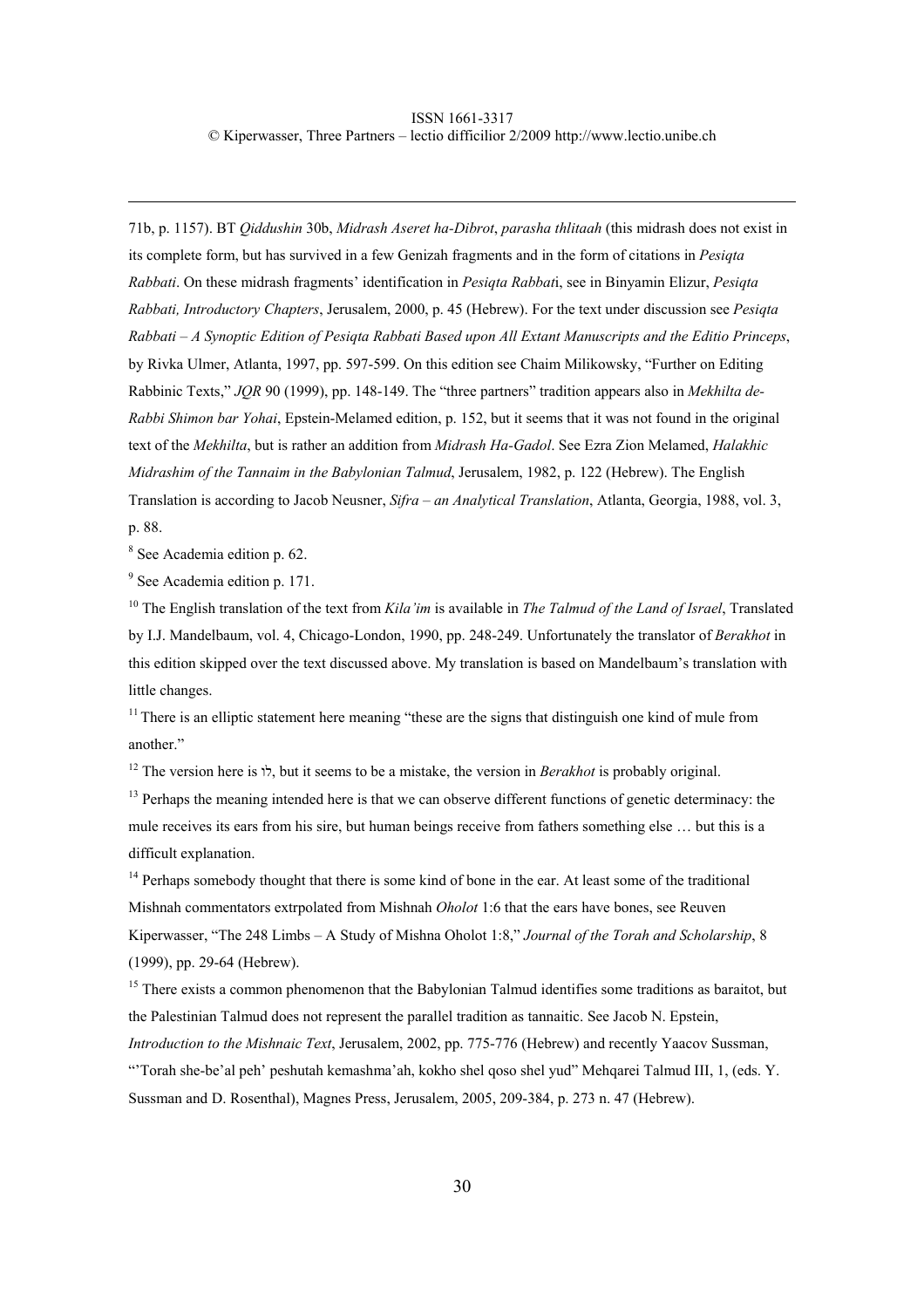71b, p. 1157). BT *Qiddushin* 30b, *Midrash Aseret ha-Dibrot*, *parasha thlitaah* (this midrash does not exist in its complete form, but has survived in a few Genizah fragments and in the form of citations in *Pesiqta Rabbati*. On these midrash fragments' identification in *Pesiqta Rabbat*i, see in Binyamin Elizur, *Pesiqta Rabbati, Introductory Chapters*, Jerusalem, 2000, p. 45 (Hebrew). For the text under discussion see *Pesiqta Rabbati – A Synoptic Edition of Pesiqta Rabbati Based upon All Extant Manuscripts and the Editio Princeps*, by Rivka Ulmer, Atlanta, 1997, pp. 597-599. On this edition see Chaim Milikowsky, "Further on Editing Rabbinic Texts," *JQR* 90 (1999), pp. 148-149. The "three partners" tradition appears also in *Mekhilta de-Rabbi Shimon bar Yohai*, Epstein-Melamed edition, p. 152, but it seems that it was not found in the original text of the *Mekhilta*, but is rather an addition from *Midrash Ha-Gadol*. See Ezra Zion Melamed, *Halakhic Midrashim of the Tannaim in the Babylonian Talmud*, Jerusalem, 1982, p. 122 (Hebrew). The English Translation is according to Jacob Neusner, *Sifra – an Analytical Translation*, Atlanta, Georgia, 1988, vol. 3, p. 88.

8 See Academia edition p. 62.

<sup>9</sup> See Academia edition p. 171.

10 The English translation of the text from *Kila'im* is available in *The Talmud of the Land of Israel*, Translated by I.J. Mandelbaum, vol. 4, Chicago-London, 1990, pp. 248-249. Unfortunately the translator of *Berakhot* in this edition skipped over the text discussed above. My translation is based on Mandelbaum's translation with little changes.

 $11$  There is an elliptic statement here meaning "these are the signs that distinguish one kind of mule from another."

12 The version here is לו, but it seems to be a mistake, the version in *Berakhot* is probably original.

 $<sup>13</sup>$  Perhaps the meaning intended here is that we can observe different functions of genetic determinacy: the</sup> mule receives its ears from his sire, but human beings receive from fathers something else … but this is a difficult explanation.

 $14$  Perhaps somebody thought that there is some kind of bone in the ear. At least some of the traditional Mishnah commentators extrpolated from Mishnah *Oholot* 1:6 that the ears have bones, see Reuven Kiperwasser, "The 248 Limbs – A Study of Mishna Oholot 1:8," *Journal of the Torah and Scholarship*, 8 (1999), pp. 29-64 (Hebrew).

<sup>15</sup> There exists a common phenomenon that the Babylonian Talmud identifies some traditions as baraitot, but the Palestinian Talmud does not represent the parallel tradition as tannaitic. See Jacob N. Epstein, *Introduction to the Mishnaic Text*, Jerusalem, 2002, pp. 775-776 (Hebrew) and recently Yaacov Sussman,

"'Torah she-be'al peh' peshutah kemashma'ah, kokho shel qoso shel yud" Mehqarei Talmud III, 1, (eds. Y. Sussman and D. Rosenthal), Magnes Press, Jerusalem, 2005, 209-384, p. 273 n. 47 (Hebrew).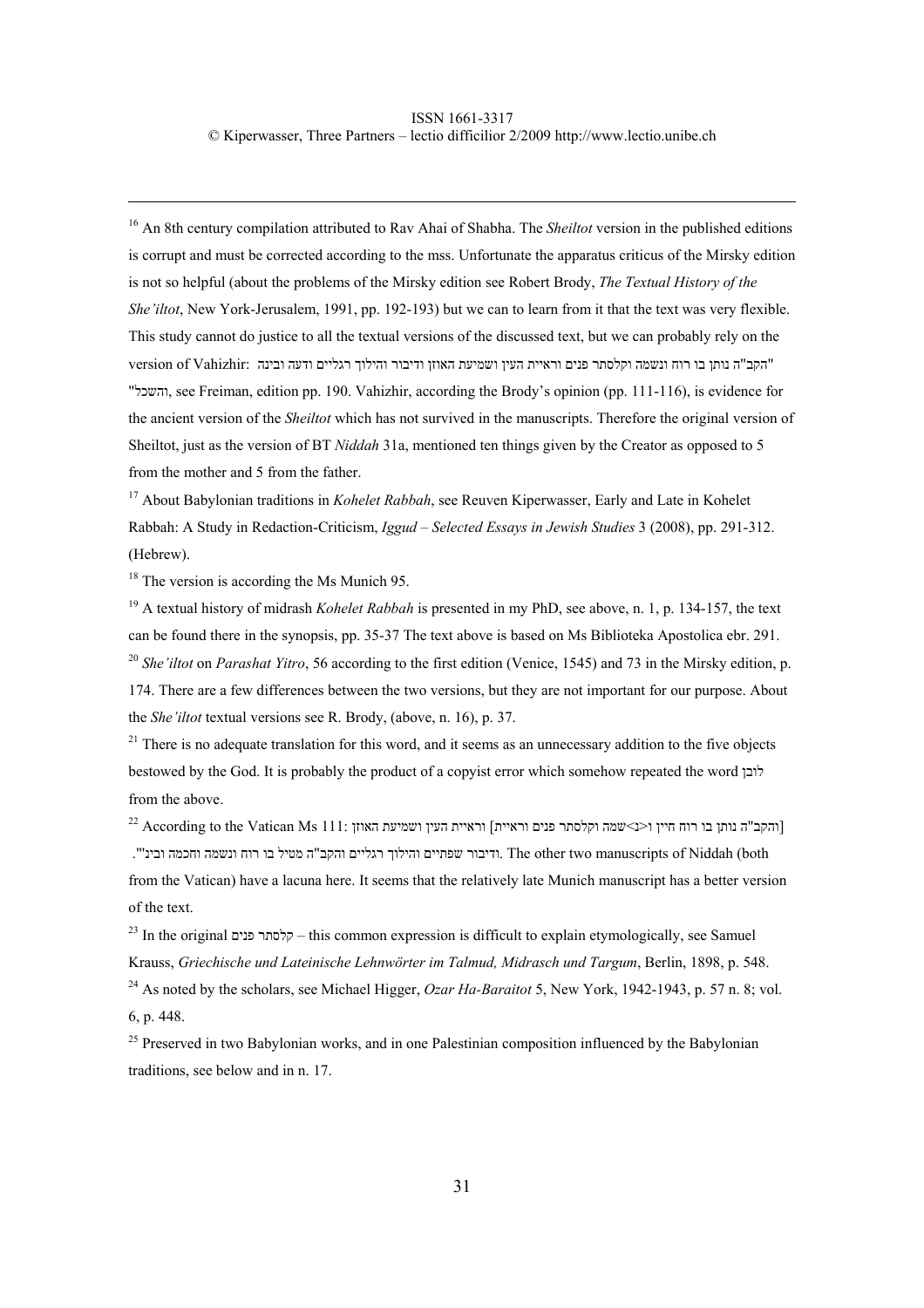<sup>16</sup> An 8th century compilation attributed to Rav Ahai of Shabha. The *Sheiltot* version in the published editions is corrupt and must be corrected according to the mss. Unfortunate the apparatus criticus of the Mirsky edition is not so helpful (about the problems of the Mirsky edition see Robert Brody, *The Textual History of the She'iltot*, New York-Jerusalem, 1991, pp. 192-193) but we can to learn from it that the text was very flexible. This study cannot do justice to all the textual versions of the discussed text, but we can probably rely on the "הקב"ה נותן בו רוח ונשמה וקלסתר פנים וראיית העין ושמיעת האוזן ודיבור והילוך רגליים ודעה ובינה :Vahizhir of version " , see Freiman, edition pp. 190. Vahizhir, according the Brody's opinion (pp. 111-116), is evidence for the ancient version of the *Sheiltot* which has not survived in the manuscripts. Therefore the original version of Sheiltot, just as the version of BT *Niddah* 31a, mentioned ten things given by the Creator as opposed to 5 from the mother and 5 from the father.

<sup>17</sup> About Babylonian traditions in *Kohelet Rabbah*, see Reuven Kiperwasser, Early and Late in Kohelet Rabbah: A Study in Redaction-Criticism, *Iggud – Selected Essays in Jewish Studies* 3 (2008), pp. 291-312. (Hebrew).

<sup>18</sup> The version is according the Ms Munich 95.

19 A textual history of midrash *Kohelet Rabbah* is presented in my PhD, see above, n. 1, p. 134-157, the text can be found there in the synopsis, pp. 35-37 The text above is based on Ms Biblioteka Apostolica ebr. 291. <sup>20</sup> *She'iltot* on *Parashat Yitro*, 56 according to the first edition (Venice, 1545) and 73 in the Mirsky edition, p. 174. There are a few differences between the two versions, but they are not important for our purpose. About the *She'iltot* textual versions see R. Brody, (above, n. 16), p. 37.

<sup>21</sup> There is no adequate translation for this word, and it seems as an unnecessary addition to the five objects bestowed by the God. It is probably the product of a copyist error which somehow repeated the word לובן from the above.

והקב"ה נותן בו רוח חיין ו<נ>שמה וקלסתר פנים וראיית] וראיית העין ושמיעת האוזן [ 111: According to the Vatican Ms ודיבור שפתיים והילוך רגליים והקב"ה מטיל בו רוח ונשמה וחכמה ובינ'". The other two manuscripts of Niddah (both from the Vatican) have a lacuna here. It seems that the relatively late Munich manuscript has a better version of the text.

23 In the original פנים קלסתר – this common expression is difficult to explain etymologically, see Samuel Krauss, *Griechische und Lateinische Lehnwörter im Talmud, Midrasch und Targum*, Berlin, 1898, p. 548.

<sup>24</sup> As noted by the scholars, see Michael Higger, *Ozar Ha-Baraitot* 5, New York, 1942-1943, p. 57 n. 8; vol. 6, p. 448.

<sup>25</sup> Preserved in two Babylonian works, and in one Palestinian composition influenced by the Babylonian traditions, see below and in n. 17.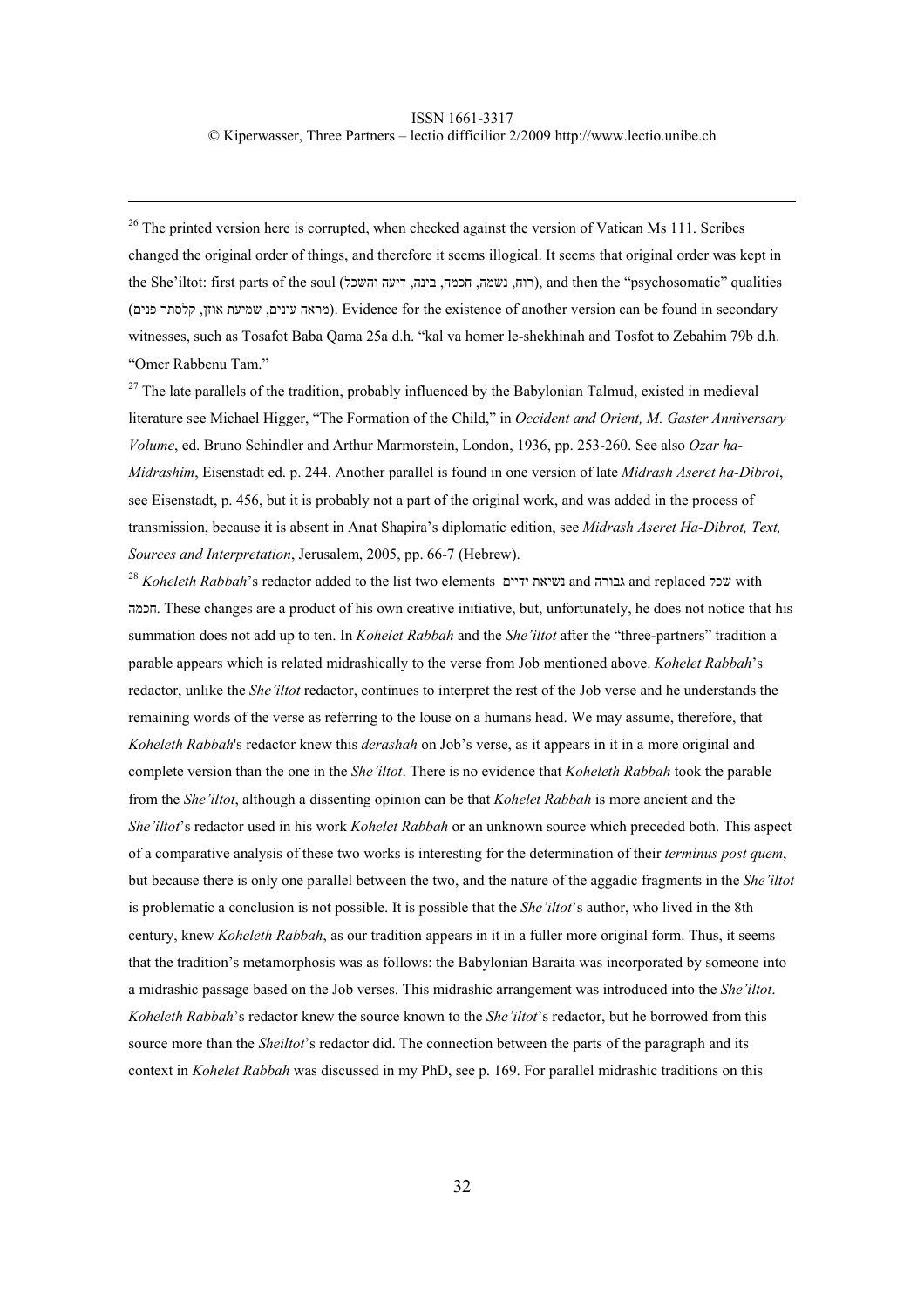$26$  The printed version here is corrupted, when checked against the version of Vatican Ms 111. Scribes changed the original order of things, and therefore it seems illogical. It seems that original order was kept in the She'iltot: first parts of the soul (רוח, נשמה, חכמה, בינה, דיעה והשכל), and then the "psychosomatic" qualities (מראה עינים, שמיעת אוזן, קלסתר פנים). Evidence for the existence of another version can be found in secondary witnesses, such as Tosafot Baba Qama 25a d.h. "kal va homer le-shekhinah and Tosfot to Zebahim 79b d.h. "Omer Rabbenu Tam."

<sup>27</sup> The late parallels of the tradition, probably influenced by the Babylonian Talmud, existed in medieval literature see Michael Higger, "The Formation of the Child," in *Occident and Orient, M. Gaster Anniversary Volume*, ed. Bruno Schindler and Arthur Marmorstein, London, 1936, pp. 253-260. See also *Ozar ha-Midrashim*, Eisenstadt ed. p. 244. Another parallel is found in one version of late *Midrash Aseret ha-Dibrot*, see Eisenstadt, p. 456, but it is probably not a part of the original work, and was added in the process of transmission, because it is absent in Anat Shapira's diplomatic edition, see *Midrash Aseret Ha-Dibrot, Text, Sources and Interpretation*, Jerusalem, 2005, pp. 66-7 (Hebrew).

<sup>28</sup> *Koheleth Rabbah*'s redactor added to the list two elements and ידיים נשיאת גבורה and replaced שכל with חכמה. These changes are a product of his own creative initiative, but, unfortunately, he does not notice that his summation does not add up to ten. In *Kohelet Rabbah* and the *She'iltot* after the "three-partners" tradition a parable appears which is related midrashically to the verse from Job mentioned above. *Kohelet Rabbah*'s redactor, unlike the *She'iltot* redactor, continues to interpret the rest of the Job verse and he understands the remaining words of the verse as referring to the louse on a humans head. We may assume, therefore, that *Koheleth Rabbah*'s redactor knew this *derashah* on Job's verse, as it appears in it in a more original and complete version than the one in the *She'iltot*. There is no evidence that *Koheleth Rabbah* took the parable from the *She'iltot*, although a dissenting opinion can be that *Kohelet Rabbah* is more ancient and the *She'iltot*'s redactor used in his work *Kohelet Rabbah* or an unknown source which preceded both. This aspect of a comparative analysis of these two works is interesting for the determination of their *terminus post quem*, but because there is only one parallel between the two, and the nature of the aggadic fragments in the *She'iltot* is problematic a conclusion is not possible. It is possible that the *She'iltot*'s author, who lived in the 8th century, knew *Koheleth Rabbah*, as our tradition appears in it in a fuller more original form. Thus, it seems that the tradition's metamorphosis was as follows: the Babylonian Baraita was incorporated by someone into a midrashic passage based on the Job verses. This midrashic arrangement was introduced into the *She'iltot*. *Koheleth Rabbah*'s redactor knew the source known to the *She'iltot*'s redactor, but he borrowed from this source more than the *Sheiltot*'s redactor did. The connection between the parts of the paragraph and its context in *Kohelet Rabbah* was discussed in my PhD, see p. 169. For parallel midrashic traditions on this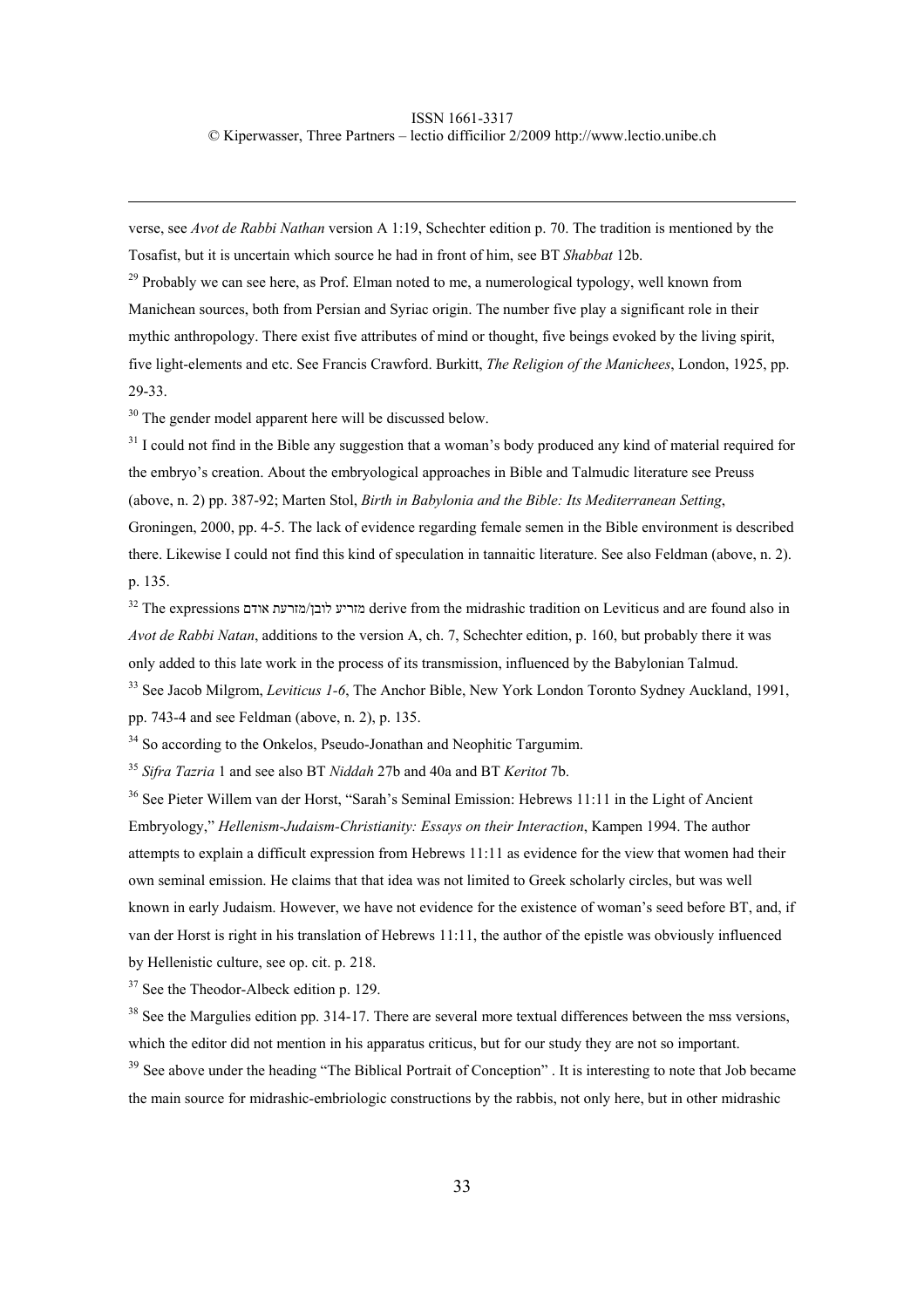verse, see *Avot de Rabbi Nathan* version A 1:19, Schechter edition p. 70. The tradition is mentioned by the Tosafist, but it is uncertain which source he had in front of him, see BT *Shabbat* 12b.

<sup>29</sup> Probably we can see here, as Prof. Elman noted to me, a numerological typology, well known from Manichean sources, both from Persian and Syriac origin. The number five play a significant role in their mythic anthropology. There exist five attributes of mind or thought, five beings evoked by the living spirit, five light-elements and etc. See Francis Crawford. Burkitt, *The Religion of the Manichees*, London, 1925, pp. 29-33.

<sup>30</sup> The gender model apparent here will be discussed below.

<sup>31</sup> I could not find in the Bible any suggestion that a woman's body produced any kind of material required for the embryo's creation. About the embryological approaches in Bible and Talmudic literature see Preuss (above, n. 2) pp. 387-92; Marten Stol, *Birth in Babylonia and the Bible: Its Mediterranean Setting*, Groningen, 2000, pp. 4-5. The lack of evidence regarding female semen in the Bible environment is described there. Likewise I could not find this kind of speculation in tannaitic literature. See also Feldman (above, n. 2). p. 135.

32 The expressions אודם מזרעת/לובן מזריע derive from the midrashic tradition on Leviticus and are found also in *Avot de Rabbi Natan*, additions to the version A, ch. 7, Schechter edition, p. 160, but probably there it was only added to this late work in the process of its transmission, influenced by the Babylonian Talmud. 33 See Jacob Milgrom, *Leviticus 1-6*, The Anchor Bible, New York London Toronto Sydney Auckland, 1991,

pp. 743-4 and see Feldman (above, n. 2), p. 135.

<sup>34</sup> So according to the Onkelos, Pseudo-Jonathan and Neophitic Targumim.

<sup>35</sup> *Sifra Tazria* 1 and see also BT *Niddah* 27b and 40a and BT *Keritot* 7b.

<sup>36</sup> See Pieter Willem van der Horst, "Sarah's Seminal Emission: Hebrews 11:11 in the Light of Ancient Embryology," *Hellenism-Judaism-Christianity: Essays on their Interaction*, Kampen 1994. The author attempts to explain a difficult expression from Hebrews 11:11 as evidence for the view that women had their own seminal emission. He claims that that idea was not limited to Greek scholarly circles, but was well known in early Judaism. However, we have not evidence for the existence of woman's seed before BT, and, if van der Horst is right in his translation of Hebrews 11:11, the author of the epistle was obviously influenced by Hellenistic culture, see op. cit. p. 218.

<sup>37</sup> See the Theodor-Albeck edition p. 129.

<sup>38</sup> See the Margulies edition pp. 314-17. There are several more textual differences between the mss versions, which the editor did not mention in his apparatus criticus, but for our study they are not so important.

<sup>39</sup> See above under the heading "The Biblical Portrait of Conception". It is interesting to note that Job became the main source for midrashic-embriologic constructions by the rabbis, not only here, but in other midrashic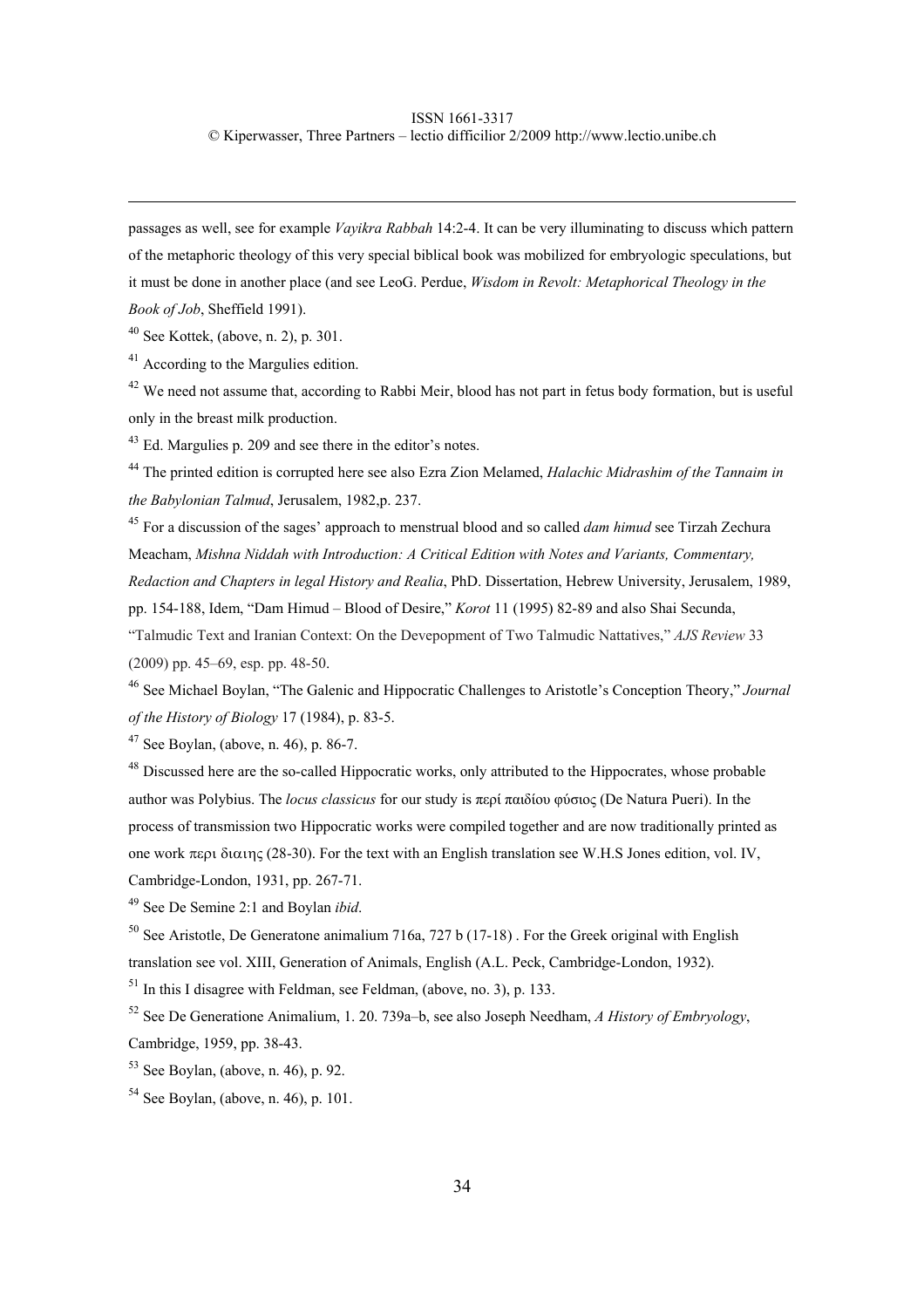### ISSN 1661-3317

© Kiperwasser, Three Partners – lectio difficilior 2/2009 http://www.lectio.unibe.ch

passages as well, see for example *Vayikra Rabbah* 14:2-4. It can be very illuminating to discuss which pattern of the metaphoric theology of this very special biblical book was mobilized for embryologic speculations, but it must be done in another place (and see LeoG. Perdue, *Wisdom in Revolt: Metaphorical Theology in the Book of Job*, Sheffield 1991).

 $40$  See Kottek, (above, n. 2), p. 301.

<sup>41</sup> According to the Margulies edition.

 $42$  We need not assume that, according to Rabbi Meir, blood has not part in fetus body formation, but is useful only in the breast milk production.

<sup>43</sup> Ed. Margulies p. 209 and see there in the editor's notes.

44 The printed edition is corrupted here see also Ezra Zion Melamed, *Halachic Midrashim of the Tannaim in the Babylonian Talmud*, Jerusalem, 1982,p. 237.

45 For a discussion of the sages' approach to menstrual blood and so called *dam himud* see Tirzah Zechura Meacham, *Mishna Niddah with Introduction: A Critical Edition with Notes and Variants, Commentary, Redaction and Chapters in legal History and Realia*, PhD. Dissertation, Hebrew University, Jerusalem, 1989, pp. 154-188, Idem, "Dam Himud – Blood of Desire," *Korot* 11 (1995) 82-89 and also Shai Secunda, "Talmudic Text and Iranian Context: On the Devepopment of Two Talmudic Nattatives," *AJS Review* 33 (2009) pp. 45–69, esp. pp. 48-50.

46 See Michael Boylan, "The Galenic and Hippocratic Challenges to Aristotle's Conception Theory," *Journal of the History of Biology* 17 (1984), p. 83-5.

 $47$  See Boylan, (above, n. 46), p. 86-7.

<sup>48</sup> Discussed here are the so-called Hippocratic works, only attributed to the Hippocrates, whose probable author was Polybius. The *locus classicus* for our study is περί παιδίου φύσιoς (De Natura Pueri). In the process of transmission two Hippocratic works were compiled together and are now traditionally printed as one work περι διαιης (28-30). For the text with an English translation see W.H.S Jones edition, vol. IV, Cambridge-London, 1931, pp. 267-71.

49 See De Semine 2:1 and Boylan *ibid*.

 $50$  See Aristotle, De Generatone animalium 716a, 727 b (17-18). For the Greek original with English translation see vol. XIII, Generation of Animals, English (A.L. Peck, Cambridge-London, 1932).

 $<sup>51</sup>$  In this I disagree with Feldman, see Feldman, (above, no. 3), p. 133.</sup>

52 See De Generatione Animalium, 1. 20. 739a–b, see also Joseph Needham, *A History of Embryology*, Cambridge, 1959, pp. 38-43.

 $53$  See Boylan, (above, n. 46), p. 92.

 $54$  See Boylan, (above, n. 46), p. 101.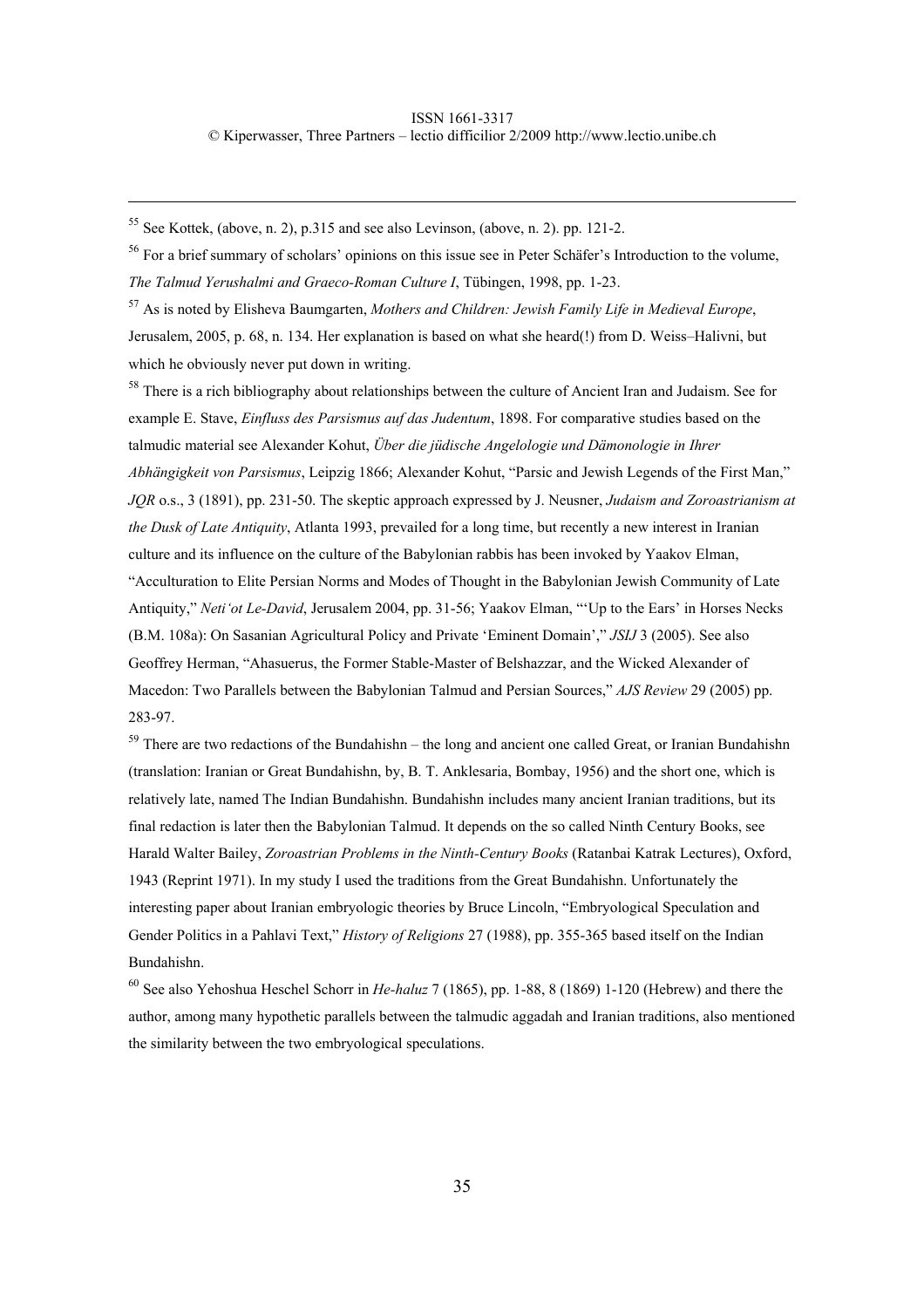$55$  See Kottek, (above, n. 2), p.315 and see also Levinson, (above, n. 2), pp. 121-2.

<sup>56</sup> For a brief summary of scholars' opinions on this issue see in Peter Schäfer's Introduction to the volume, *The Talmud Yerushalmi and Graeco-Roman Culture I*, Tübingen, 1998, pp. 1-23.

57 As is noted by Elisheva Baumgarten, *Mothers and Children: Jewish Family Life in Medieval Europe*, Jerusalem, 2005, p. 68, n. 134. Her explanation is based on what she heard(!) from D. Weiss–Halivni, but which he obviously never put down in writing.

<sup>58</sup> There is a rich bibliography about relationships between the culture of Ancient Iran and Judaism. See for example E. Stave, *Einfluss des Parsismus auf das Judentum*, 1898. For comparative studies based on the talmudic material see Alexander Kohut, *Über die jüdische Angelologie und Dämonologie in Ihrer Abhängigkeit von Parsismus*, Leipzig 1866; Alexander Kohut, "Parsic and Jewish Legends of the First Man," *JQR* o.s., 3 (1891), pp. 231-50. The skeptic approach expressed by J. Neusner, *Judaism and Zoroastrianism at the Dusk of Late Antiquity*, Atlanta 1993, prevailed for a long time, but recently a new interest in Iranian culture and its influence on the culture of the Babylonian rabbis has been invoked by Yaakov Elman, "Acculturation to Elite Persian Norms and Modes of Thought in the Babylonian Jewish Community of Late Antiquity," *Neti'ot Le-David*, Jerusalem 2004, pp. 31-56; Yaakov Elman, "'Up to the Ears' in Horses Necks (B.M. 108a): On Sasanian Agricultural Policy and Private 'Eminent Domain'," *JSIJ* 3 (2005). See also Geoffrey Herman, "Ahasuerus, the Former Stable-Master of Belshazzar, and the Wicked Alexander of Macedon: Two Parallels between the Babylonian Talmud and Persian Sources," *AJS Review* 29 (2005) pp. 283-97.

<sup>59</sup> There are two redactions of the Bundahishn – the long and ancient one called Great, or Iranian Bundahishn (translation: Iranian or Great Bundahishn, by, B. T. Anklesaria, Bombay, 1956) and the short one, which is relatively late, named The Indian Bundahishn. Bundahishn includes many ancient Iranian traditions, but its final redaction is later then the Babylonian Talmud. It depends on the so called Ninth Century Books, see Harald Walter Bailey, *Zoroastrian Problems in the Ninth-Century Books* (Ratanbai Katrak Lectures), Oxford, 1943 (Reprint 1971). In my study I used the traditions from the Great Bundahishn. Unfortunately the interesting paper about Iranian embryologic theories by Bruce Lincoln, "Embryological Speculation and Gender Politics in a Pahlavi Text," *History of Religions* 27 (1988), pp. 355-365 based itself on the Indian Bundahishn.

60 See also Yehoshua Heschel Schorr in *He-haluz* 7 (1865), pp. 1-88, 8 (1869) 1-120 (Hebrew) and there the author, among many hypothetic parallels between the talmudic aggadah and Iranian traditions, also mentioned the similarity between the two embryological speculations.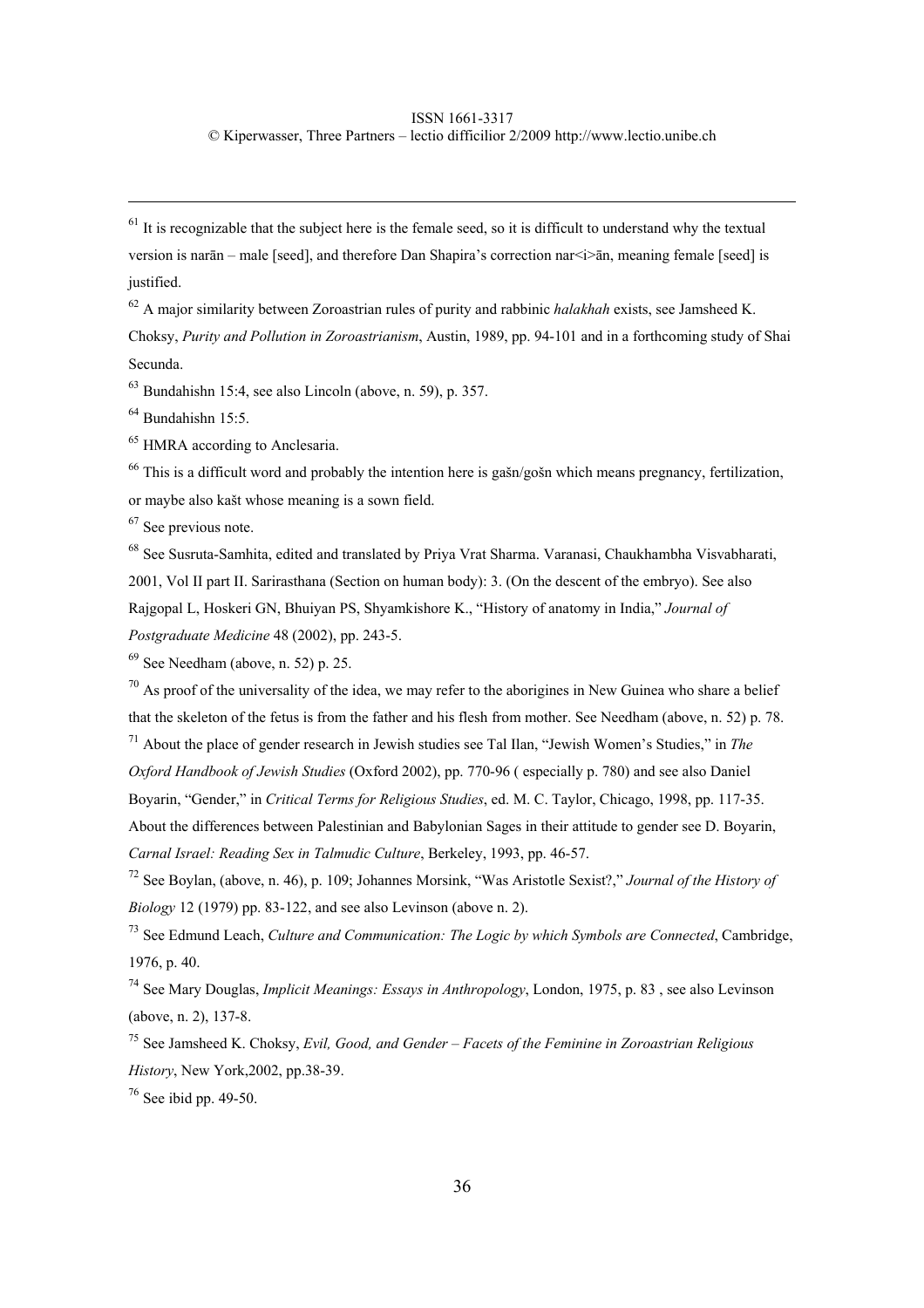### ISSN 1661-3317

© Kiperwasser, Three Partners – lectio difficilior 2/2009 http://www.lectio.unibe.ch

 $<sup>61</sup>$  It is recognizable that the subject here is the female seed, so it is difficult to understand why the textual</sup> version is narān – male [seed], and therefore Dan Shapira's correction nar<i>ān, meaning female [seed] is justified.

62 A major similarity between Zoroastrian rules of purity and rabbinic *halakhah* exists, see Jamsheed K. Choksy, *Purity and Pollution in Zoroastrianism*, Austin, 1989, pp. 94-101 and in a forthcoming study of Shai Secunda.

 $63$  Bundahishn 15:4, see also Lincoln (above, n. 59), p. 357.

 $64$  Bundahishn 15:5.

65 HMRA according to Anclesaria.

<sup>66</sup> This is a difficult word and probably the intention here is gašn/gošn which means pregnancy, fertilization,

or maybe also kašt whose meaning is a sown field.

67 See previous note.

68 See Susruta-Samhita, edited and translated by Priya Vrat Sharma. Varanasi, Chaukhambha Visvabharati, 2001, Vol II part II. Sarirasthana (Section on human body): 3. (On the descent of the embryo). See also Rajgopal L, Hoskeri GN, Bhuiyan PS, Shyamkishore K., "History of anatomy in India," *Journal of Postgraduate Medicine* 48 (2002), pp. 243-5.

 $69$  See Needham (above, n. 52) p. 25.

 $70$  As proof of the universality of the idea, we may refer to the aborigines in New Guinea who share a belief that the skeleton of the fetus is from the father and his flesh from mother. See Needham (above, n. 52) p. 78.

71 About the place of gender research in Jewish studies see Tal Ilan, "Jewish Women's Studies," in *The Oxford Handbook of Jewish Studies* (Oxford 2002), pp. 770-96 ( especially p. 780) and see also Daniel Boyarin, "Gender," in *Critical Terms for Religious Studies*, ed. M. C. Taylor, Chicago, 1998, pp. 117-35. About the differences between Palestinian and Babylonian Sages in their attitude to gender see D. Boyarin, *Carnal Israel: Reading Sex in Talmudic Culture*, Berkeley, 1993, pp. 46-57.

72 See Boylan, (above, n. 46), p. 109; Johannes Morsink, "Was Aristotle Sexist?," *Journal of the History of Biology* 12 (1979) pp. 83-122, and see also Levinson (above n. 2).

73 See Edmund Leach, *Culture and Communication: The Logic by which Symbols are Connected*, Cambridge, 1976, p. 40.

74 See Mary Douglas, *Implicit Meanings: Essays in Anthropology*, London, 1975, p. 83 , see also Levinson (above, n. 2), 137-8.

75 See Jamsheed K. Choksy, *Evil, Good, and Gender – Facets of the Feminine in Zoroastrian Religious History*, New York,2002, pp.38-39.

 $76$  See ibid pp. 49-50.